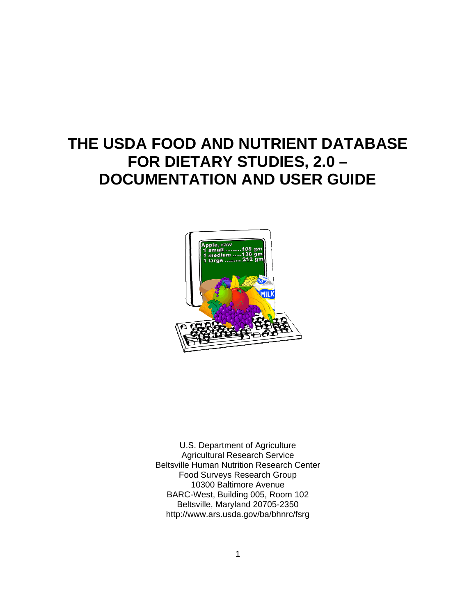# **THE USDA FOOD AND NUTRIENT DATABASE FOR DIETARY STUDIES, 2.0 – DOCUMENTATION AND USER GUIDE**



U.S. Department of Agriculture Agricultural Research Service Beltsville Human Nutrition Research Center Food Surveys Research Group 10300 Baltimore Avenue BARC-West, Building 005, Room 102 Beltsville, Maryland 20705-2350 http://www.ars.usda.gov/ba/bhnrc/fsrg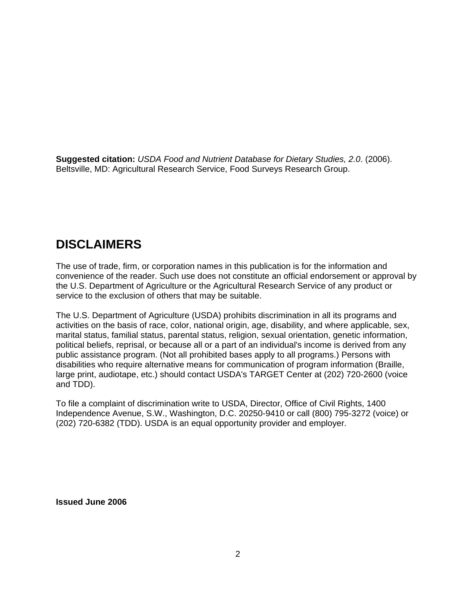**Suggested citation:** *USDA Food and Nutrient Database for Dietary Studies, 2.0*. (2006). Beltsville, MD: Agricultural Research Service, Food Surveys Research Group.

# **DISCLAIMERS**

The use of trade, firm, or corporation names in this publication is for the information and convenience of the reader. Such use does not constitute an official endorsement or approval by the U.S. Department of Agriculture or the Agricultural Research Service of any product or service to the exclusion of others that may be suitable.

The U.S. Department of Agriculture (USDA) prohibits discrimination in all its programs and activities on the basis of race, color, national origin, age, disability, and where applicable, sex, marital status, familial status, parental status, religion, sexual orientation, genetic information, political beliefs, reprisal, or because all or a part of an individual's income is derived from any public assistance program. (Not all prohibited bases apply to all programs.) Persons with disabilities who require alternative means for communication of program information (Braille, large print, audiotape, etc.) should contact USDA's TARGET Center at (202) 720-2600 (voice and TDD).

To file a complaint of discrimination write to USDA, Director, Office of Civil Rights, 1400 Independence Avenue, S.W., Washington, D.C. 20250-9410 or call (800) 795-3272 (voice) or (202) 720-6382 (TDD). USDA is an equal opportunity provider and employer.

**Issued June 2006**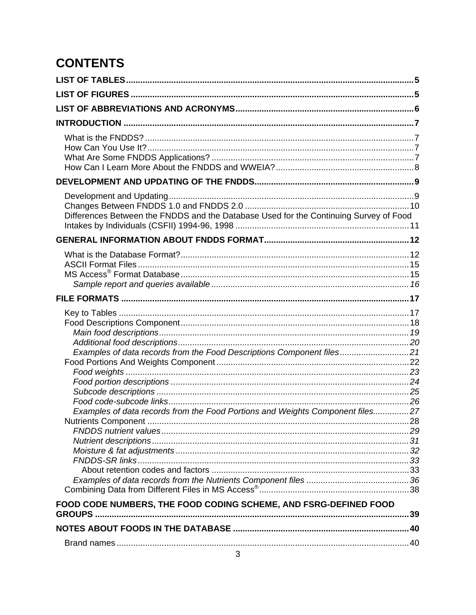# **CONTENTS**

| Differences Between the FNDDS and the Database Used for the Continuing Survey of Food                                                                                                                                      |  |
|----------------------------------------------------------------------------------------------------------------------------------------------------------------------------------------------------------------------------|--|
|                                                                                                                                                                                                                            |  |
|                                                                                                                                                                                                                            |  |
|                                                                                                                                                                                                                            |  |
| Examples of data records from the Food Descriptions Component files21<br>Examples of data records from the Food Portions and Weights Component files27<br>FOOD CODE NUMBERS, THE FOOD CODING SCHEME, AND FSRG-DEFINED FOOD |  |
|                                                                                                                                                                                                                            |  |
|                                                                                                                                                                                                                            |  |
|                                                                                                                                                                                                                            |  |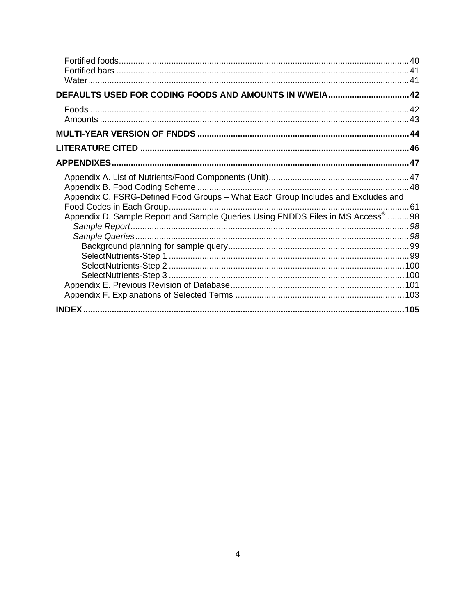| DEFAULTS USED FOR CODING FOODS AND AMOUNTS IN WWEIA42                            |  |
|----------------------------------------------------------------------------------|--|
|                                                                                  |  |
|                                                                                  |  |
|                                                                                  |  |
|                                                                                  |  |
|                                                                                  |  |
|                                                                                  |  |
|                                                                                  |  |
| Appendix C. FSRG-Defined Food Groups - What Each Group Includes and Excludes and |  |
|                                                                                  |  |
| Appendix D. Sample Report and Sample Queries Using FNDDS Files in MS Access® 98  |  |
|                                                                                  |  |
|                                                                                  |  |
|                                                                                  |  |
|                                                                                  |  |
|                                                                                  |  |
|                                                                                  |  |
|                                                                                  |  |
|                                                                                  |  |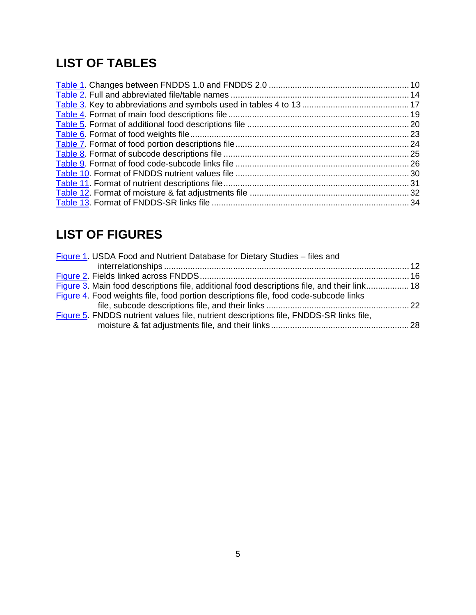# **LIST OF TABLES**

# **LIST OF FIGURES**

| Figure 1. USDA Food and Nutrient Database for Dietary Studies - files and                   |  |
|---------------------------------------------------------------------------------------------|--|
|                                                                                             |  |
|                                                                                             |  |
| Figure 3. Main food descriptions file, additional food descriptions file, and their link 18 |  |
| Figure 4. Food weights file, food portion descriptions file, food code-subcode links        |  |
|                                                                                             |  |
| Figure 5. FNDDS nutrient values file, nutrient descriptions file, FNDDS-SR links file,      |  |
|                                                                                             |  |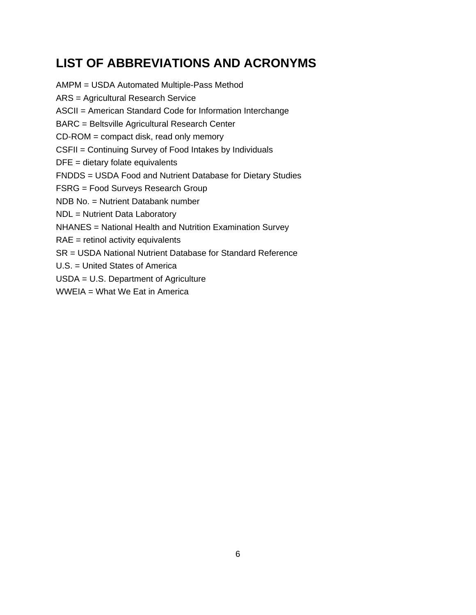# **LIST OF ABBREVIATIONS AND ACRONYMS**

AMPM = USDA Automated Multiple-Pass Method ARS = Agricultural Research Service ASCII = American Standard Code for Information Interchange BARC = Beltsville Agricultural Research Center CD-ROM = compact disk, read only memory CSFII = Continuing Survey of Food Intakes by Individuals DFE = dietary folate equivalents FNDDS = USDA Food and Nutrient Database for Dietary Studies FSRG = Food Surveys Research Group NDB No. = Nutrient Databank number NDL = Nutrient Data Laboratory NHANES = National Health and Nutrition Examination Survey RAE = retinol activity equivalents SR = USDA National Nutrient Database for Standard Reference U.S. = United States of America USDA = U.S. Department of Agriculture

WWEIA = What We Eat in America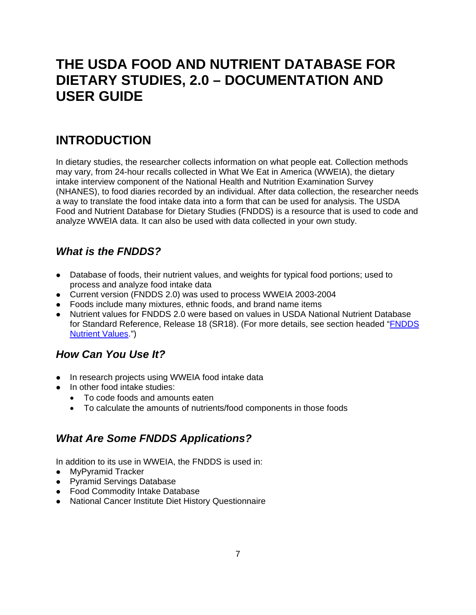# **THE USDA FOOD AND NUTRIENT DATABASE FOR DIETARY STUDIES, 2.0 – DOCUMENTATION AND USER GUIDE**

# **INTRODUCTION**

In dietary studies, the researcher collects information on what people eat. Collection methods may vary, from 24-hour recalls collected in What We Eat in America (WWEIA), the dietary intake interview component of the National Health and Nutrition Examination Survey (NHANES), to food diaries recorded by an individual. After data collection, the researcher needs a way to translate the food intake data into a form that can be used for analysis. The USDA Food and Nutrient Database for Dietary Studies (FNDDS) is a resource that is used to code and analyze WWEIA data. It can also be used with data collected in your own study.

## *What is the FNDDS?*

- Database of foods, their nutrient values, and weights for typical food portions; used to process and analyze food intake data
- Current version (FNDDS 2.0) was used to process WWEIA 2003-2004
- Foods include many mixtures, ethnic foods, and brand name items
- Nutrient values for FNDDS 2.0 were based on values in USDA National Nutrient Database for Standard Reference, Release 18 (SR18). (For more details, see section headed "FNDDS Nutrient Values.")

## *How Can You Use It?*

- In research projects using WWEIA food intake data
- In other food intake studies:
	- To code foods and amounts eaten
	- To calculate the amounts of nutrients/food components in those foods

## *What Are Some FNDDS Applications?*

In addition to its use in WWEIA, the FNDDS is used in:

- MyPyramid Tracker
- Pyramid Servings Database
- Food Commodity Intake Database
- National Cancer Institute Diet History Questionnaire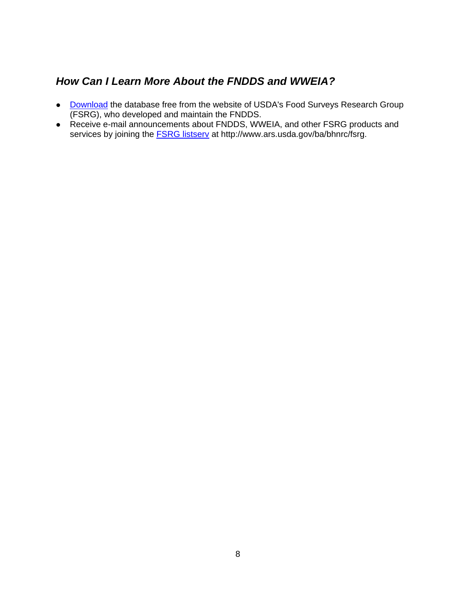## *How Can I Learn More About the FNDDS and WWEIA?*

- Download the database free from the website of USDA's Food Surveys Research Group (FSRG), who developed and maintain the FNDDS.
- Receive e-mail announcements about FNDDS, WWEIA, and other FSRG products and services by joining the **FSRG listserv** at http://www.ars.usda.gov/ba/bhnrc/fsrg.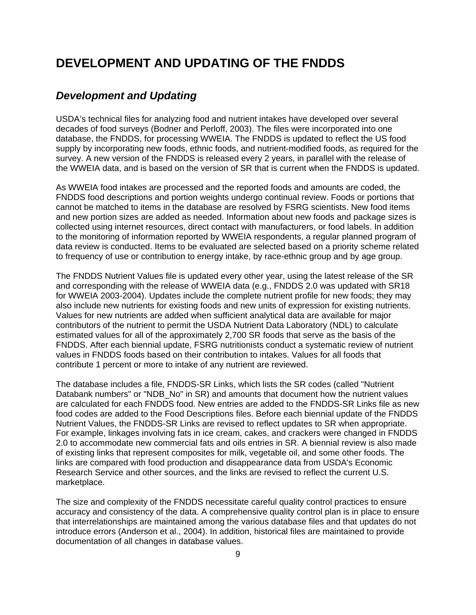## **DEVELOPMENT AND UPDATING OF THE FNDDS**

### *Development and Updating*

USDA's technical files for analyzing food and nutrient intakes have developed over several decades of food surveys (Bodner and Perloff, 2003). The files were incorporated into one database, the FNDDS, for processing WWEIA. The FNDDS is updated to reflect the US food supply by incorporating new foods, ethnic foods, and nutrient-modified foods, as required for the survey. A new version of the FNDDS is released every 2 years, in parallel with the release of the WWEIA data, and is based on the version of SR that is current when the FNDDS is updated.

As WWEIA food intakes are processed and the reported foods and amounts are coded, the FNDDS food descriptions and portion weights undergo continual review. Foods or portions that cannot be matched to items in the database are resolved by FSRG scientists. New food items and new portion sizes are added as needed. Information about new foods and package sizes is collected using internet resources, direct contact with manufacturers, or food labels. In addition to the monitoring of information reported by WWEIA respondents, a regular planned program of data review is conducted. Items to be evaluated are selected based on a priority scheme related to frequency of use or contribution to energy intake, by race-ethnic group and by age group.

The FNDDS Nutrient Values file is updated every other year, using the latest release of the SR and corresponding with the release of WWEIA data (e.g., FNDDS 2.0 was updated with SR18 for WWEIA 2003-2004). Updates include the complete nutrient profile for new foods; they may also include new nutrients for existing foods and new units of expression for existing nutrients. Values for new nutrients are added when sufficient analytical data are available for major contributors of the nutrient to permit the USDA Nutrient Data Laboratory (NDL) to calculate estimated values for all of the approximately 2,700 SR foods that serve as the basis of the FNDDS. After each biennial update, FSRG nutritionists conduct a systematic review of nutrient values in FNDDS foods based on their contribution to intakes. Values for all foods that contribute 1 percent or more to intake of any nutrient are reviewed.

The database includes a file, FNDDS-SR Links, which lists the SR codes (called "Nutrient Databank numbers" or "NDB, No" in SR) and amounts that document how the nutrient values are calculated for each FNDDS food. New entries are added to the FNDDS-SR Links file as new food codes are added to the Food Descriptions files. Before each biennial update of the FNDDS Nutrient Values, the FNDDS-SR Links are revised to reflect updates to SR when appropriate. For example, linkages involving fats in ice cream, cakes, and crackers were changed in FNDDS 2.0 to accommodate new commercial fats and oils entries in SR. A biennial review is also made of existing links that represent composites for milk, vegetable oil, and some other foods. The links are compared with food production and disappearance data from USDA's Economic Research Service and other sources, and the links are revised to reflect the current U.S. marketplace.

The size and complexity of the FNDDS necessitate careful quality control practices to ensure accuracy and consistency of the data. A comprehensive quality control plan is in place to ensure that interrelationships are maintained among the various database files and that updates do not introduce errors (Anderson et al., 2004). In addition, historical files are maintained to provide documentation of all changes in database values.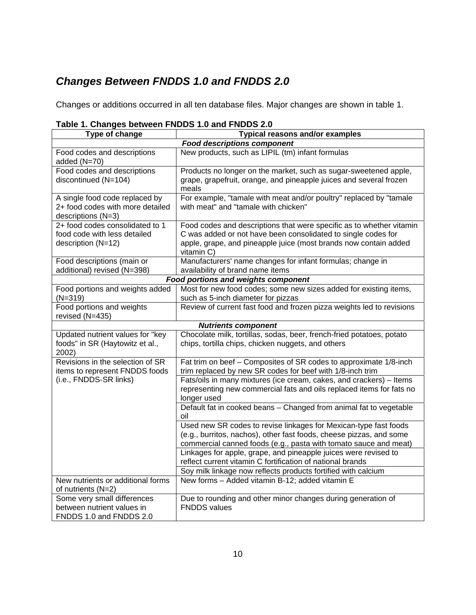## *Changes Between FNDDS 1.0 and FNDDS 2.0*

Changes or additions occurred in all ten database files. Major changes are shown in table 1.

| rapic 1. Onanges between model i.u and model 2.0                                         |                                                                                                                                                                                                                         |  |  |
|------------------------------------------------------------------------------------------|-------------------------------------------------------------------------------------------------------------------------------------------------------------------------------------------------------------------------|--|--|
| Type of change                                                                           | <b>Typical reasons and/or examples</b>                                                                                                                                                                                  |  |  |
|                                                                                          | <b>Food descriptions component</b>                                                                                                                                                                                      |  |  |
| Food codes and descriptions<br>added (N=70)                                              | New products, such as LIPIL (tm) infant formulas                                                                                                                                                                        |  |  |
| Food codes and descriptions<br>discontinued (N=104)                                      | Products no longer on the market, such as sugar-sweetened apple,<br>grape, grapefruit, orange, and pineapple juices and several frozen<br>meals                                                                         |  |  |
| A single food code replaced by<br>2+ food codes with more detailed<br>descriptions (N=3) | For example, "tamale with meat and/or poultry" replaced by "tamale<br>with meat" and "tamale with chicken"                                                                                                              |  |  |
| 2+ food codes consolidated to 1<br>food code with less detailed<br>description (N=12)    | Food codes and descriptions that were specific as to whether vitamin<br>C was added or not have been consolidated to single codes for<br>apple, grape, and pineapple juice (most brands now contain added<br>vitamin C) |  |  |
| Food descriptions (main or<br>additional) revised (N=398)                                | Manufacturers' name changes for infant formulas; change in<br>availability of brand name items                                                                                                                          |  |  |
|                                                                                          | <b>Food portions and weights component</b>                                                                                                                                                                              |  |  |
| Food portions and weights added<br>$(N=319)$                                             | Most for new food codes; some new sizes added for existing items,<br>such as 5-inch diameter for pizzas                                                                                                                 |  |  |
| Food portions and weights<br>revised (N=435)                                             | Review of current fast food and frozen pizza weights led to revisions                                                                                                                                                   |  |  |
|                                                                                          | <b>Nutrients component</b>                                                                                                                                                                                              |  |  |
| Updated nutrient values for "key<br>foods" in SR (Haytowitz et al.,<br>2002)             | Chocolate milk, tortillas, sodas, beer, french-fried potatoes, potato<br>chips, tortilla chips, chicken nuggets, and others                                                                                             |  |  |
| Revisions in the selection of SR<br>items to represent FNDDS foods                       | Fat trim on beef - Composites of SR codes to approximate 1/8-inch<br>trim replaced by new SR codes for beef with 1/8-inch trim                                                                                          |  |  |
| (i.e., FNDDS-SR links)                                                                   | Fats/oils in many mixtures (ice cream, cakes, and crackers) - Items<br>representing new commercial fats and oils replaced items for fats no<br>longer used                                                              |  |  |
|                                                                                          | Default fat in cooked beans - Changed from animal fat to vegetable<br>oil                                                                                                                                               |  |  |
|                                                                                          | Used new SR codes to revise linkages for Mexican-type fast foods<br>(e.g., burritos, nachos), other fast foods, cheese pizzas, and some<br>commercial canned foods (e.g., pasta with tomato sauce and meat)             |  |  |
|                                                                                          | Linkages for apple, grape, and pineapple juices were revised to<br>reflect current vitamin C fortification of national brands                                                                                           |  |  |
|                                                                                          | Soy milk linkage now reflects products fortified with calcium                                                                                                                                                           |  |  |
| New nutrients or additional forms<br>of nutrients (N=2)                                  | New forms - Added vitamin B-12; added vitamin E                                                                                                                                                                         |  |  |
| Some very small differences<br>between nutrient values in<br>FNDDS 1.0 and FNDDS 2.0     | Due to rounding and other minor changes during generation of<br><b>FNDDS</b> values                                                                                                                                     |  |  |

### **Table 1. Changes between FNDDS 1.0 and FNDDS 2.0**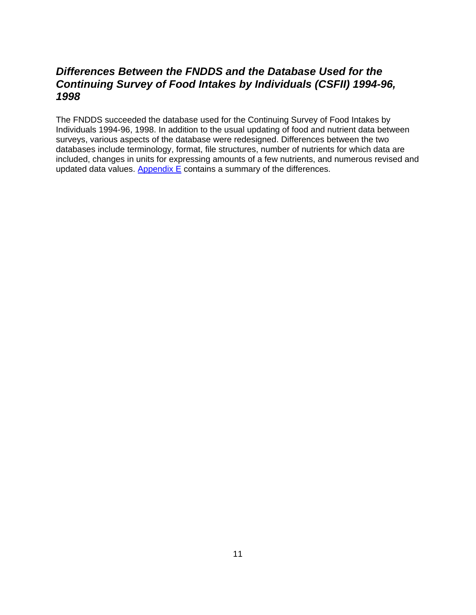### *Differences Between the FNDDS and the Database Used for the Continuing Survey of Food Intakes by Individuals (CSFII) 1994-96, 1998*

The FNDDS succeeded the database used for the Continuing Survey of Food Intakes by Individuals 1994-96, 1998. In addition to the usual updating of food and nutrient data between surveys, various aspects of the database were redesigned. Differences between the two databases include terminology, format, file structures, number of nutrients for which data are included, changes in units for expressing amounts of a few nutrients, and numerous revised and updated data values. Appendix  $E$  contains a summary of the differences.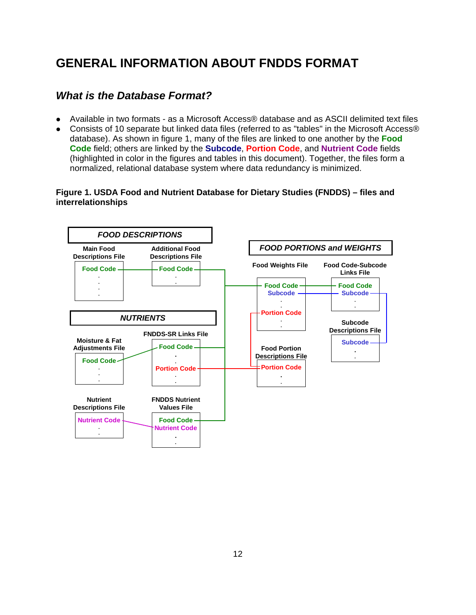# **GENERAL INFORMATION ABOUT FNDDS FORMAT**

## *What is the Database Format?*

- Available in two formats as a Microsoft Access® database and as ASCII delimited text files
- Consists of 10 separate but linked data files (referred to as "tables" in the Microsoft Access® database). As shown in figure 1, many of the files are linked to one another by the **Food Code** field; others are linked by the **Subcode**, **Portion Code**, and **Nutrient Code** fields (highlighted in color in the figures and tables in this document). Together, the files form a normalized, relational database system where data redundancy is minimized.

### **Figure 1. USDA Food and Nutrient Database for Dietary Studies (FNDDS) – files and interrelationships**

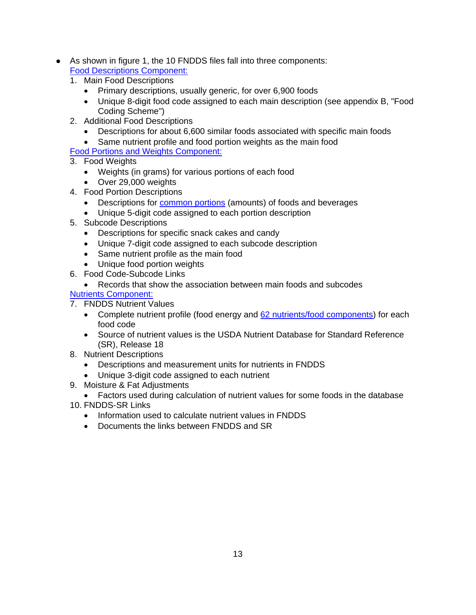- As shown in figure 1, the 10 FNDDS files fall into three components: Food Descriptions Component:
	- 1. Main Food Descriptions
		- Primary descriptions, usually generic, for over 6,900 foods
		- Unique 8-digit food code assigned to each main description (see appendix B, "Food Coding Scheme")
	- 2. Additional Food Descriptions
		- Descriptions for about 6,600 similar foods associated with specific main foods
		- Same nutrient profile and food portion weights as the main food
	- Food Portions and Weights Component:
	- 3. Food Weights
		- Weights (in grams) for various portions of each food
		- Over 29,000 weights
	- 4. Food Portion Descriptions
		- Descriptions for common portions (amounts) of foods and beverages
		- Unique 5-digit code assigned to each portion description
	- 5. Subcode Descriptions
		- Descriptions for specific snack cakes and candy
		- Unique 7-digit code assigned to each subcode description
		- Same nutrient profile as the main food
		- Unique food portion weights
	- 6. Food Code-Subcode Links
		- Records that show the association between main foods and subcodes

### Nutrients Component:

- 7. FNDDS Nutrient Values
	- Complete nutrient profile (food energy and 62 nutrients/food components) for each food code
	- Source of nutrient values is the USDA Nutrient Database for Standard Reference (SR), Release 18
- 8. Nutrient Descriptions
	- Descriptions and measurement units for nutrients in FNDDS
	- Unique 3-digit code assigned to each nutrient
- 9. Moisture & Fat Adjustments
- Factors used during calculation of nutrient values for some foods in the database
- 10. FNDDS-SR Links
	- Information used to calculate nutrient values in FNDDS
	- Documents the links between FNDDS and SR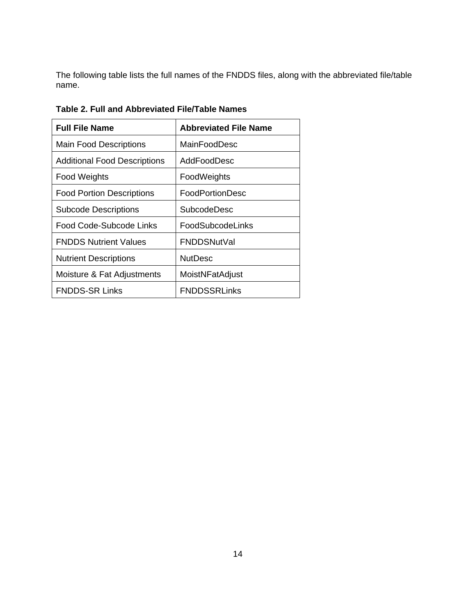The following table lists the full names of the FNDDS files, along with the abbreviated file/table name.

| <b>Full File Name</b>               | <b>Abbreviated File Name</b> |
|-------------------------------------|------------------------------|
| <b>Main Food Descriptions</b>       | MainFoodDesc                 |
| <b>Additional Food Descriptions</b> | AddFoodDesc                  |
| <b>Food Weights</b>                 | FoodWeights                  |
| <b>Food Portion Descriptions</b>    | FoodPortionDesc              |
| <b>Subcode Descriptions</b>         | SubcodeDesc                  |
| Food Code-Subcode Links             | FoodSubcodeLinks             |
| <b>FNDDS Nutrient Values</b>        | <b>FNDDSNutVal</b>           |
| <b>Nutrient Descriptions</b>        | <b>NutDesc</b>               |
| Moisture & Fat Adjustments          | MoistNFatAdjust              |
| <b>FNDDS-SR Links</b>               | <b>FNDDSSRLinks</b>          |

**Table 2. Full and Abbreviated File/Table Names**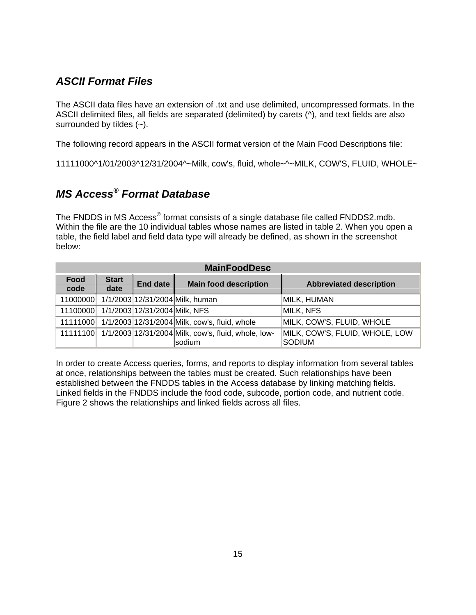### *ASCII Format Files*

The ASCII data files have an extension of .txt and use delimited, uncompressed formats. In the ASCII delimited files, all fields are separated (delimited) by carets (^), and text fields are also surrounded by tildes (~).

The following record appears in the ASCII format version of the Main Food Descriptions file:

11111000^1/01/2003^12/31/2004^~Milk, cow's, fluid, whole~^~MILK, COW'S, FLUID, WHOLE~

# *MS Access® Format Database*

The FNDDS in MS Access<sup>®</sup> format consists of a single database file called FNDDS2.mdb. Within the file are the 10 individual tables whose names are listed in table 2. When you open a table, the field label and field data type will already be defined, as shown in the screenshot below:

| <b>MainFoodDesc</b> |                      |                                        |                                                              |                                |
|---------------------|----------------------|----------------------------------------|--------------------------------------------------------------|--------------------------------|
| Food<br>code        | <b>Start</b><br>date | <b>End date</b>                        | <b>Main food description</b>                                 | <b>Abbreviated description</b> |
| 11000000            |                      |                                        | 1/1/2003 12/31/2004 Milk, human                              | MILK, HUMAN                    |
|                     |                      | 11100000 1/1/2003 12/31/2004 Milk, NFS |                                                              | MILK, NFS                      |
| 11111000            |                      |                                        | 1/1/2003 12/31/2004 Milk, cow's, fluid, whole                | MILK, COW'S, FLUID, WHOLE      |
|                     |                      |                                        | 11111100 1/1/2003 12/31/2004 Milk, cow's, fluid, whole, low- | MILK, COW'S, FLUID, WHOLE, LOW |
|                     |                      |                                        | sodium                                                       | Sodium                         |

In order to create Access queries, forms, and reports to display information from several tables at once, relationships between the tables must be created. Such relationships have been established between the FNDDS tables in the Access database by linking matching fields. Linked fields in the FNDDS include the food code, subcode, portion code, and nutrient code. Figure 2 shows the relationships and linked fields across all files.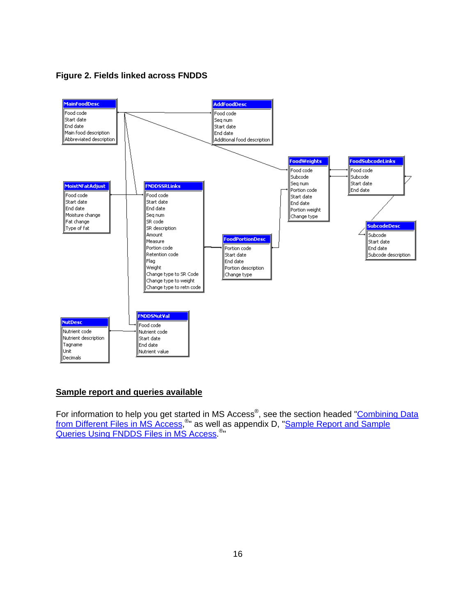**Figure 2. Fields linked across FNDDS** 



#### **Sample report and queries available**

For information to help you get started in MS Access®, see the section headed "Combining Data from Different Files in MS Access,<sup>®</sup>" as well as appendix D, "Sample Report and Sample Queries Using FNDDS Files in MS Access.<sup>®</sup>"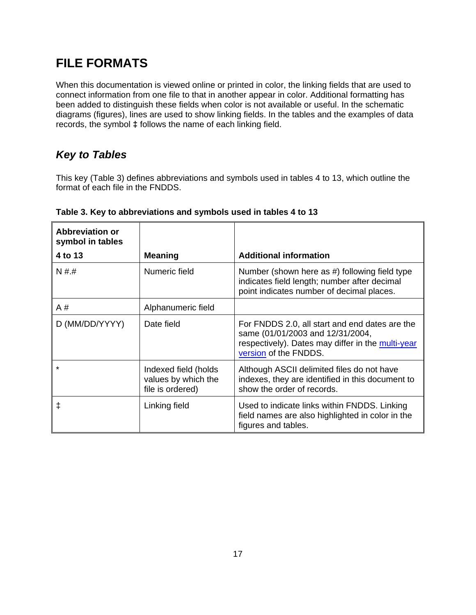# **FILE FORMATS**

When this documentation is viewed online or printed in color, the linking fields that are used to connect information from one file to that in another appear in color. Additional formatting has been added to distinguish these fields when color is not available or useful. In the schematic diagrams (figures), lines are used to show linking fields. In the tables and the examples of data records, the symbol **‡** follows the name of each linking field.

## *Key to Tables*

This key (Table 3) defines abbreviations and symbols used in tables 4 to 13, which outline the format of each file in the FNDDS.

| <b>Abbreviation or</b><br>symbol in tables |                                                                 |                                                                                                                                                                  |
|--------------------------------------------|-----------------------------------------------------------------|------------------------------------------------------------------------------------------------------------------------------------------------------------------|
| 4 to 13                                    | <b>Meaning</b>                                                  | <b>Additional information</b>                                                                                                                                    |
| N##                                        | Numeric field                                                   | Number (shown here as #) following field type<br>indicates field length; number after decimal<br>point indicates number of decimal places.                       |
| A #                                        | Alphanumeric field                                              |                                                                                                                                                                  |
| D (MM/DD/YYYY)                             | Date field                                                      | For FNDDS 2.0, all start and end dates are the<br>same (01/01/2003 and 12/31/2004,<br>respectively). Dates may differ in the multi-year<br>version of the FNDDS. |
| $\star$                                    | Indexed field (holds<br>values by which the<br>file is ordered) | Although ASCII delimited files do not have<br>indexes, they are identified in this document to<br>show the order of records.                                     |
| ŧ                                          | Linking field                                                   | Used to indicate links within FNDDS. Linking<br>field names are also highlighted in color in the<br>figures and tables.                                          |

### **Table 3. Key to abbreviations and symbols used in tables 4 to 13**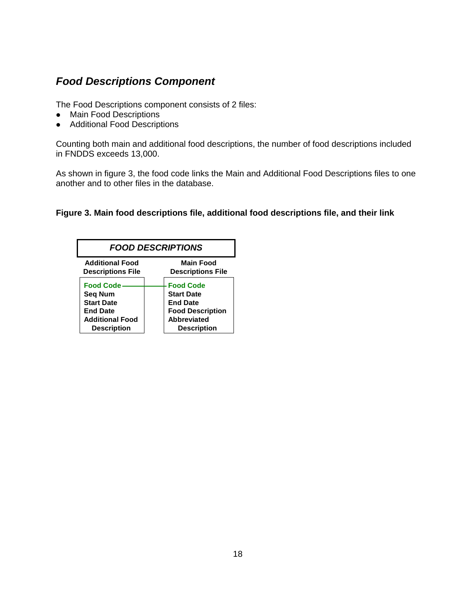## *Food Descriptions Component*

The Food Descriptions component consists of 2 files:

- Main Food Descriptions
- Additional Food Descriptions

Counting both main and additional food descriptions, the number of food descriptions included in FNDDS exceeds 13,000.

As shown in figure 3, the food code links the Main and Additional Food Descriptions files to one another and to other files in the database.

### **Figure 3. Main food descriptions file, additional food descriptions file, and their link**

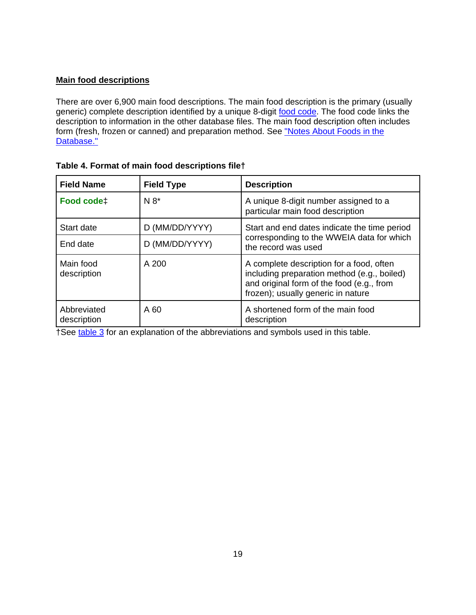### **Main food descriptions**

There are over 6,900 main food descriptions. The main food description is the primary (usually generic) complete description identified by a unique 8-digit food code. The food code links the description to information in the other database files. The main food description often includes form (fresh, frozen or canned) and preparation method. See "Notes About Foods in the Database."

| <b>Field Name</b>          | <b>Field Type</b> | <b>Description</b>                                                                                                                                                         |
|----------------------------|-------------------|----------------------------------------------------------------------------------------------------------------------------------------------------------------------------|
| Food code‡                 | $N 8*$            | A unique 8-digit number assigned to a<br>particular main food description                                                                                                  |
| Start date                 | D (MM/DD/YYYY)    | Start and end dates indicate the time period                                                                                                                               |
| End date                   | D (MM/DD/YYYY)    | corresponding to the WWEIA data for which<br>the record was used                                                                                                           |
| Main food<br>description   | A 200             | A complete description for a food, often<br>including preparation method (e.g., boiled)<br>and original form of the food (e.g., from<br>frozen); usually generic in nature |
| Abbreviated<br>description | A 60              | A shortened form of the main food<br>description                                                                                                                           |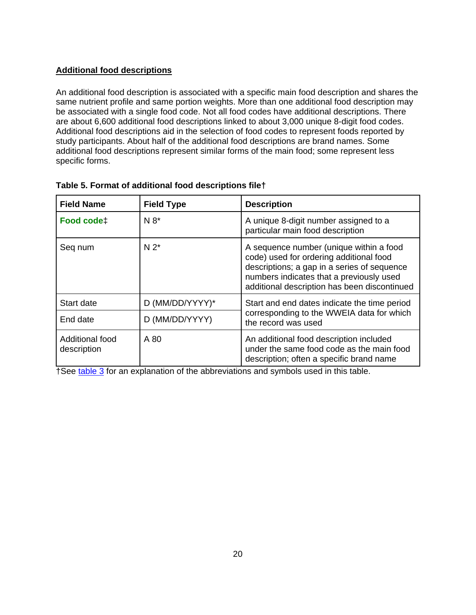### **Additional food descriptions**

An additional food description is associated with a specific main food description and shares the same nutrient profile and same portion weights. More than one additional food description may be associated with a single food code. Not all food codes have additional descriptions. There are about 6,600 additional food descriptions linked to about 3,000 unique 8-digit food codes. Additional food descriptions aid in the selection of food codes to represent foods reported by study participants. About half of the additional food descriptions are brand names. Some additional food descriptions represent similar forms of the main food; some represent less specific forms.

| <b>Field Name</b>              | <b>Field Type</b> | <b>Description</b>                                                                                                                                                                                                            |
|--------------------------------|-------------------|-------------------------------------------------------------------------------------------------------------------------------------------------------------------------------------------------------------------------------|
| Food code‡                     | $N 8*$            | A unique 8-digit number assigned to a<br>particular main food description                                                                                                                                                     |
| Seq num                        | $N 2^*$           | A sequence number (unique within a food<br>code) used for ordering additional food<br>descriptions; a gap in a series of sequence<br>numbers indicates that a previously used<br>additional description has been discontinued |
| Start date                     | D (MM/DD/YYYY)*   | Start and end dates indicate the time period                                                                                                                                                                                  |
| End date                       | D (MM/DD/YYYY)    | corresponding to the WWEIA data for which<br>the record was used                                                                                                                                                              |
| Additional food<br>description | A 80              | An additional food description included<br>under the same food code as the main food<br>description; often a specific brand name                                                                                              |

### **Table 5. Format of additional food descriptions file†**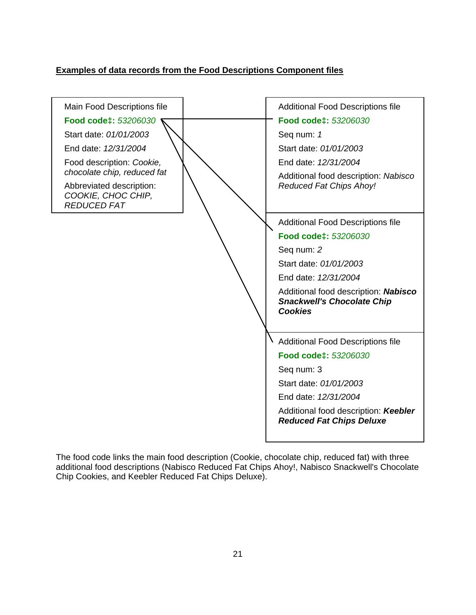### **Examples of data records from the Food Descriptions Component files**



The food code links the main food description (Cookie, chocolate chip, reduced fat) with three additional food descriptions (Nabisco Reduced Fat Chips Ahoy!, Nabisco Snackwell's Chocolate Chip Cookies, and Keebler Reduced Fat Chips Deluxe).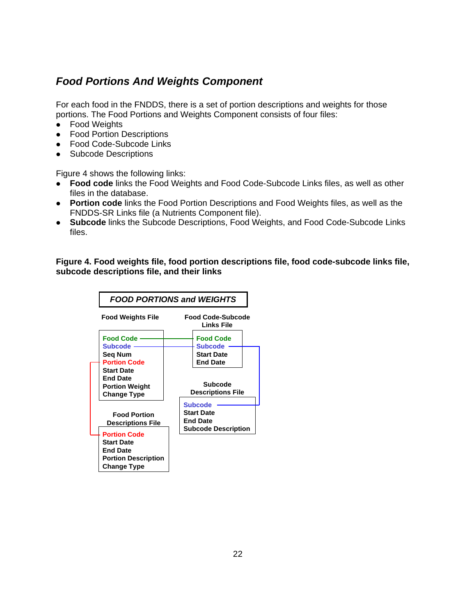### *Food Portions And Weights Component*

For each food in the FNDDS, there is a set of portion descriptions and weights for those portions. The Food Portions and Weights Component consists of four files:

- Food Weights
- Food Portion Descriptions
- Food Code-Subcode Links
- Subcode Descriptions

Figure 4 shows the following links:

- **Food code** links the Food Weights and Food Code-Subcode Links files, as well as other files in the database.
- **Portion code** links the Food Portion Descriptions and Food Weights files, as well as the FNDDS-SR Links file (a Nutrients Component file).
- **Subcode** links the Subcode Descriptions, Food Weights, and Food Code-Subcode Links files.

**Figure 4. Food weights file, food portion descriptions file, food code-subcode links file, subcode descriptions file, and their links** 

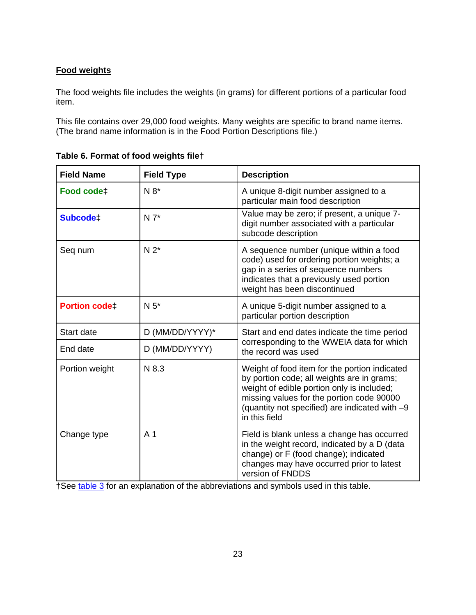### **Food weights**

The food weights file includes the weights (in grams) for different portions of a particular food item.

This file contains over 29,000 food weights. Many weights are specific to brand name items. (The brand name information is in the Food Portion Descriptions file.)

| <b>Field Name</b>    | <b>Field Type</b> | <b>Description</b>                                                                                                                                                                                                                                        |
|----------------------|-------------------|-----------------------------------------------------------------------------------------------------------------------------------------------------------------------------------------------------------------------------------------------------------|
| Food code‡           | $N 8*$            | A unique 8-digit number assigned to a<br>particular main food description                                                                                                                                                                                 |
| Subcode <sup>+</sup> | $N 7^*$           | Value may be zero; if present, a unique 7-<br>digit number associated with a particular<br>subcode description                                                                                                                                            |
| Seq num              | $N 2^*$           | A sequence number (unique within a food<br>code) used for ordering portion weights; a<br>gap in a series of sequence numbers<br>indicates that a previously used portion<br>weight has been discontinued                                                  |
| <b>Portion codet</b> | $N5*$             | A unique 5-digit number assigned to a<br>particular portion description                                                                                                                                                                                   |
| Start date           | D (MM/DD/YYYY)*   | Start and end dates indicate the time period                                                                                                                                                                                                              |
| End date             | D (MM/DD/YYYY)    | corresponding to the WWEIA data for which<br>the record was used                                                                                                                                                                                          |
| Portion weight       | N 8.3             | Weight of food item for the portion indicated<br>by portion code; all weights are in grams;<br>weight of edible portion only is included;<br>missing values for the portion code 90000<br>(quantity not specified) are indicated with -9<br>in this field |
| Change type          | A <sub>1</sub>    | Field is blank unless a change has occurred<br>in the weight record, indicated by a D (data<br>change) or F (food change); indicated<br>changes may have occurred prior to latest<br>version of FNDDS                                                     |

|  |  |  |  | Table 6. Format of food weights filet |  |
|--|--|--|--|---------------------------------------|--|
|--|--|--|--|---------------------------------------|--|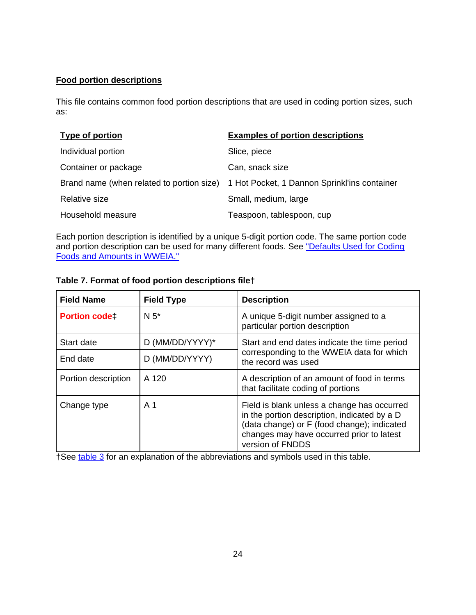### **Food portion descriptions**

This file contains common food portion descriptions that are used in coding portion sizes, such as:

| <b>Type of portion</b> | <b>Examples of portion descriptions</b>                                                |
|------------------------|----------------------------------------------------------------------------------------|
| Individual portion     | Slice, piece                                                                           |
| Container or package   | Can, snack size                                                                        |
|                        | Brand name (when related to portion size) 1 Hot Pocket, 1 Dannon Sprinkl'ins container |
| Relative size          | Small, medium, large                                                                   |
| Household measure      | Teaspoon, tablespoon, cup                                                              |

Each portion description is identified by a unique 5-digit portion code. The same portion code and portion description can be used for many different foods. See "Defaults Used for Coding Foods and Amounts in WWEIA."

| <b>Field Name</b>    | <b>Field Type</b> | <b>Description</b>                                                                                                                                                                                          |
|----------------------|-------------------|-------------------------------------------------------------------------------------------------------------------------------------------------------------------------------------------------------------|
| <b>Portion codet</b> | $N5*$             | A unique 5-digit number assigned to a<br>particular portion description                                                                                                                                     |
| Start date           | D (MM/DD/YYYY)*   | Start and end dates indicate the time period                                                                                                                                                                |
| End date             | D (MM/DD/YYYY)    | corresponding to the WWEIA data for which<br>the record was used                                                                                                                                            |
| Portion description  | A 120             | A description of an amount of food in terms<br>that facilitate coding of portions                                                                                                                           |
| Change type          | A 1               | Field is blank unless a change has occurred<br>in the portion description, indicated by a D<br>(data change) or F (food change); indicated<br>changes may have occurred prior to latest<br>version of FNDDS |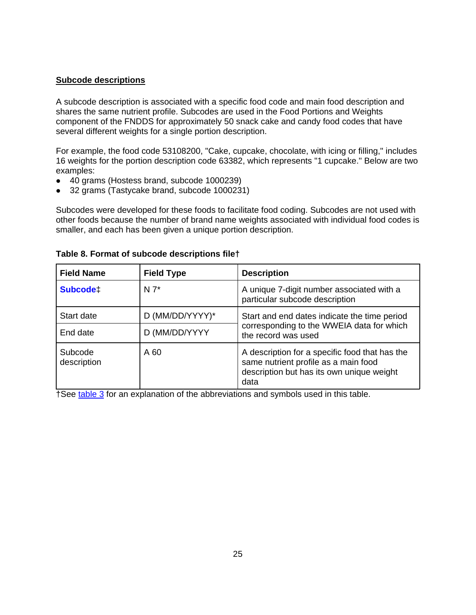#### **Subcode descriptions**

A subcode description is associated with a specific food code and main food description and shares the same nutrient profile. Subcodes are used in the Food Portions and Weights component of the FNDDS for approximately 50 snack cake and candy food codes that have several different weights for a single portion description.

For example, the food code 53108200, "Cake, cupcake, chocolate, with icing or filling," includes 16 weights for the portion description code 63382, which represents "1 cupcake." Below are two examples:

- 40 grams (Hostess brand, subcode 1000239)
- 32 grams (Tastycake brand, subcode 1000231)

Subcodes were developed for these foods to facilitate food coding. Subcodes are not used with other foods because the number of brand name weights associated with individual food codes is smaller, and each has been given a unique portion description.

| <b>Field Name</b>      | <b>Field Type</b> | <b>Description</b>                                                                                                                          |
|------------------------|-------------------|---------------------------------------------------------------------------------------------------------------------------------------------|
| Subcode <sup>+</sup>   | $N 7^*$           | A unique 7-digit number associated with a<br>particular subcode description                                                                 |
| Start date             | D (MM/DD/YYYY)*   | Start and end dates indicate the time period                                                                                                |
| End date               | D (MM/DD/YYYY     | corresponding to the WWEIA data for which<br>the record was used                                                                            |
| Subcode<br>description | A 60              | A description for a specific food that has the<br>same nutrient profile as a main food<br>description but has its own unique weight<br>data |

**Table 8. Format of subcode descriptions file†**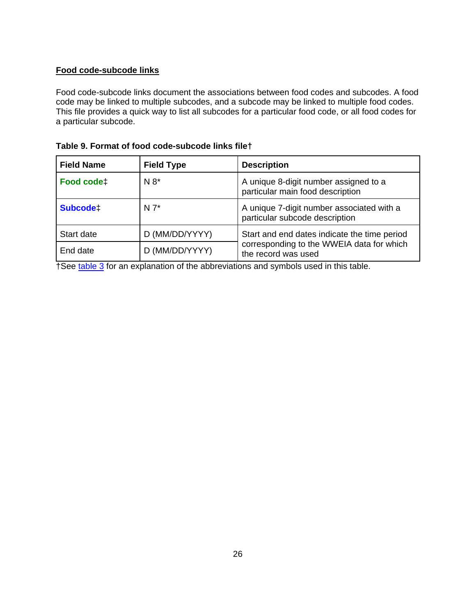### **Food code-subcode links**

Food code-subcode links document the associations between food codes and subcodes. A food code may be linked to multiple subcodes, and a subcode may be linked to multiple food codes. This file provides a quick way to list all subcodes for a particular food code, or all food codes for a particular subcode.

| <b>Field Name</b>    | <b>Field Type</b> | <b>Description</b>                                                          |
|----------------------|-------------------|-----------------------------------------------------------------------------|
| Food code‡           | $N 8^*$           | A unique 8-digit number assigned to a<br>particular main food description   |
| Subcode <sup>+</sup> | $N 7^*$           | A unique 7-digit number associated with a<br>particular subcode description |
| Start date           | D (MM/DD/YYYY)    | Start and end dates indicate the time period                                |
| End date             | D (MM/DD/YYYY)    | corresponding to the WWEIA data for which<br>the record was used            |

|  |  |  | Table 9. Format of food code-subcode links filet |  |  |
|--|--|--|--------------------------------------------------|--|--|
|--|--|--|--------------------------------------------------|--|--|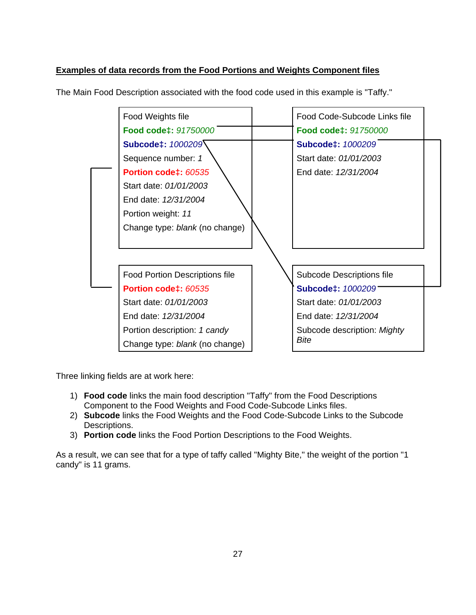### **Examples of data records from the Food Portions and Weights Component files**

| Food Weights file                     | Food Code-Subcode Links file |  |
|---------------------------------------|------------------------------|--|
| Food code‡: 91750000                  | Food code‡: 91750000         |  |
| Subcode‡: 1000209                     | Subcode‡: 1000209            |  |
| Sequence number: 1                    | Start date: 01/01/2003       |  |
| Portion code‡: 60535                  | End date: 12/31/2004         |  |
| Start date: 01/01/2003                |                              |  |
| End date: 12/31/2004                  |                              |  |
| Portion weight: 11                    |                              |  |
| Change type: blank (no change)        |                              |  |
|                                       |                              |  |
|                                       |                              |  |
| <b>Food Portion Descriptions file</b> | Subcode Descriptions file    |  |
| Portion code‡: 60535                  | <b>Subcode‡: 1000209</b>     |  |
| Start date: 01/01/2003                | Start date: 01/01/2003       |  |
| End date: 12/31/2004                  | End date: 12/31/2004         |  |
| Portion description: 1 candy          | Subcode description: Mighty  |  |
| Change type: blank (no change)        | Bite                         |  |
|                                       |                              |  |

The Main Food Description associated with the food code used in this example is "Taffy."

Three linking fields are at work here:

- 1) **Food code** links the main food description "Taffy" from the Food Descriptions Component to the Food Weights and Food Code-Subcode Links files.
- 2) **Subcode** links the Food Weights and the Food Code-Subcode Links to the Subcode Descriptions.
- 3) **Portion code** links the Food Portion Descriptions to the Food Weights.

As a result, we can see that for a type of taffy called "Mighty Bite," the weight of the portion "1 candy" is 11 grams.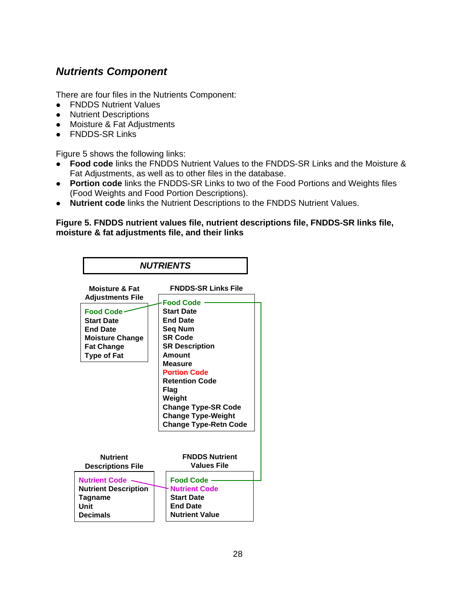## *Nutrients Component*

There are four files in the Nutrients Component:

- FNDDS Nutrient Values
- Nutrient Descriptions
- Moisture & Fat Adjustments
- FNDDS-SR Links

Figure 5 shows the following links:

- **Food code** links the FNDDS Nutrient Values to the FNDDS-SR Links and the Moisture & Fat Adjustments, as well as to other files in the database.
- **Portion code** links the FNDDS-SR Links to two of the Food Portions and Weights files (Food Weights and Food Portion Descriptions).
- **Nutrient code** links the Nutrient Descriptions to the FNDDS Nutrient Values.

#### **Figure 5. FNDDS nutrient values file, nutrient descriptions file, FNDDS-SR links file, moisture & fat adjustments file, and their links**

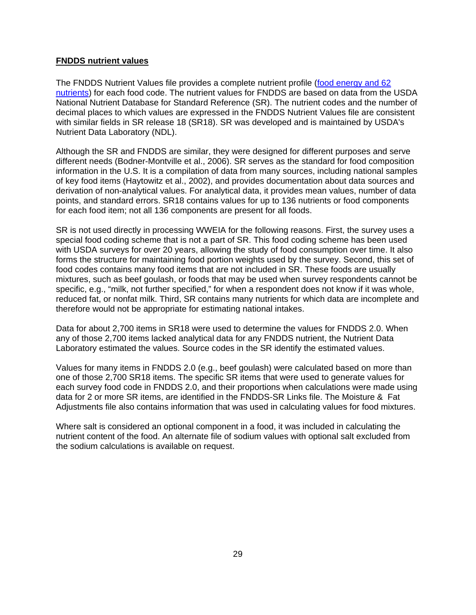#### **FNDDS nutrient values**

The FNDDS Nutrient Values file provides a complete nutrient profile (food energy and 62 nutrients) for each food code. The nutrient values for FNDDS are based on data from the USDA National Nutrient Database for Standard Reference (SR). The nutrient codes and the number of decimal places to which values are expressed in the FNDDS Nutrient Values file are consistent with similar fields in SR release 18 (SR18). SR was developed and is maintained by USDA's Nutrient Data Laboratory (NDL).

Although the SR and FNDDS are similar, they were designed for different purposes and serve different needs (Bodner-Montville et al., 2006). SR serves as the standard for food composition information in the U.S. It is a compilation of data from many sources, including national samples of key food items (Haytowitz et al., 2002), and provides documentation about data sources and derivation of non-analytical values. For analytical data, it provides mean values, number of data points, and standard errors. SR18 contains values for up to 136 nutrients or food components for each food item; not all 136 components are present for all foods.

SR is not used directly in processing WWEIA for the following reasons. First, the survey uses a special food coding scheme that is not a part of SR. This food coding scheme has been used with USDA surveys for over 20 years, allowing the study of food consumption over time. It also forms the structure for maintaining food portion weights used by the survey. Second, this set of food codes contains many food items that are not included in SR. These foods are usually mixtures, such as beef goulash, or foods that may be used when survey respondents cannot be specific, e.g., "milk, not further specified," for when a respondent does not know if it was whole, reduced fat, or nonfat milk. Third, SR contains many nutrients for which data are incomplete and therefore would not be appropriate for estimating national intakes.

Data for about 2,700 items in SR18 were used to determine the values for FNDDS 2.0. When any of those 2,700 items lacked analytical data for any FNDDS nutrient, the Nutrient Data Laboratory estimated the values. Source codes in the SR identify the estimated values.

Values for many items in FNDDS 2.0 (e.g., beef goulash) were calculated based on more than one of those 2,700 SR18 items. The specific SR items that were used to generate values for each survey food code in FNDDS 2.0, and their proportions when calculations were made using data for 2 or more SR items, are identified in the FNDDS-SR Links file. The Moisture & Fat Adjustments file also contains information that was used in calculating values for food mixtures.

Where salt is considered an optional component in a food, it was included in calculating the nutrient content of the food. An alternate file of sodium values with optional salt excluded from the sodium calculations is available on request.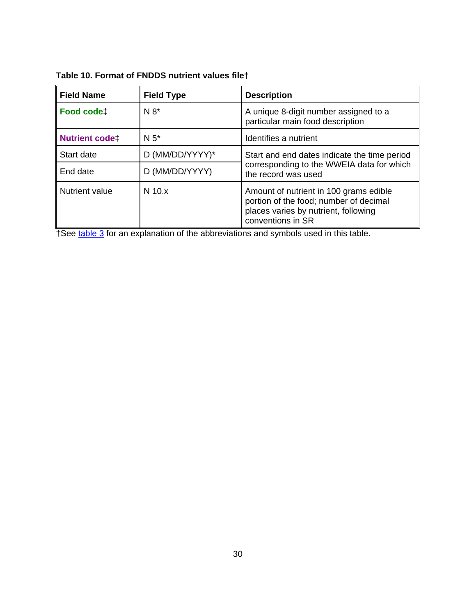**Table 10. Format of FNDDS nutrient values file†** 

| <b>Field Name</b>      | <b>Field Type</b> | <b>Description</b>                                                                                                                            |
|------------------------|-------------------|-----------------------------------------------------------------------------------------------------------------------------------------------|
| Food code <sup>+</sup> | $N 8*$            | A unique 8-digit number assigned to a<br>particular main food description                                                                     |
| <b>Nutrient codet</b>  | $N5$ *            | Identifies a nutrient                                                                                                                         |
| Start date             | D (MM/DD/YYYY)*   | Start and end dates indicate the time period                                                                                                  |
| End date               | D (MM/DD/YYYY)    | corresponding to the WWEIA data for which<br>the record was used                                                                              |
| Nutrient value         | $N$ 10. $x$       | Amount of nutrient in 100 grams edible<br>portion of the food; number of decimal<br>places varies by nutrient, following<br>conventions in SR |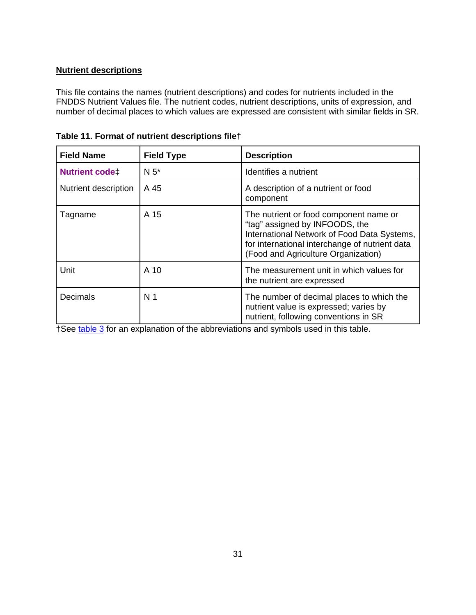### **Nutrient descriptions**

This file contains the names (nutrient descriptions) and codes for nutrients included in the FNDDS Nutrient Values file. The nutrient codes, nutrient descriptions, units of expression, and number of decimal places to which values are expressed are consistent with similar fields in SR.

| <b>Field Name</b>     | <b>Field Type</b> | <b>Description</b>                                                                                                                                                                                               |
|-----------------------|-------------------|------------------------------------------------------------------------------------------------------------------------------------------------------------------------------------------------------------------|
| <b>Nutrient codet</b> | $N5*$             | Identifies a nutrient                                                                                                                                                                                            |
| Nutrient description  | A 45              | A description of a nutrient or food<br>component                                                                                                                                                                 |
| Tagname               | A 15              | The nutrient or food component name or<br>"tag" assigned by INFOODS, the<br>International Network of Food Data Systems,<br>for international interchange of nutrient data<br>(Food and Agriculture Organization) |
| Unit                  | A 10              | The measurement unit in which values for<br>the nutrient are expressed                                                                                                                                           |
| Decimals              | N <sub>1</sub>    | The number of decimal places to which the<br>nutrient value is expressed; varies by<br>nutrient, following conventions in SR                                                                                     |

| Table 11. Format of nutrient descriptions filet |  |  |  |  |  |  |
|-------------------------------------------------|--|--|--|--|--|--|
|-------------------------------------------------|--|--|--|--|--|--|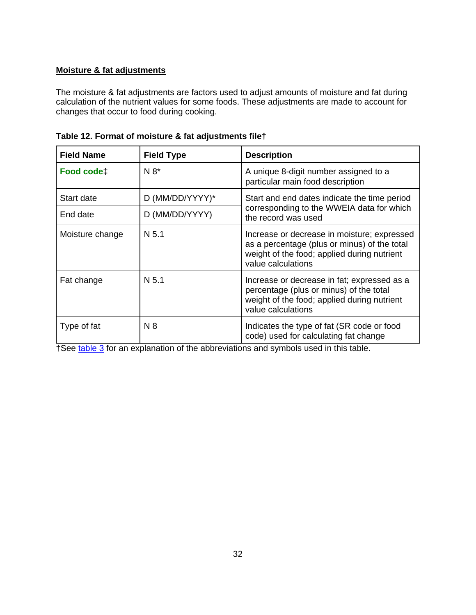### **Moisture & fat adjustments**

The moisture & fat adjustments are factors used to adjust amounts of moisture and fat during calculation of the nutrient values for some foods. These adjustments are made to account for changes that occur to food during cooking.

| <b>Field Name</b> | <b>Field Type</b> | <b>Description</b>                                                                                                                                               |
|-------------------|-------------------|------------------------------------------------------------------------------------------------------------------------------------------------------------------|
| Food code‡        | $N 8*$            | A unique 8-digit number assigned to a<br>particular main food description                                                                                        |
| Start date        | D (MM/DD/YYYY)*   | Start and end dates indicate the time period                                                                                                                     |
| End date          | D (MM/DD/YYYY)    | corresponding to the WWEIA data for which<br>the record was used                                                                                                 |
| Moisture change   | N <sub>5.1</sub>  | Increase or decrease in moisture; expressed<br>as a percentage (plus or minus) of the total<br>weight of the food; applied during nutrient<br>value calculations |
| Fat change        | N <sub>5.1</sub>  | Increase or decrease in fat; expressed as a<br>percentage (plus or minus) of the total<br>weight of the food; applied during nutrient<br>value calculations      |
| Type of fat       | N8                | Indicates the type of fat (SR code or food<br>code) used for calculating fat change                                                                              |

|  |  | Table 12. Format of moisture & fat adjustments file† |
|--|--|------------------------------------------------------|
|--|--|------------------------------------------------------|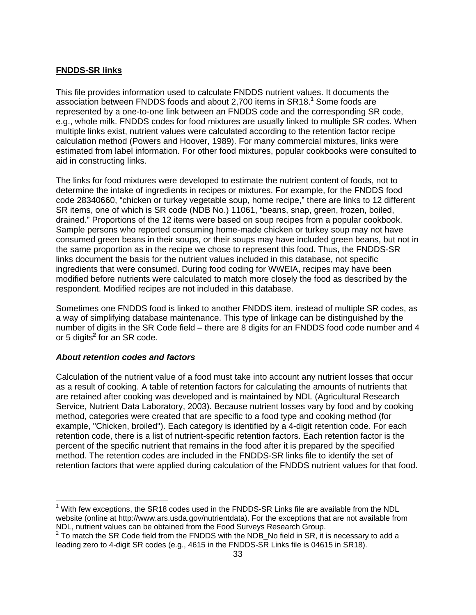### **FNDDS-SR links**

This file provides information used to calculate FNDDS nutrient values. It documents the association between FNDDS foods and about 2,700 items in SR18.<sup>1</sup> Some foods are represented by a one-to-one link between an FNDDS code and the corresponding SR code, e.g., whole milk. FNDDS codes for food mixtures are usually linked to multiple SR codes. When multiple links exist, nutrient values were calculated according to the retention factor recipe calculation method (Powers and Hoover, 1989). For many commercial mixtures, links were estimated from label information. For other food mixtures, popular cookbooks were consulted to aid in constructing links.

The links for food mixtures were developed to estimate the nutrient content of foods, not to determine the intake of ingredients in recipes or mixtures. For example, for the FNDDS food code 28340660, "chicken or turkey vegetable soup, home recipe," there are links to 12 different SR items, one of which is SR code (NDB No.) 11061, "beans, snap, green, frozen, boiled, drained." Proportions of the 12 items were based on soup recipes from a popular cookbook. Sample persons who reported consuming home-made chicken or turkey soup may not have consumed green beans in their soups, or their soups may have included green beans, but not in the same proportion as in the recipe we chose to represent this food. Thus, the FNDDS-SR links document the basis for the nutrient values included in this database, not specific ingredients that were consumed. During food coding for WWEIA, recipes may have been modified before nutrients were calculated to match more closely the food as described by the respondent. Modified recipes are not included in this database.

Sometimes one FNDDS food is linked to another FNDDS item, instead of multiple SR codes, as a way of simplifying database maintenance. This type of linkage can be distinguished by the number of digits in the SR Code field – there are 8 digits for an FNDDS food code number and 4 or 5 digits**<sup>2</sup>** for an SR code.

### About retention codes and factors

 $\overline{a}$ 

Calculation of the nutrient value of a food must take into account any nutrient losses that occur as a result of cooking. A table of retention factors for calculating the amounts of nutrients that are retained after cooking was developed and is maintained by NDL (Agricultural Research Service, Nutrient Data Laboratory, 2003). Because nutrient losses vary by food and by cooking method, categories were created that are specific to a food type and cooking method (for example, "Chicken, broiled"). Each category is identified by a 4-digit retention code. For each retention code, there is a list of nutrient-specific retention factors. Each retention factor is the percent of the specific nutrient that remains in the food after it is prepared by the specified method. The retention codes are included in the FNDDS-SR links file to identify the set of retention factors that were applied during calculation of the FNDDS nutrient values for that food.

 $1$  With few exceptions, the SR18 codes used in the FNDDS-SR Links file are available from the NDL website (online at http://www.ars.usda.gov/nutrientdata). For the exceptions that are not available from NDL, nutrient values can be obtained from the Food Surveys Research Group.<br><sup>2</sup> To match the SR Code field from the FNDDS with the NDB\_No field in SR, it is necessary to add a

leading zero to 4-digit SR codes (e.g., 4615 in the FNDDS-SR Links file is 04615 in SR18).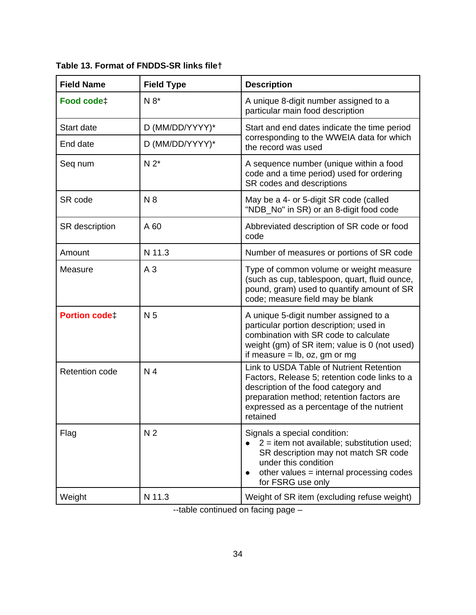Field Name | Field Type | Description **Food code Food code A** N 8<sup>\*</sup> A unique 8-digit number assigned to a particular main food description Start date  $\vert D \text{ (MM/DD/YYYY)}^* \vert$ End date  $\vert D \text{ (MM/DD/YYYY)}^* \vert$ Start and end dates indicate the time period corresponding to the WWEIA data for whi ch the record was used Seq num  $\bigcup_{n=1}^{\infty} N 2^*$  A sequence number (unique within a food code and a time period) used for ordering SR codes and descriptions SR code  $\vert$  N 8  $\vert$  May be a 4- or 5-digit SR code (called "NDB\_No" in SR) or an 8-digit food code SR description  $\begin{array}{|c|c|c|c|c|}\n\hline\n\end{array}$  Abbreviated description of SR code or food code Amount N 11.3 Number of measures or portions of SR code Measure A 3 Type of common volume or weight mea sure (such as cup, tablespoon, quart, fluid ounce , pound, gram) u sed to quantify amount of SR code; measure field may be blank **Portion code N** 5 A unique 5-digit number assigned to a particular portion description; used in combination with SR code to calculate weight (gm) of SR item; value is 0 (not used) if measure  $=$  lb, oz, gm or mg Retention code  $\begin{matrix} N & 4 \end{matrix}$  N 4 Factors, Release 5; retention code links to a description of the food category and preparation method; retention factors are expressed as a percentage of the nutrient retained Link to USDA Table of Nutrient Retention Flag N 2 | N 2 | Signals a special condition:  $2 =$  item not available; substitution used; SR description may not match SR co de under this condition other values = internal processing codes  $\bullet$ for FSRG use only Weight  $\vert$  N 11.3 Weight of SR item (excluding refuse weight)

**Table 13. Format of FNDDS-SR links file†** 

--table continued on facing page –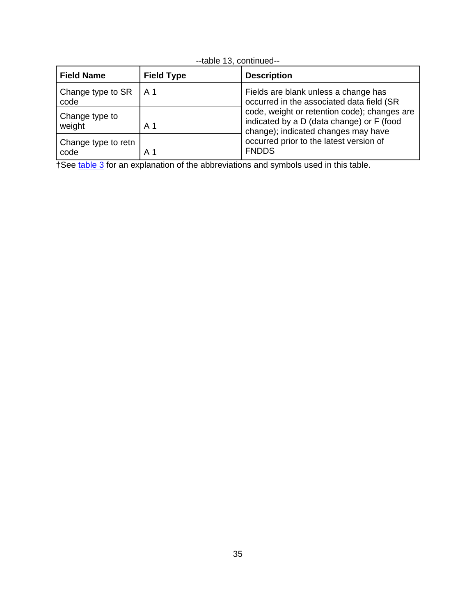| <b>Field Name</b>           | <b>Field Type</b> | <b>Description</b>                                                                                                                                                                                                                                                               |
|-----------------------------|-------------------|----------------------------------------------------------------------------------------------------------------------------------------------------------------------------------------------------------------------------------------------------------------------------------|
| Change type to SR<br>code   | A 1               | Fields are blank unless a change has<br>occurred in the associated data field (SR<br>code, weight or retention code); changes are<br>indicated by a D (data change) or F (food<br>change); indicated changes may have<br>occurred prior to the latest version of<br><b>FNDDS</b> |
| Change type to<br>weight    | A 1               |                                                                                                                                                                                                                                                                                  |
| Change type to retn<br>code | A 1               |                                                                                                                                                                                                                                                                                  |

|  | --table 13, continued-- |
|--|-------------------------|
|--|-------------------------|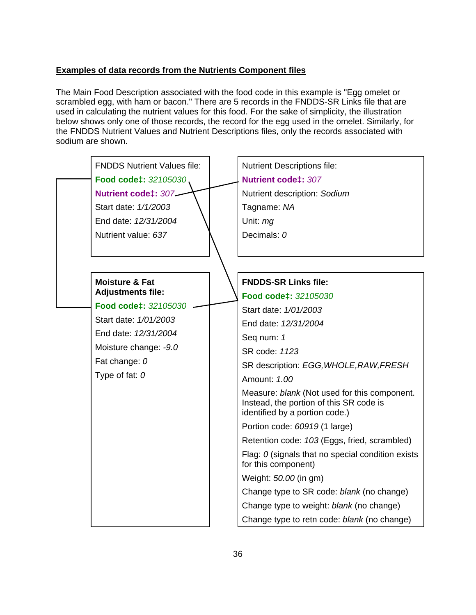### **Examples of data records from the Nutrients Component files**

The Main Food Description associated with the food code in this example is "Egg omelet or scrambled egg, with ham or bacon." There are 5 records in the FNDDS-SR Links file that are used in calculating the nutrient values for this food. For the sake of simplicity, the illustration below shows only one of those records, the record for the egg used in the omelet. Similarly, for the FNDDS Nutrient Values and Nutrient Descriptions files, only the records associated with s odium are shown.

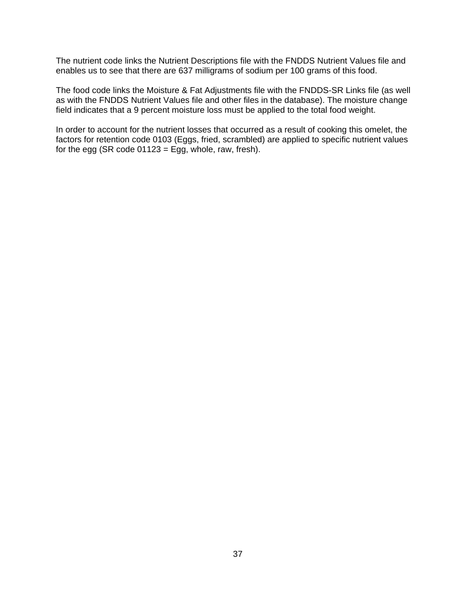The nutrient code links the Nutrient Descriptions file with the FNDDS Nutrient Values file and enables us to see that there are 637 milligrams of sodium per 100 grams of this food.

The food code links the Moisture & Fat Adjustments file with the FNDDS-SR Links file (as well as with the FNDDS Nutrient Values file and other files in the database). The moisture change field indicates that a 9 percent moisture loss must be applied to the total food weight.

factors for retention code 0103 (Eggs, fried, scrambled) are applied to specific nutrient values for the egg (SR code  $01123$  = Egg, whole, raw, fresh). In order to account for the nutrient losses that occurred as a result of cooking this omelet, the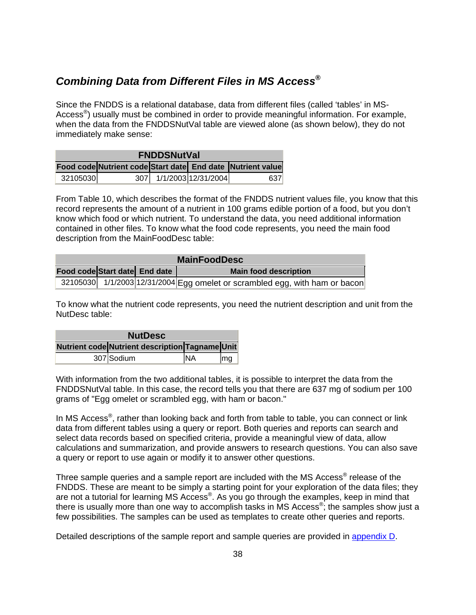# *Combining Data from Different Files in MS Access***<sup>®</sup>**

Access<sup>®</sup>) usually must be combined in order to provide meaningful information. For example, Since the FNDDS is a relational database, data from different files (called 'tables' in MSwhen the data from the FNDDSNutVal table are viewed alone (as shown below), they do not immediately make sense:

| <b>FNDDSNutVal</b> |  |  |                         |                                                            |
|--------------------|--|--|-------------------------|------------------------------------------------------------|
|                    |  |  |                         | Food code Nutrient code Start date End date Nutrient value |
| 32105030           |  |  | 307 1/1/2003 12/31/2004 | 637                                                        |

From Table 10, which describes the format of the FNDDS nutrient values file, you know that this record represents the amount of a nutrient in 100 grams edible portion of a food, but you don't know which food or which nutrient. To understand the data, you need additional information contained in other files. To know what the food code represents, you need the main food description from the MainFoodDesc table:

| <b>MainFoodDesc</b>           |  |  |                                                                                |
|-------------------------------|--|--|--------------------------------------------------------------------------------|
| Food code Start date End date |  |  | <b>Main food description</b>                                                   |
|                               |  |  | $+32105030$ 1/1/2003 12/31/2004 Egg omelet or scrambled egg, with ham or bacon |

To know what the nutrient code represents, you need the nutrient description and unit from the NutDesc table:

| <b>NutDesc</b> |                                                 |    |    |  |
|----------------|-------------------------------------------------|----|----|--|
|                | Nutrient code Nutrient description Tagname Unit |    |    |  |
|                | 307 Sodium                                      | NA | mg |  |

With information from the two additional tables, it is possible to interpret the data from the FNDDSNutVal table. In this case, the record tells you that there are 637 mg of sodium per 100 grams of "Egg omelet or scrambled egg, with ham or bacon."

In MS Access<sup>®</sup>, rather than looking back and forth from table to table, you can connect or link data from different tables using a query or report. Both queries and reports can search and select data records based on specified criteria, provide a meaningful view of data, allow calculations and summarization, and provide answers to research questions. You can also save a query or report to use again or modify it to answer other questions.

Three sample queries and a sample report are included with the MS Access<sup>®</sup> release of the FNDDS. These are meant to be simply a starting point for your exploration of the data files; they are not a tutorial for learning MS Access®. As you go through the examples, keep in mind that there is usually more than one way to accomplish tasks in MS Access<sup>®</sup>; the samples show just a few possibilities. The samples can be used as templates to create other queries and reports.

Detailed descriptions of the sample report and sample queries are provided in appendix D.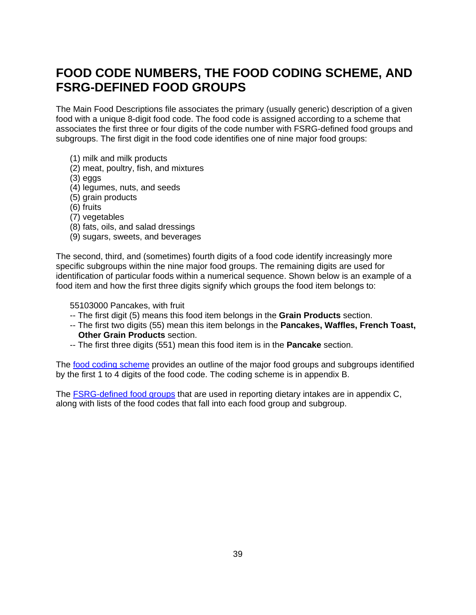# **FOOD CODE NUMBERS, THE FOOD CODING SCHEME, AND FSRG-DEFINED FOOD GROUPS**

associates the first three or four digits of the code number with FSRG-defined food groups and subgroups. The first digit in the food code identifies one of nine major food groups: The Main Food Descriptions file associates the primary (usually generic) description of a given food with a unique 8-digit food code. The food code is assigned according to a scheme that

- (1) milk and milk products
- (2) meat, poultry, fish, and mixtures
- (3) eggs
- (4) legumes, nuts, and seeds
- (5) grain products
- (6) fruits
- (7) vegetables
- (8) fats, oils, and salad dressings
- (9) sugars, sweets, and beverages

The second, third, and (sometimes) fourth digits of a food code identify increasingly more specific subgroups within the nine major food groups. The remaining digits are used for identification of particular foods within a numerical sequence. Shown below is an example of a food item and how the first three digits signify which groups the food item belongs to:

55103000 Pancakes, with fruit

- -- The first digit (5) means this food item belongs in the **Grain Products** section.
	- -- The first two digits (55) mean this item belongs in the **Pancakes, Waffles, French Toast, Other Grain Products** section.
	- -- The first three digits (551) mean this food item is in the **Pancake** section.

The food coding scheme provides an outline of the major food groups and subgroups identified by the first 1 to 4 digits of the food code. The coding scheme is in appendix B.

The FSRG-defined food groups that are used in reporting dietary intakes are in appendix C, along with lists of the food codes that fall into each food group and subgroup.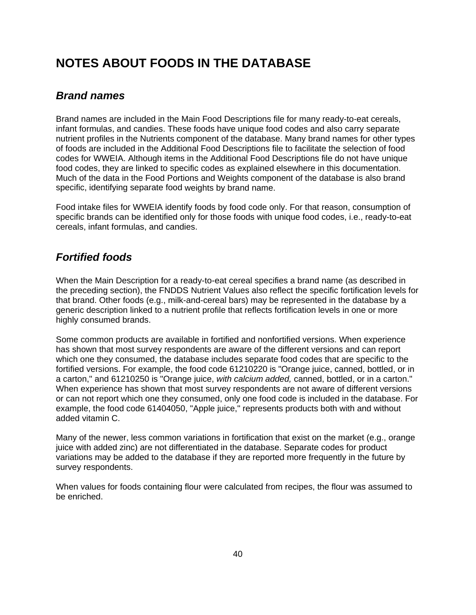# **NOTES ABOUT FOODS IN THE DATABASE**

# *Brand names*

nutrient profiles in the Nutrients component of the database. Many brand names for other types of foods are included in the Additional Food Descriptions file to facilitate the selection of food codes for WWEIA. Although items in the Additional Food Descriptions file do not have unique food codes, they are linked to specific codes as explained elsewhere in this documentation. Much of the data in the Food Portions and Weights component of the database is also brand specific, identifying separate food weights by brand name. Brand names are included in the Main Food Descriptions file for many ready-to-eat cereals, infant formulas, and candies. These foods have unique food codes and also carry separate

Food intake files for WWEIA identify foods by food code only. For that reason, consumption of specific brands can be identified only for those foods with unique food codes, i.e., ready-to-eat cereals, infant formulas, and candies.

# *Fortified foods*

the preceding section), the FNDDS Nutrient Values also reflect the specific fortification levels for that brand. Other foods (e.g., milk-and-cereal bars) may be represented in the database by a generic description linked to a nutrient profile that reflects fortification levels in one or more When the Main Description for a ready-to-eat cereal specifies a brand name (as described in highly consumed brands.

Some common products are available in fortified and nonfortified versions. When experience has shown that most survey respondents are aware of the different versions and can report a carton," and 61210250 is "Orange juice, *with calcium added,* canned, bottled, or in a carton." When experience has shown that most survey respondents are not aware of different versions or or can not report which one they consumed, only one food code is included in the database. F example, the food code 61404050, "Apple juice," represents products both with and without added vitamin C. which one they consumed, the database includes separate food codes that are specific to the fortified versions. For example, the food code 61210220 is "Orange juice, canned, bottled, or in

Many of the newer, less common variations in fortification that exist on the market (e.g., orange juice with added zinc) are not differentiated in the database. Separate codes for product variations may be added to the database if they are reported more frequently in the future by survey respondents.

When values for foods containing flour were calculated from recipes, the flour was assumed to be enriched.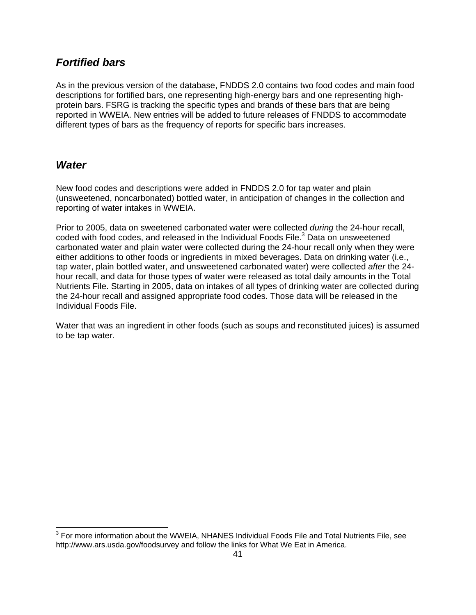## *Fortified bars*

As in the previous version of the database, FNDDS 2.0 contains two food codes and main food descriptions for fortified bars, one representing high-energy bars and one representing highprotein bars. FSRG is tracking the specific types and brands of these bars that are being reported in WWEIA. New entries will be added to future releases of FNDDS to accommodate different types of bars as the frequency of reports for specific bars increases.

## *Water*

New food codes and descriptions were added in FNDDS 2.0 for tap water and plain (unsweetened, noncarbonated) bottled water, in anticipation of changes in the collection and reporting of water intakes in WWEIA.

Prior to 2005, data on sweetened carbonated water were collected *during* the 24-hour recall, coded with food codes, and released in the Individual Foods File.<sup>3</sup> Data on unsweetened carbonated water and plain water were collected during the 24-hour recall only when they were either additions to other foods or ingredients in mixed beverages. Data on drinking water (i.e., tap water, plain bottled water, and unsweetened carbonated water) were collected after the 24hour recall, and data for those types of water were released as total daily amounts in the Total Nutrients File. Starting in 2005, data on intakes of all types of drinking water are collected during the 24-hour recall and assigned appropriate food codes. Those data will be released in the Individual Foods File.

Water that was an ingredient in other foods (such as soups and reconstituted juices) is assumed to be tap water.

 3 For more information about the WWEIA, NHANES Individual Foods File and Total Nutrients File, see http://www.ars.usda.gov/foodsurvey and follow the links for What We Eat in America.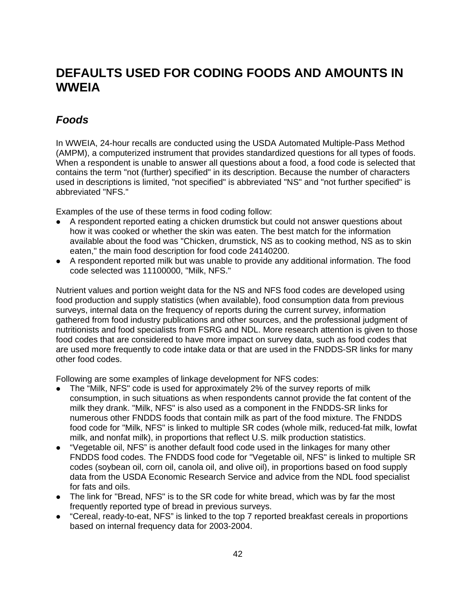# DEFAULTS USED FOR CODING FOODS AND AMOUNTS IN **WWEIA**

# *Foods*

 WWEIA, 24-hour recalls are conducted using the USDA Automated Multiple-Pass Method In (AMPM), a computerized instrument that provides standardized questions for all types of foods. When a respondent is unable to answer all questions about a food, a food code is selected that contains the term "not (further) specified" in its description. Because the number of characters used in descriptions is limited, "not specified" is abbreviated "NS" and "not further specified" is abbreviated "NFS."

Examples of the use of these terms in food coding follow:

- A respondent reported eating a chicken drumstick but could not answer questions about how it was cooked or whether the skin was eaten. The best match for the information available about the food was "Chicken, drumstick, NS as to cooking method, NS as to skin eaten," the main food description for food code 24140200.
- A respondent reported milk but was unable to provide any additional information. The food code selected was 11100000, "Milk, NFS."

surveys, internal data on the frequency of reports during the current survey, information food codes that are considered to have more impact on survey data, such as food codes that are used more frequently to code intake data or that are used in the FNDDS-SR links for many other food codes. Nutrient values and portion weight data for the NS and NFS food codes are developed using food production and supply statistics (when available), food consumption data from previous gathered from food industry publications and other sources, and the professional judgment of nutritionists and food specialists from FSRG and NDL. More research attention is given to those

Following are some examples of linkage development for NFS codes:

- The "Milk, NFS" code is used for approximately 2% of the survey reports of milk consumption, in such situations as when respondents cannot provide the fat content of the milk they drank. "Milk, NFS" is also used as a component in the FNDDS-SR links for numerous other FNDDS foods that contain milk as part of the food mixture. The FNDDS food code for "Milk, NFS" is linked to multiple SR codes (whole milk, reduced-fat milk, lowfat milk, and nonfat milk), in proportions that reflect U.S. milk production statistics.
- "Vegetable oil, NFS" is another default food code used in the linkages for many other FNDDS food codes. The FNDDS food code for "Vegetable oil, NFS" is linked to multiple SR codes (soybean oil, corn oil, canola oil, and olive oil), in proportions based on food supply data from the USDA Economic Research Service and advice from the NDL food specialist for fats and oils.
- The link for "Bread, NFS" is to the SR code for white bread, which was by far the most frequently reported type of bread in previous surveys.
- "Cereal, ready-to-eat, NFS" is linked to the top 7 reported breakfast cereals in proportions based on internal frequency data for 2003-2004.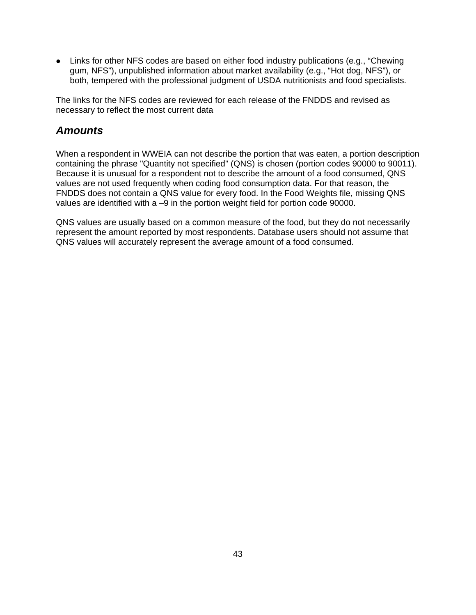• Links for other NFS codes are based on either food industry publications (e.g., "Chewing gum, NFS"), unpublished information about market availability (e.g., "Hot dog, NFS"), or both, tempered with the professional judgment of USDA nutritionists and food specialists.

The links for the NFS codes are reviewed for each release of the FNDDS and revised as necessary to reflect the most current data

# *mounts A*

FNDDS does not contain a QNS value for every food. In the Food Weights file, missing QNS values are identified with a -9 in the portion weight field for portion code 90000. When a respondent in WWEIA can not describe the portion that was eaten, a portion description containing the phrase "Quantity not specified" (QNS) is chosen (portion codes 90000 to 90011). Because it is unusual for a respondent not to describe the amount of a food consumed, QNS values are not used frequently when coding food consumption data. For that reason, the

represent the amount reported by most respondents. Database users should not assume that QN S values will accurately represent the average amount of a food consumed. QNS values are usually based on a common measure of the food, but they do not necessarily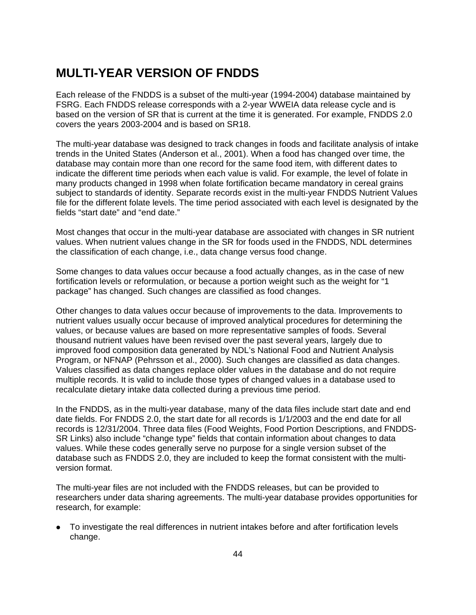# **MU LTI-YEAR VERSION OF FNDDS**

Each release of the FNDDS is a subset of the multi-year (1994-2004) database maintained by based on the version of SR that is current at the time it is generated. For example, FNDDS 2.0 covers the years 2003-2004 and is based on SR18. FSRG. Each FNDDS release corresponds with a 2-year WWEIA data release cycle and is

The multi-year database was designed to track changes in foods and facilitate analysis of intake many products changed in 1998 when folate fortification became mandatory in cereal grains subject to standards of identity. Separate records exist in the multi-year FNDDS Nutrient Values file for the different folate levels. The time period associated with each level is designated by the fields "start date" and "end date." trends in the United States (Anderson et al., 2001). When a food has changed over time, the database may contain more than one record for the same food item, with different dates to indicate the different time periods when each value is valid. For example, the level of folate in

values. When nutrient values change in the SR for foods used in the FNDDS, NDL determines the classification of each change, i.e., data change versus food change. Most changes that occur in the multi-year database are associated with changes in SR nutrient

Some changes to data values occur because a food actually changes, as in the case of new fortification levels or reformulation, or because a portion weight such as the weight for "1 package" has changed. Such changes are classified as food changes.

Other changes to data values occur because of improvements to the data. Improvements to nutrient values usually occur because of improved analytical procedures for determining the values, or because values are based on more representative samples of foods. Several thousand nutrient values have been revised over the past several years, largely due to improved food composition data generated by NDL's National Food and Nutrient Analysis Program, or NFNAP (Pehrsson et al., 2000). Such changes are classified as data changes. Values classified as data changes replace older values in the database and do not require multiple records. It is valid to include those types of changed values in a database used to recalculate dietary intake data collected during a previous time period.

In the FNDDS, as in the multi-year database, many of the data files include start date and end date fields. For FNDDS 2.0, the start date for all records is 1/1/2003 and the end date for all records is 12/31/2004. Three data files (Food Weights, Food Portion Descriptions, and FNDDS-SR Links) also include "change type" fields that contain information about changes to data values. While these codes generally serve no purpose for a single version subset of the database such as FNDDS 2.0, they are included to keep the format consistent with the multiversion format.

The multi-year files are not included with the FNDDS releases, but can be provided to researchers under data sharing agreements. The multi-year database provides opportunities for research, for example:

• To investigate the real differences in nutrient intakes before and after fortification levels change.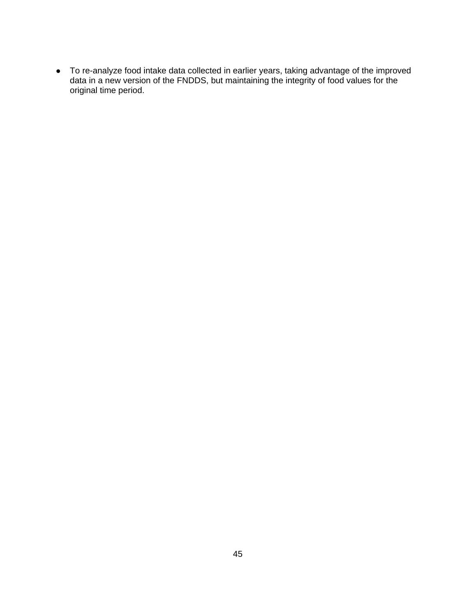ars, taking advantage of the improved g the integrity of food values for the • To re-analyze food intake data collected in earlier ye data in a new version of the FNDDS, but maintainin original time period.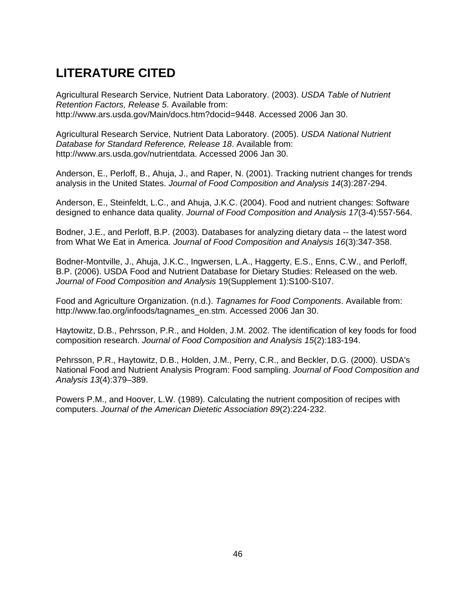# **LITERATURE CITED**

Agricultural Research Service, Nutrient Data Laboratory. (2003). USDA Table of Nutrient *Retention Factors, Release 5*. Available from: http://www.ars.usda.gov/Main/docs.htm?docid=9448. Accessed 2006 Jan 30.

Agricultural Research Service, Nutrient Data Laboratory. (2005). *USDA National Nutrient Database for Standard Reference, Release 18*. Available from: http://www.ars.usda.gov/nutrientdata. Accessed 2006 Jan 30.

Anderson, E., Perloff, B., Ahuja, J., and Raper, N. (2001). Tracking nutrient changes for trends analysis in the United States. *Journal of Food Composition and Analysis 14*(3):287-294.

Anderson, E., Steinfeldt, L.C., and Ahuja, J.K.C. (2004). Food and nutrient changes: Software designed to enhance data quality. *Journal of Food Composition and Analysis 17*(3-4):557-564.

Bodner, J.E., and Perloff, B.P. (2003). Databases for analyzing dietary data -- the latest word from What We Eat in America. *Journal of Food Composition and Analysis 16*(3):347-358.

Bodner-Montville, J., Ahuja, J.K.C., Ingwersen, L.A., Haggerty, E.S., Enns, C.W., and Perloff, B.P. (2006). USDA Food and Nutrient Database for Dietary Studies: Released on the web. *Journal of Food Composition and Analysis* 19(Supplement 1):S100-S107.

Food and Agriculture Organization. (n.d.). *Tagnames for Food Components*. Available from: http://www.fao.org/infoods/tagnames\_en.stm. Accessed 2006 Jan 30.

Haytowitz, D.B., Pehrsson, P.R., and Holden, J.M. 2002. The identification of key foods for food composition research. *Journal of Food Composition and Analysis 15*(2):183-194.

Pehrsson, P.R., Haytowitz, D.B., Holden, J.M., Perry, C.R., and Beckler, D.G. (2000). USDA's National Food and Nutrient Analysis Program: Food sampling. *Journal of Food Composition and Analysis 13*(4):379–389.

Powers P.M., and Hoover, L.W. (1989). Calculating the nutrient composition of recipes with computers. *Journal of the American Dietetic Association 89*(2):224-232.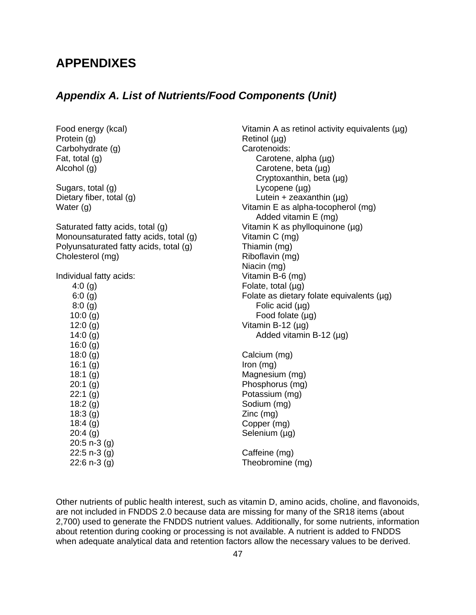# **APPENDIXES**

## *Appendix A. List of Nutrients/Food Components (Unit)*

| Food energy (kcal)                     | Vitamin A as retinol activi |
|----------------------------------------|-----------------------------|
| Protein (g)                            | Retinol (µg)                |
| Carbohydrate (g)                       | Carotenoids:                |
| Fat, total (g)                         | Carotene, alpha (µg)        |
| Alcohol (g)                            | Carotene, beta $(\mu g)$    |
|                                        | Cryptoxanthin, beta (       |
| Sugars, total (g)                      | Lycopene $(\mu g)$          |
| Dietary fiber, total (g)               | Lutein + zeaxanthin (       |
| Water $(g)$                            | Vitamin E as alpha-tocop    |
|                                        | Added vitamin E (mg)        |
| Saturated fatty acids, total (g)       | Vitamin K as phylloquinor   |
| Monounsaturated fatty acids, total (g) | Vitamin C (mg)              |
| Polyunsaturated fatty acids, total (g) | Thiamin (mg)                |
| Cholesterol (mg)                       | Riboflavin (mg)             |
|                                        | Niacin (mg)                 |
| Individual fatty acids:                | Vitamin B-6 (mg)            |
| 4:0 $(g)$                              | Folate, total $(\mu g)$     |
| 6:0(g)                                 | Folate as dietary folate e  |
| 8:0(g)                                 | Folic acid $(\mu g)$        |
| 10:0(g)                                | Food folate $(\mu g)$       |
| 12:0(g)                                | Vitamin B-12 $(\mu q)$      |
| 14:0(g)                                | Added vitamin B-12 (        |
| 16:0(g)                                |                             |
| 18:0(g)                                | Calcium (mg)                |
| 16:1(g)                                | Iron $(mg)$                 |
| 18:1(g)                                | Magnesium (mg)              |
| 20:1(g)                                | Phosphorus (mg)             |
| 22:1(g)                                | Potassium (mg)              |
| 18:2(g)                                | Sodium (mg)                 |
| 18:3(g)                                | $Zinc$ (mg)                 |
| 18:4(g)                                | Copper (mg)                 |
| 20:4(g)                                | Selenium (µg)               |
| $20:5 n-3 (g)$                         |                             |
| $22:5 n-3 (g)$                         | Caffeine (mg)               |
| $22:6 n-3 (g)$                         | Theobromine (mg)            |
|                                        |                             |

Vitamin A as retinol activity equivalents (µg) Phosphorus (mg) Retinol (µg) Carotenoids: Carotene, beta (µg) Cryptoxanthin, beta  $(\mu g)$ Lutein  $+$  zeaxanthin ( $\mu$ g) Vitamin E as alpha-tocopherol (mg) Added vitamin E (mg) Vitamin K as phylloquinone (µg) Vitamin C (mg) Riboflavin (mg) Niacin (mg) Vitamin B-6 (mg) Folate, total (µg) Folate as dietary folate equivalents (µg) Folic acid  $(\mu q)$ Food folate  $(\mu g)$ Vitamin B-12 (µg) Added vitamin B-12 (µg) Calcium (mg) Iron (mg) Magnesium (mg) Potassium (mg) Sodium (mg)

Other nutrients of public health interest, such as vitamin D, amino acids, choline, and flavonoids, are not included in FNDDS 2.0 because data are missing for many of the SR18 items (about 2,700) used to generate the FNDDS nutrient values. Additionally, for some nutrients, information about retention during cooking or processing is not available. A nutrient is added to FNDDS when adequate analytical data and retention factors allow the necessary values to be derived.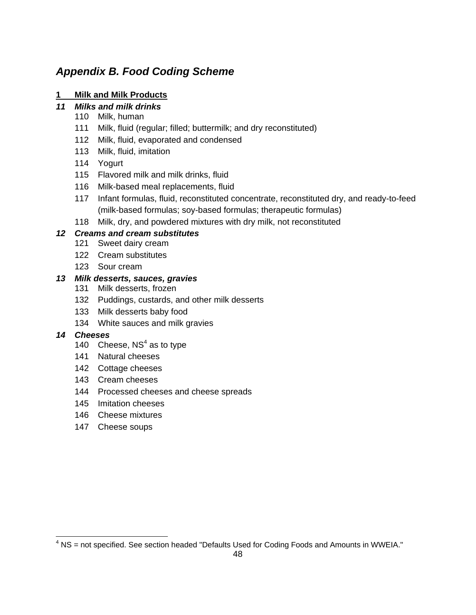# *Appendix B. Food Coding Scheme*

## **1 Milk and Milk Products**

## *11 Milks and milk drinks*

- 110 Milk, human
- 111 Milk, fluid (regular; filled; buttermilk; and dry reconstituted)
- 112 Milk, fluid, evaporated and condensed
- 113 Milk, fluid, imitation
- 114 Yogurt
- 115 Flavored milk and milk drinks, fluid
- 116 Milk-based meal replacements, fluid
- 117 Infant formulas, fluid, reconstituted concentrate, reconstituted dry, and ready-to-feed (milk-based formulas; soy-based formulas; therapeutic formulas)
- 118 Milk, dry, and powdered mixtures with dry milk, not reconstituted

## *12 Creams and cream substitutes*

- 121 Sweet dairy cream
- 122 Cream substitutes
- 123 Sour cream

## 13 Milk desserts, sauces, gravies

- 131 Milk desserts, frozen
- 132 Puddings, custards, and other milk desserts
- 133 Milk desserts baby food
- 134 White sauces and milk gravies

### *14 Cheeses*

- 140 Cheese,  $NS<sup>4</sup>$  as to type
- 141 Natural cheeses
- 142 Cottage cheeses
- 143 Cream cheeses
- 144 Processed cheeses and cheese spreads
- 145 Imitation cheeses
- 146 Cheese mixtures
- 147 Cheese soups

 $4$  NS = not specified. See section headed "Defaults Used for Coding Foods and Amounts in WWEIA."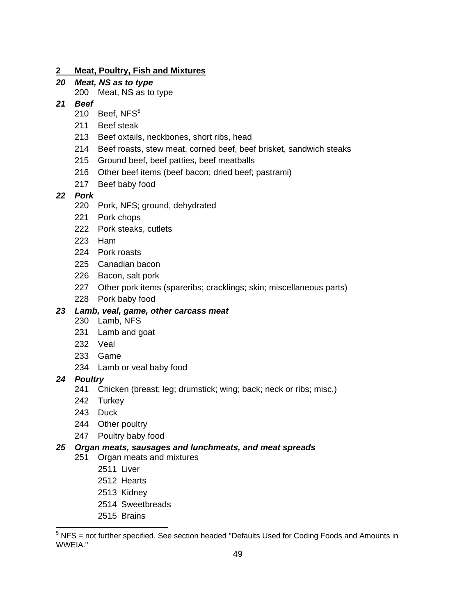#### **2 Meat, Poultry, Fish and Mixtures**

# *20 Meat, NS as to type*

200 Meat, NS as to type

## *21 Beef*

- 210 Beef,  $NFS<sup>5</sup>$
- 211 Beef steak
- 213 Beef oxtails, neckbones, short ribs, head
- 214 Beef roasts, stew meat, corned beef, beef brisket, sandwich steaks
- 215 Ground beef, beef patties, beef meatballs
- 216 Other beef items (beef bacon; dried beef; pastrami)
- 217 Beef baby food

## *22 Pork*

- 220 Pork, NFS; ground, dehydrated
- 221 Pork chops
- 222 Pork steaks, cutlets
- 223 Ham
- 224 Pork roasts
- 225 Canadian bacon
- 226 Bacon, salt pork
- 227 Other pork items (spareribs; cracklings; skin; miscellaneous parts)
- 228 Pork baby food

## 23 Lamb, veal, game, other carcass meat

- 230 Lamb, NFS
- 231 Lamb and goat
- 232 Veal
- 233 Game
- 234 Lamb or veal baby food

### *24 Poultry*

- 241 Chicken (breast; leg; drumstick; wing; back; neck or ribs; misc.)
- 242 Turkey
- 243 Duck
- 244 Other poultry
- 247 Poultry baby food

### *25 Organ meats, sausages and lunchmeats, and meat spreads*

- 251 Organ meats and mixtures
	- 2511 Liver
	- 2512 Hearts
	- 2513 Kidney
	- 2514 Sweetbreads
	- 2515 Brains

 5 NFS = not further specified. See section headed "Defaults Used for Coding Foods and Amounts in WWEIA."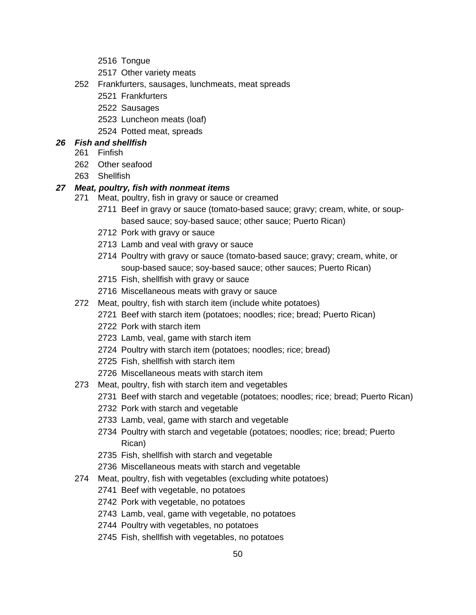- 2516 Tongue
- 2517 Other variety meats
- 252 Frankfurters, sausages, lunchmeats, meat spreads
	- 2521 Frankfurters
	- 2522 Sausages
	- 2523 Luncheon meats (loaf)
	- 2524 Potted meat, spreads

## *26 Fish and shellfish*

- 261 Finfish
- 262 Other seafood
- 263 Shellfish

## 27 Meat, poultry, fish with nonmeat items

- 271 Meat, poultry, fish in gravy or sauce or creamed
	- 2711 Beef in gravy or sauce (tomato-based sauce; gravy; cream, white, or soupbased sauce; soy-based sauce; other sauce; Puerto Rican)
	- 2712 Pork with gravy or sauce
	- 2713 Lamb and veal with gravy or sauce
	- 2714 Poultry with gravy or sauce (tomato-based sauce; gravy; cream, white, or soup-based sauce; soy-based sauce; other sauces; Puerto Rican)
	- 2715 Fish, shellfish with gravy or sauce
	- 2716 Miscellaneous meats with gravy or sauce
- 272 Meat, poultry, fish with starch item (include white potatoes)
	- 2721 Beef with starch item (potatoes; noodles; rice; bread; Puerto Rican)
	- 2722 Pork with starch item
	- 2723 Lamb, veal, game with starch item
	- 2724 Poultry with starch item (potatoes; noodles; rice; bread)
	- 2725 Fish, shellfish with starch item
	- 2726 Miscellaneous meats with starch item
- 273 Meat, poultry, fish with starch item and vegetables
	- 2731 Beef with starch and vegetable (potatoes; noodles; rice; bread; Puerto Rican)
	- 2732 Pork with starch and vegetable
	- 2733 Lamb, veal, game with starch and vegetable
	- 2734 Poultry with starch and vegetable (potatoes; noodles; rice; bread; Puerto Rican)
	- 2735 Fish, shellfish with starch and vegetable
	- 2736 Miscellaneous meats with starch and vegetable
- 274 Meat, poultry, fish with vegetables (excluding white potatoes)
	- 2741 Beef with vegetable, no potatoes
	- 2742 Pork with vegetable, no potatoes
	- 2743 Lamb, veal, game with vegetable, no potatoes
	- 2744 Poultry with vegetables, no potatoes
	- 2745 Fish, shellfish with vegetables, no potatoes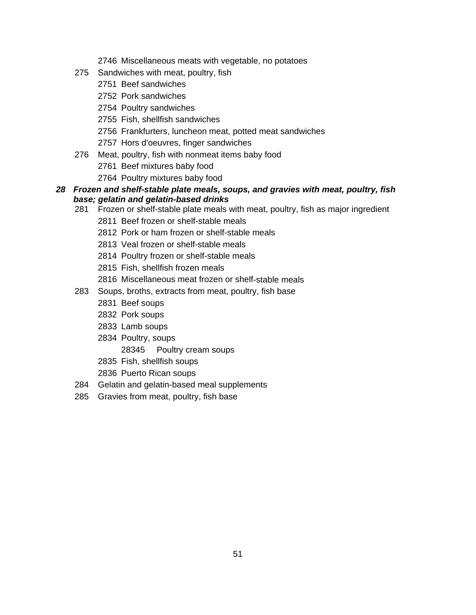- 2746 Miscellaneous meats with vegetable, no potatoes
- 275 Sandwiches with meat, poultry, fish
	- 2751 Beef sandwiches
	- 2752 Pork sandwiches
	- 2754 Poultry sandwiches
	- 2755 Fish, shellfish sandwiches
	- 2756 Frankfurters, luncheon meat, potted meat sandwiches
	- 2757 Hors d'oeuvres, finger sandwiches
- 276 Meat, poultry, fish with nonmeat items baby food
	- 2761 Beef mixtures baby food
	- 2764 Poultry mixtures baby food
- 28 Frozen and shelf-stable plate meals, soups, and gravies with meat, poultry, fish *base; gelatin and gelatin-based drinks* 
	- 281 Frozen or shelf-stable plate meals with meat, poultry, fish as major ingredient
		- 2811 Beef frozen or shelf-stable meals
		- 2812 Pork or ham frozen or shelf-stable meals
		- 2813 Veal frozen or shelf-stable meals
		- 2814 Poultry frozen or shelf-stable meals
		- 2815 Fish, shellfish frozen meals
		- 2816 Miscellaneous meat frozen or shelf-stable meals
	- 283 Soups, broths, extracts from meat, poultry, fish base
		- 2831 Beef soups
		- 2832 Pork soups
		- 2833 Lamb soups
		- 2834 Poultry, soups
			- 28345 Poultry cream soups
		- 2835 Fish, shellfish soups
		- 2836 Puerto Rican soups
	- 284 Gelatin and gelatin-based meal supplements
	- 285 Gravies from meat, poultry, fish base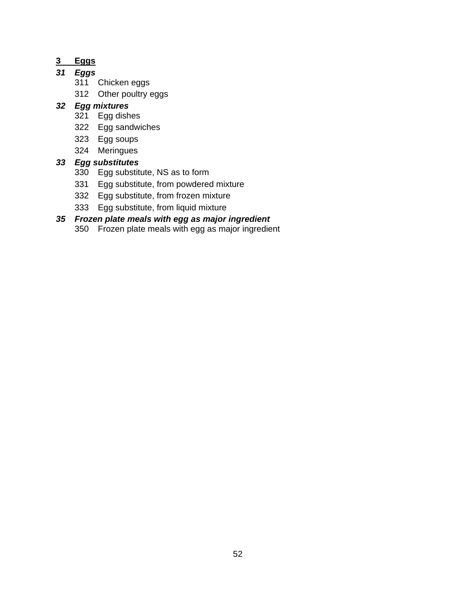# **3 Eggs**

## *31 Eggs*

- 311 Chicken eggs
- 312 Other poultry eggs

## *32 Egg m ixtures*

- 321 Egg dishes
- 322 Egg sandwiches
- 323 Egg soups
- 324 Meringues

## *33 Egg s ubstitutes*

- 330 Egg substitute, NS as to form
- 331 Egg substitute, from powdered mixture
- 332 Egg substitute, from frozen mixture
- 333 Egg substitute, from liquid mixture

# *35 Frozen plate meals with egg as major ingredient*

350 Frozen plate meals with egg as major ingredient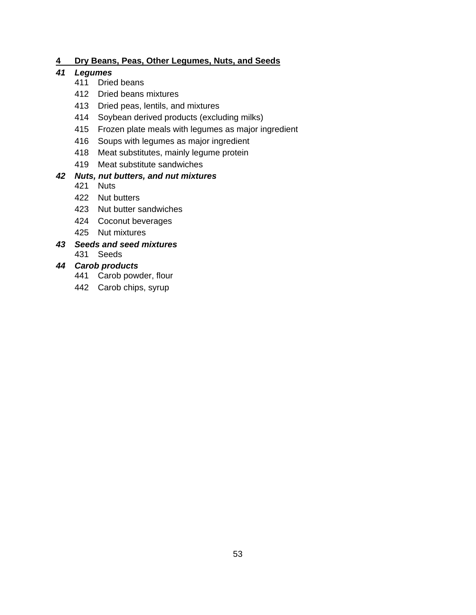## **4 Dry Beans, Peas, Other Legumes, Nuts, and Seeds**

#### *s 41 Legume*

- 411 Dried beans
- 412 Dried beans mixtures
- 413 Dried peas, lentils, and mixtures
- 414 Soybean derived products (excluding milks)
- 415 Frozen plate meals with legumes as major ingredient
- 416 Soups with legumes as major ingredient
- 418 Meat substitutes, mainly legume protein
- 419 Meat substitute sandwiches

## *42 , Nuts nut butters, and nut mixtures*

- 421 Nuts
- 422 Nut butters
- 423 Nut butter sandwiches
- 424 Coconut beverages
- 425 Nut mixtures

#### *43 Seeds and seed mixtures*  431 Seeds

# *44 Carob products*

- 441 Carob powder, flour
- 442 Carob chips, syrup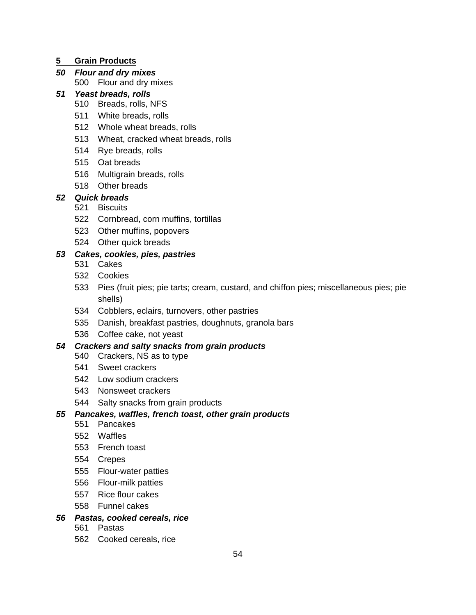## **5 Grain Products**

## *50 Flour and dry mixes*

500 Flour and dry mixes

## *51 Yeast breads, rolls*

- 510 Breads, rolls, NFS
- 511 White breads, rolls
- 512 Whole wheat breads, rolls
- 513 Wheat, cracked wheat breads, rolls
- 514 Rye breads, rolls
- 515 Oat breads
- 516 Multigrain breads, rolls
- 518 Other breads

## *52 Quick breads*

- 521 Biscuits
- 522 Cornbread, corn muffins, tortillas
- 523 Other muffins, popovers
- 524 Other quick breads

## *53 , pies, pastries Cakes, cookies*

- 531 Cakes
- 532 Cookies
- 533 Pies (fruit pies; pie tarts; cream, custard, and chiffon pies; miscellaneous pies; pie shells)
- 534 Cobblers, eclairs, turnovers, other pastries
- 535 Danish, breakfast pastries, doughnuts, granola bars
- 536 Coffee cake, not yeast

## *54 Crackers and salty snacks from grain products*

- 540 Crackers, NS as to type
- 541 Sweet crackers
- 542 Low sodium crackers
- 543 Nonsweet crackers
- 544 Salty snacks from grain products

## *55 Pancakes, waffles, french toast, other grain products*

- 551 Pancakes
- 552 Waffles
- 553 French toast
- 554 Crepes
- 555 Flour-water patties
- 556 Flour-milk patties
- 557 Rice flour cakes
- 558 Funnel cakes

### *56 Pastas, cooked cereals, rice*

- 561 Pastas
- 562 Cooked cereals, rice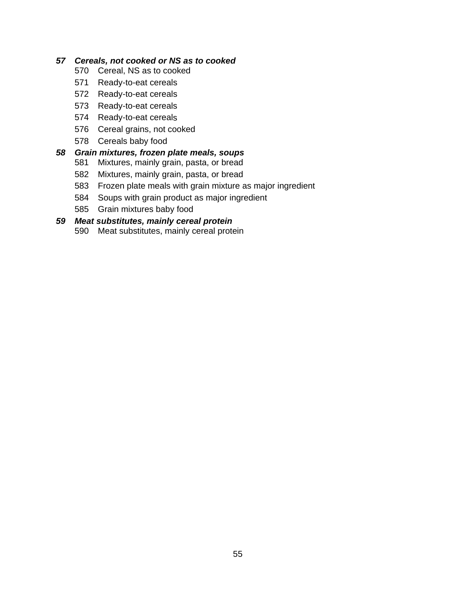#### *ked or NS as to cooked 57 Cereals, not coo*

- 570 Cereal, NS as to cooked
- 571 Ready-to-eat cereals
- 572 Ready-to-eat cereals
- 573 Ready-to-eat cereals
- 574 Ready-to-eat cereals
- 576 Cereal grains, not cooked
- 578 Cereals baby food

#### 58 Grain mixtures, frozen plate meals, soups

- 581 Mixtures, mainly grain, pasta, or bread
	- 582 Mixtures, mainly grain, pasta, or bread
- 583 Frozen plate meals with grain mixture as major ingredient
- 584 Soups with grain product as major ingredient
- 585 Grain mixtures baby food

#### *59 n Meat substitutes, mainly cereal protei*

590 Meat substitutes, mainly cereal protein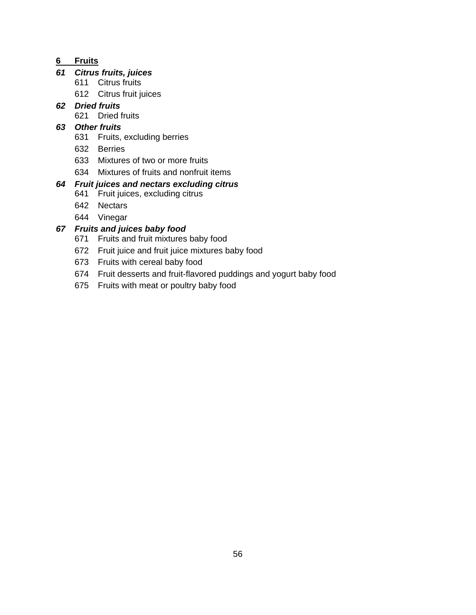## **6 Fruits**

## *61 Citrus fruits, juices*

- 611 Citrus fruits
- 612 Citrus fruit juices
- *62 Dried fruits* 
	- 621 Dried fruits

## 63 Other fruits

- 631 Fruits, excluding berries
- 632 Berries
- 633 Mixtures of two or more fruits
- 634 Mixtures of fruits and nonfruit items

## *64 Fruit juices and nectars excluding citrus*

- 641 Fruit juices, excluding citrus
- 642 Nectars
- 644 Vinegar

## *67 Fruits and juices baby food*

- 671 Fruits and fruit mixtures baby food
- 672 Fruit juice and fruit juice mixtures baby food
- 673 Fruits with cereal baby food
- 674 Fruit desserts and fruit-flavored puddings and yogurt baby food
- 675 Fruits with meat or poultry baby food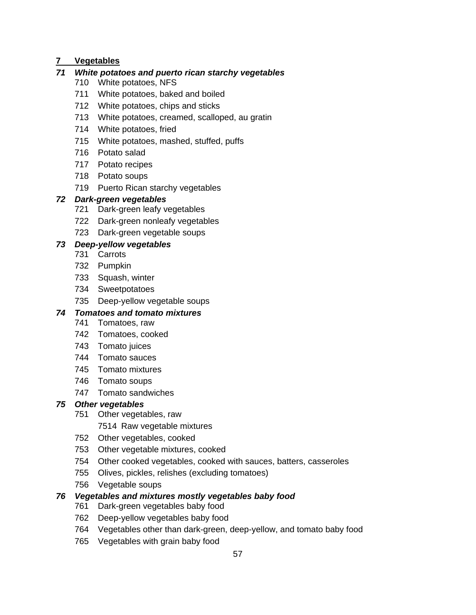## **7 Vegetables**

## 71 White potatoes and puerto rican starchy vegetables

- 710 White potatoes, NFS
- 711 White potatoes, baked and boiled
- 712 White potatoes, chips and sticks
- 713 White potatoes, creamed, scalloped, au gratin
- 714 White potatoes, fried
- 715 White potatoes, mashed, stuffed, puffs
- 716 Potato salad
- 717 Potato recipes
- 718 Potato soups
- 719 Puerto Rican starchy vegetables

## *72 Dark-green veg etables*

- 721 Dark-green leafy vegetables
- 722 Dark-green nonleafy vegetables
- 723 Dark-green vegetable soups

## *73 Deep-yellow vegetables*

- 731 Carrots
- 732 Pumpkin
- 733 Squash, winter
- 734 Sweetpotatoes
- 735 Deep-yellow vegetable soups

## *74 Tomatoes and tomato mixtures*

- 741 Tomatoes, raw
- 742 Tomatoes, cooked
- 743 Tomato juices
- 744 Tomato sauces
- 745 Tomato mixtures
- 746 Tomato soups
- 747 Tomato sandwiches

### *75 Other vegetables*

- 751 Other vegetables, raw
	- 7514 Raw vegetable mixtures
- 752 Other vegetables, cooked
- 753 Other vegetable mixtures, cooked
- 754 Other cooked vegetables, cooked with sauces, batters, casseroles
- 755 Olives, pickles, relishes (excluding tomatoes)
- 756 Vegetable soups

## *76 Vegetables and mixtures mostly vegetables baby food*

- 761 Dark-green vegetables baby food
- 762 Deep-yellow vegetables baby food
- 764 Vegetables other than dark-green, deep-yellow, and tomato baby food
- 765 Vegetables with grain baby food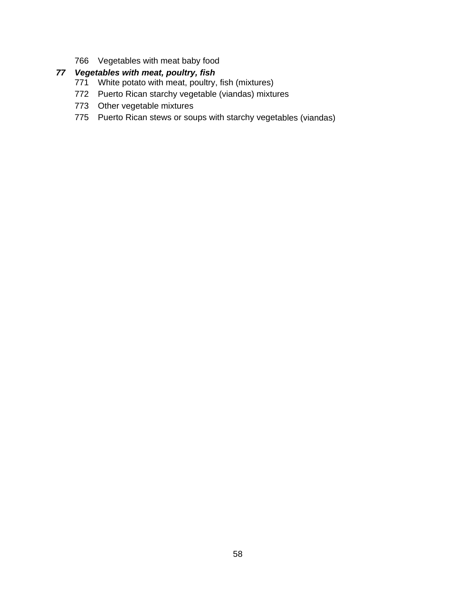766 Vegetables with meat baby food

## *77 Vegetables with meat, poultry, fish*

- 771 White potato with meat, poultry, fish (mixtures)
- 772 Puerto Rican starchy vegetable (viandas) mixtures
- 773 Other vegetable mixtures
- 775 Puerto Rican stews or soups with starchy vegetables (viandas)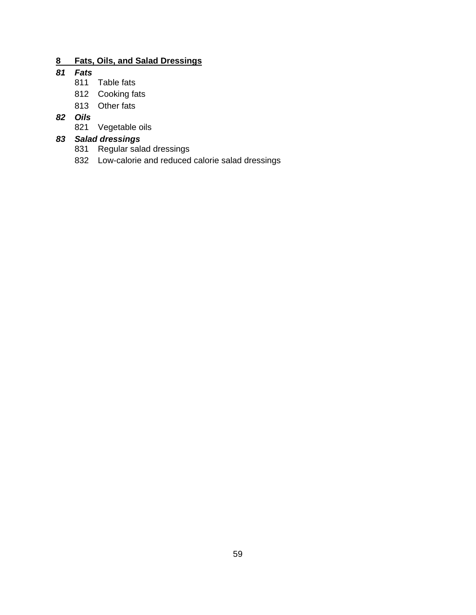## **8 Fats, Oils, and Salad Dressings**

## *81 Fats*

- 811 Table fats
- 812 Cooking fats
- 813 Other fats

## *82 Oils*

821 Vegetable oils

## *83 Salad dressings*

- 831 Regular salad dressings
- 832 Low-calorie and reduced calorie salad dressings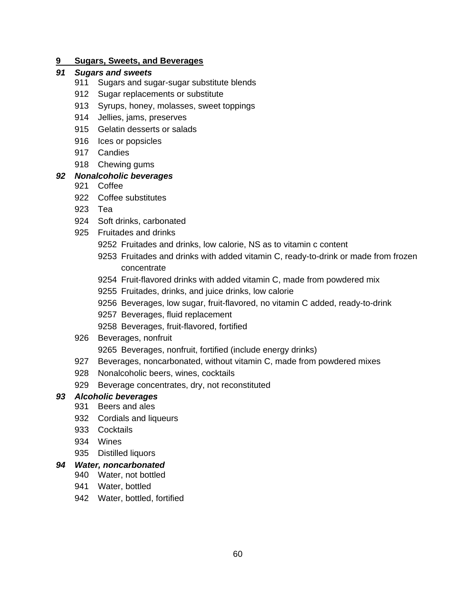#### **9 Sugars, Sweets, and Beverages**

#### *91 Sugars and sweets*

- 911 Sugars and sugar-sugar substitute blends
- 912 Sugar replacements or substitute
- 913 Syrups, honey, molasses, sweet toppings
- 914 Jellies, jams, preserves
- 915 Gelatin desserts or salads
- 916 lces or popsicles
- 917 Candies
- 918 Chewing gums

## *92 Nonalcoholic beverages*

- 921 Coffee
- 922 Coffee substitutes
- 923 Tea
- 924 Soft drinks, carbonated
- 925 Fruitades and drinks
	- 9252 Fruitades and drinks, low calorie, NS as to vitamin c content
	- 9253 Fruitades and drinks with added vitamin C, ready-to-drink or made from frozen concentrate
	- 9254 Fruit-flavored drinks with added vitamin C, made from powdered mix
	- 9255 Fruitades, drinks, and juice drinks, low calorie
	- 9256 Beverages, low sugar, fruit-flavored, no vitamin C added, ready-to-drink
	- 9257 Beverages, fluid replacement
	- 9258 Beverages, fruit-flavored, fortified
- 926 Beverages, nonfruit

9265 Beverages, nonfruit, fortified (include energy drinks)

- 927 Beverages, noncarbonated, without vitamin C, made from powdered mixes
- 928 Nonalcoholic beers, wines, cocktails
- 929 Beverage concentrates, dry, not reconstituted

### *93 Alcoholic beverages*

- 931 Beers and ales
- 932 Cordials and liqueurs
- 933 Cocktails
- 934 Wines
- 935 Distilled liquors

#### *94 Water, noncarbonated*

- 940 Water, not bottled
- 941 Water, bottled
- 942 Water, bottled, fortified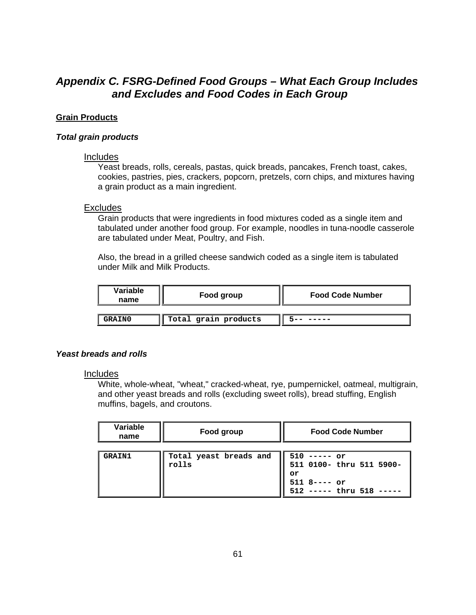# Appendix C. FSRG-Defined Food Groups - What Each Group Includes and Excludes and Food Codes in Each Group

## **Grai n Products**

#### *Total grain products*

#### **Includes**

Yeast breads, rolls, cereals, pastas, quick breads, pancakes, French toast, cakes, cookies, pastries, pies, crackers, popcorn, pretzels, corn chips, and mixtures having a grain product as a main ingredient.

#### **Excludes**

Grain products that were in gredients in food mixtures coded as a single item and tabulated under another food group. For example, noodles in tuna-noodle casserole are tabulated under Meat, Poultry, and Fish.

under Milk and Milk Products. Also, the bread in a grilled cheese sandwich coded as a single item is tabulated

| Variable<br>name | Food group           | <b>Food Code Number</b> |
|------------------|----------------------|-------------------------|
| <b>GRAIN0</b>    | Total grain products |                         |

#### **Yeast breads and rolls**

#### Includes

White, whole-wheat, "wheat," cracked-wheat, rye, pumpernickel, oatmeal, multigrain, and other yeast breads and rolls (excluding sweet rolls), bread stuffing, English muffins, bagels, and croutons.

| Variable<br>name | Food group                      | <b>Food Code Number</b>                                                                        |
|------------------|---------------------------------|------------------------------------------------------------------------------------------------|
| <b>GRAIN1</b>    | Total yeast breads and<br>rolls | $510$ ----- or<br>511 0100- thru 511 5900-<br>or<br>$511$ 8---- or<br>512 ----- thru 518 ----- |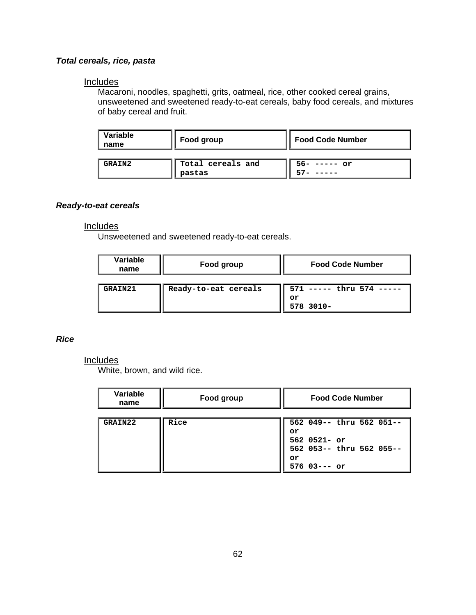## *Total cereals, rice, pasta*

#### **Includes**

Macaroni, noodles, spaghetti, grits, oatmeal, rice, other cooked cereal grains, unsweetened and sweetened ready-to-eat cereals, baby food cereals, and mixtures of baby cereal and fruit.

| Variable<br>name | Food group                  | <b>Food Code Number</b> |
|------------------|-----------------------------|-------------------------|
| <b>GRAIN2</b>    | Total cereals and<br>pastas | 56- ----- or            |

#### *Ready-to-eat cereals*

#### Includes

Unsweetened and sweetened ready-to-eat cereals.

| Variable<br>name | Food group           | <b>Food Code Number</b>                        |
|------------------|----------------------|------------------------------------------------|
| GRAIN21          | Ready-to-eat cereals | 571<br>----- thru 574 -----<br>or<br>578 3010- |

### *Rice*

## **Includes**

White, brown, and wild rice.

| Variable<br>name | Food group | <b>Food Code Number</b>    |
|------------------|------------|----------------------------|
|                  |            |                            |
| GRAIN22          | Rice       | 562 049-- thru 562 051--   |
|                  |            | or                         |
|                  |            | $562$ 0521- or             |
|                  |            | 562 053 -- thru 562 055 -- |
|                  |            | or                         |
|                  |            | $576$ $03--$ or            |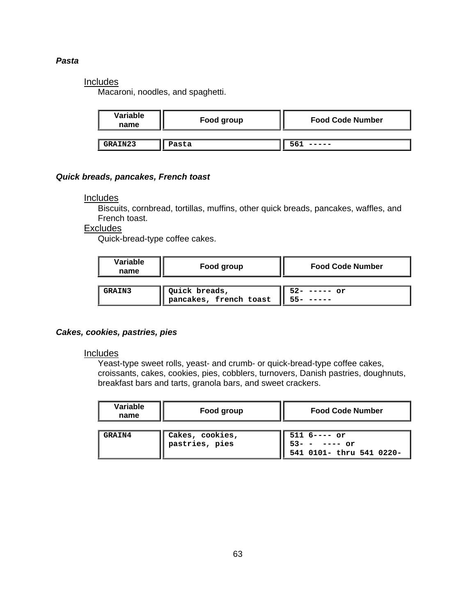#### *Pasta*

### Includes

Macaroni, noodles, and spaghetti.

| Variable<br>name | Food group | <b>Food Code Number</b> |
|------------------|------------|-------------------------|
|                  |            |                         |
| GRAIN23          | Pasta      |                         |

#### *Quick breads, pancakes, French toast*

#### Includes

Biscuits, cornbread, tortillas, muffins, other quick breads, pancakes, waffles, and French toast.

### **Excludes**

Quick-bread-type coffee cakes.

| Variable<br>name | Food group                              | <b>Food Code Number</b> |
|------------------|-----------------------------------------|-------------------------|
| <b>GRAIN3</b>    | Quick breads,<br>pancakes, french toast | $52 -$<br>$---or$       |

#### *Cakes, cookies, pastries, pies*

#### Includes

Yeast-type sweet rolls, yeast- and crumb- or quick-bread-type coffee cakes, croissants, cakes, cookies, pies, cobblers, turnovers, Danish pastries, doughnuts, breakfast bars and tarts, granola bars, and sweet crackers.

| Variable<br>name | Food group                        | <b>Food Code Number</b>                                         |
|------------------|-----------------------------------|-----------------------------------------------------------------|
| <b>GRAIN4</b>    | Cakes, cookies,<br>pastries, pies | $5116--- or$<br>$53 - - - - - -$ or<br>541 0101- thru 541 0220- |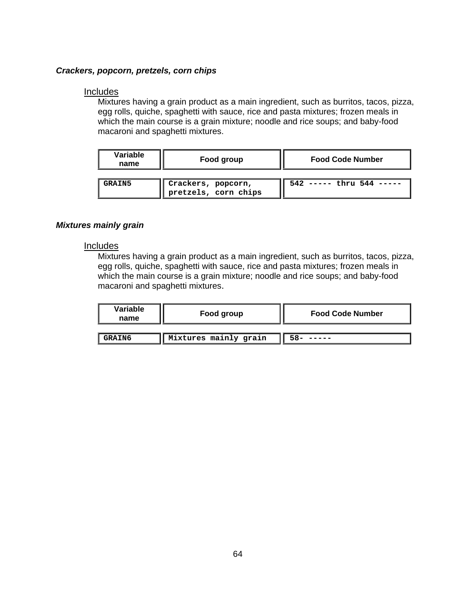#### *Crackers, popcorn, pretzels, corn chips*

#### Includes

Mixtures having a grain product as a main ingredient, such as burritos, tacos, pizza, egg rolls, quiche, spaghetti with sauce, rice and pasta mixtures; frozen meals in which the main course is a grain mixture; noodle and rice soups; and baby-food macaroni and spaghetti mixtures.

| Variable<br>name | Food group                                 | <b>Food Code Number</b>      |  |
|------------------|--------------------------------------------|------------------------------|--|
| <b>GRAIN5</b>    | Crackers, popcorn,<br>pretzels, corn chips | $542$ ----- thru $544$ ----- |  |

#### *Mixture s mainly grain*

#### **Includes**

Mixtures having a grain product as a main ingredient, such as burritos, tacos, pizza, egg rolls, quiche, spaghetti with sauce, rice and pasta mixtures; frozen meals in which the main course is a grain mixture; noodle and rice soups; and baby-food macaroni and spaghetti mixtures.

| Variable<br>name | Food group            | <b>Food Code Number</b> |  |
|------------------|-----------------------|-------------------------|--|
|                  |                       |                         |  |
| <b>GRAIN6</b>    | Mixtures mainly grain |                         |  |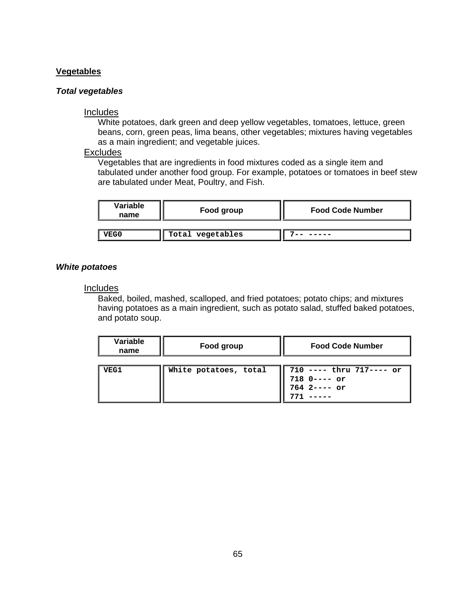#### **Vegetables**

#### *Total vegetables*

#### Includes

White potatoes, dark green and deep yellow vegetables, tomatoes, lettuce, green beans, corn, green peas, lima beans, other vegetables; mixtures having vegetables as a main ingredient; and vegetable juices.

## **Excludes**

Vegetables that are ingredients in food mixtures coded as a single item and tabulated under another food group. For example, potatoes or tomatoes in beef stew are tabulated under Meat, Poultry, and Fish.

| Variable<br>name | Food group       | <b>Food Code Number</b> |  |
|------------------|------------------|-------------------------|--|
| <b>VEG0</b>      | Total vegetables |                         |  |

#### **White potatoes**

#### **Includes**

Baked, boiled, mashed, scalloped, and fried potatoes; potato chips; and mixtures having potatoes as a main ingredient, such as potato salad, stuffed baked potatoes, and potato soup.

| Variable<br>name | Food group            | <b>Food Code Number</b>                                       |  |
|------------------|-----------------------|---------------------------------------------------------------|--|
| <b>VEG1</b>      | White potatoes, total | $710$ ---- thru $717$ ---- or<br>718 0---- or<br>764 2---- or |  |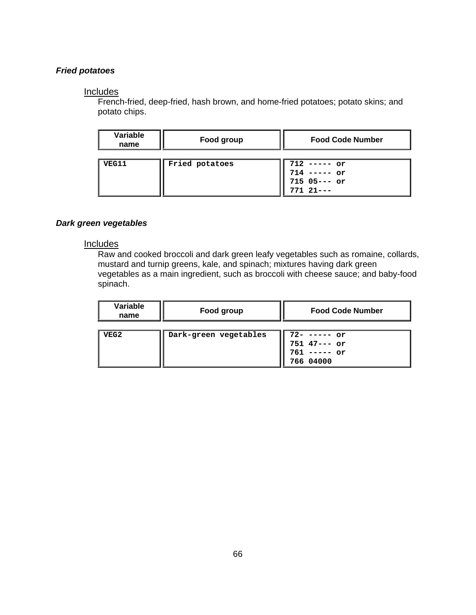### *Fried potatoes*

#### Includes

French-fried, deep-fried, hash brown, and home-fried potatoes; potato skins; and potato chips.

| Variable<br>name | Food group     | <b>Food Code Number</b>                                           |  |
|------------------|----------------|-------------------------------------------------------------------|--|
| VEG11            | Fried potatoes | $712$ ----- or<br>$714$ ----- or<br>$715$ 05--- or<br>$77121$ --- |  |

#### *Dark green vegetables*

#### Includes

Raw and cooked broccoli and dark green leafy vegetables such as romaine, collards, mustard and turnip greens, kale, and spinach; mixtures having dark green vegetables as a main ingredient, such as broccoli with cheese sauce; and baby-food spinach.

| Variable<br>name | Food group            | <b>Food Code Number</b>                                          |  |
|------------------|-----------------------|------------------------------------------------------------------|--|
| VEG2             | Dark-green vegetables | $72 - - - - - or$<br>751 47--- or<br>$761$ ----- or<br>766 04000 |  |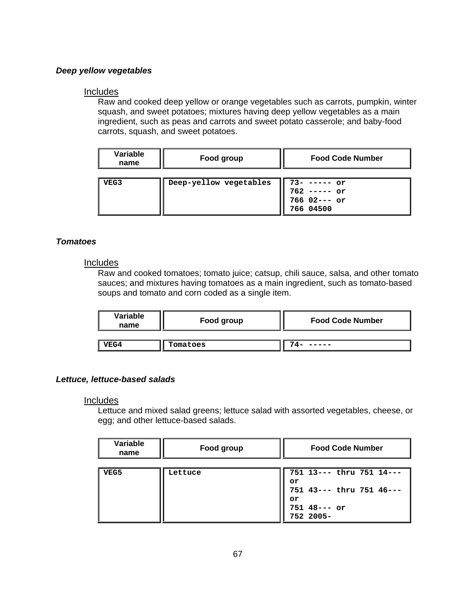#### *Deep yellow vegetables*

#### Includes

Raw and cooked deep yellow or orange vegetables such as carrots, pumpkin, win ter squash, and sw eet potatoes; mixtures having deep yellow vegetables as a main ingredient, such as peas and carrots and sweet potato casserole; and baby-food carrots, squash, and sweet potatoes.

| Variable<br>name | Food group             | <b>Food Code Number</b>                                       |  |
|------------------|------------------------|---------------------------------------------------------------|--|
| VEG3             | Deep-yellow vegetables | 73- ----- or<br>$762$ ----- or<br>$766$ 02--- or<br>766 04500 |  |

#### $Tomatoes$

#### Inc ludes

Raw and cooked tomatoes; tomato juice; catsup, chili sauce, salsa, and other tomato sauces; and mixtures having tomatoes as a main ingredient, such as tomato-based soups and tomato and corn coded as a single item.

| Variable<br>name | Food group | <b>Food Code Number</b> |  |
|------------------|------------|-------------------------|--|
| VEG4             | Tomatoes   |                         |  |

#### Lettuce, lettuce-based salads

#### **Includes**

Lettuce and mixed salad greens; lettuce salad with assorted vegetables, cheese, or egg; and other lettuce-based salads.

| Variable<br>name | Food group | <b>Food Code Number</b>    |  |
|------------------|------------|----------------------------|--|
|                  |            |                            |  |
| VEG5             | Lettuce    | 751 13--- thru 751 14---   |  |
|                  |            | or                         |  |
|                  |            | 751 43 --- thru 751 46 --- |  |
|                  |            | or                         |  |
|                  |            | $751$ 48--- or             |  |
|                  |            | 752 2005-                  |  |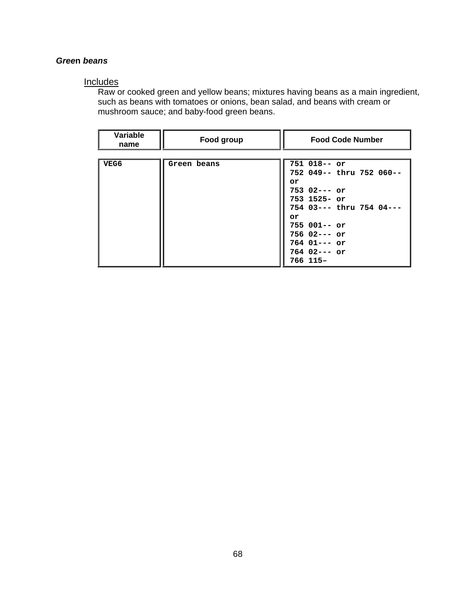#### Green beans

#### **Includes**

Raw or cooked green and yellow beans; mixtures having beans as a main ingredient, such as beans with tomatoes or onions, bean salad, and beans with cream or mushroom sauce; and baby-food green beans.

| Variable<br>name | Food group  | <b>Food Code Number</b>    |  |
|------------------|-------------|----------------------------|--|
|                  |             |                            |  |
| VEG6             | Green beans | $751$ 018-- or             |  |
|                  |             | 752 049 -- thru 752 060 -- |  |
|                  |             | or                         |  |
|                  |             | $753$ 02--- or             |  |
|                  |             | $753$ 1525- or             |  |
|                  |             | 754 03 --- thru 754 04 --- |  |
|                  |             | or                         |  |
|                  |             | $755001--$ or              |  |
|                  |             | $756$ 02--- or             |  |
|                  |             | $764$ 01--- or             |  |
|                  |             | $764$ 02--- or             |  |
|                  |             | 766 115-                   |  |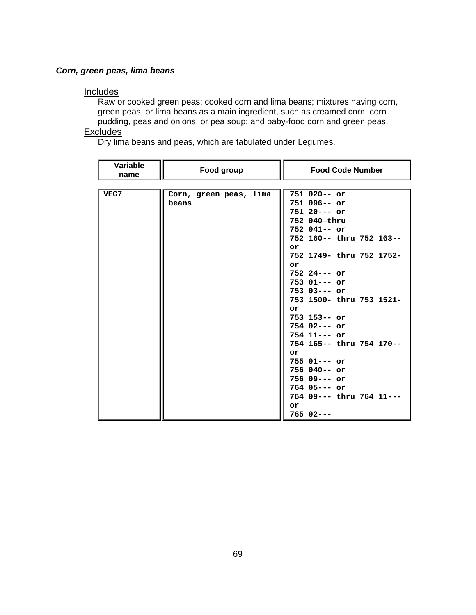## *Corn, green peas, lima beans*

#### Includes

Raw or cooked green peas; cooked corn and lima beans; mixtures having corn , green peas, or lima beans as a main ingredient, such as creamed corn, corn pudding, peas and onions, or pea soup; and baby-food corn and green peas.

# **Excludes**

Dry lima beans and peas, which are tabulated under Legumes.

| <b>Variable</b><br>name | Food group             | <b>Food Code Number</b>    |  |
|-------------------------|------------------------|----------------------------|--|
|                         |                        |                            |  |
| VEG7                    | Corn, green peas, lima | $751020--$ or              |  |
|                         | beans                  | $751096--$ or              |  |
|                         |                        | $75120-- or$               |  |
|                         |                        | 752 040-thru               |  |
|                         |                        | $752$ 041-- or             |  |
|                         |                        | 752 160 -- thru 752 163 -- |  |
|                         |                        | or                         |  |
|                         |                        | 752 1749- thru 752 1752-   |  |
|                         |                        | or                         |  |
|                         |                        | $752$ 24--- or             |  |
|                         |                        | $753$ $01---$ or           |  |
|                         |                        | $753$ 03--- or             |  |
|                         |                        | 753 1500- thru 753 1521-   |  |
|                         |                        | or                         |  |
|                         |                        | $753$ 153-- or             |  |
|                         |                        | $754$ 02--- or             |  |
|                         |                        | $754$ 11--- or             |  |
|                         |                        | 754 165-- thru 754 170--   |  |
|                         |                        | or                         |  |
|                         |                        | 755 01 --- or              |  |
|                         |                        | $756040--$ or              |  |
|                         |                        | $75609---$ or              |  |
|                         |                        | $764$ 05--- or             |  |
|                         |                        | 764 09 --- thru 764 11 --- |  |
|                         |                        | or                         |  |
|                         |                        | $76502--$                  |  |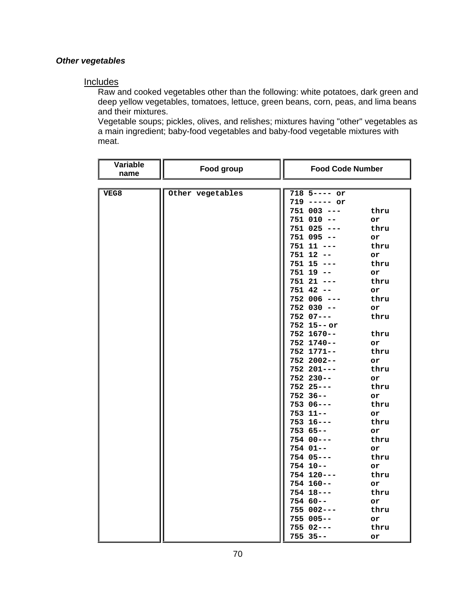#### **Other vegetables**

#### **Includes**

Raw and cooked vegetables other than the following: white potatoes, dark green and deep yellow vegetables, tomatoes, lettuce, green beans, corn, peas, and lima beans and their mixtures.

Vegetable soups; pickles, olives, and relishes; mixtures having "other" vegetables as a main ingredient; baby-food vegetables and baby-food vegetable mixtures with meat.

| Variable<br>name | Food group       | <b>Food Code Number</b> |      |
|------------------|------------------|-------------------------|------|
|                  |                  |                         |      |
| VEG8             | Other vegetables | 718 5---- or            |      |
|                  |                  | $719$ ----- or          |      |
|                  |                  | $751$ 003 ---           | thru |
|                  |                  | $751 010 - -$           | or   |
|                  |                  | $751$ 025 ---           | thru |
|                  |                  | $751$ 095 --            | or   |
|                  |                  | $751$ 11 ---            | thru |
|                  |                  | $751$ 12 --             | or   |
|                  |                  | $751$ 15 ---            | thru |
|                  |                  | $751$ 19 --             | or   |
|                  |                  | $751 21 --$             | thru |
|                  |                  | $751$ 42 --             | or   |
|                  |                  | $752006 - -$            | thru |
|                  |                  | $752$ 030 --            | or   |
|                  |                  | $752$ $07---$           | thru |
|                  |                  | $752$ 15--or            |      |
|                  |                  | $752$ 1670--            | thru |
|                  |                  | 752 1740--              | or   |
|                  |                  | 752 1771--              | thru |
|                  |                  | 752 2002--              | or   |
|                  |                  | $752201--$              | thru |
|                  |                  | $752$ 230--             | or   |
|                  |                  | $75225--$               | thru |
|                  |                  | $752$ 36--              | or   |
|                  |                  | $75306--$               | thru |
|                  |                  | 753 11--                | or   |
|                  |                  | $753$ 16---             | thru |
|                  |                  | $75365--$               | or   |
|                  |                  | $754 00---$             | thru |
|                  |                  | $754 01--$              | or   |
|                  |                  | $754$ 05---             | thru |
|                  |                  | $754$ 10--              | or   |
|                  |                  | $754$ 120---            | thru |
|                  |                  | $754$ 160--             | or   |
|                  |                  | $754$ 18---             | thru |
|                  |                  | $75460--$               | or   |
|                  |                  | $755002--$              | thru |
|                  |                  | $755005--$              | or   |
|                  |                  | 755 02---               | thru |
|                  |                  | $755$ 35--              | or   |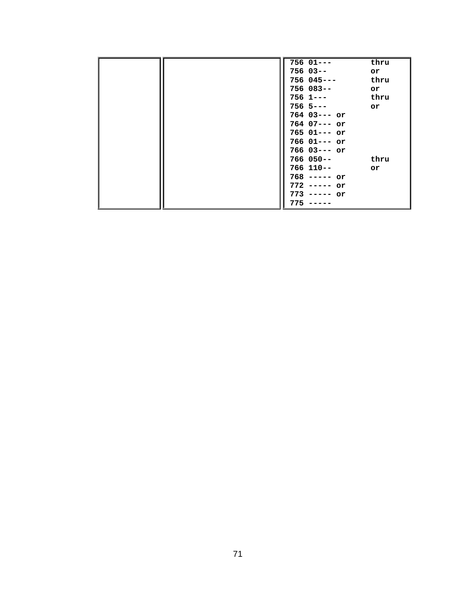|  | $756$ $01--$     | thru |
|--|------------------|------|
|  | 756 03--         | or   |
|  | 756 045---       | thru |
|  | 756 083--        | or   |
|  | $756$ 1---       | thru |
|  | $756$ 5---       | or   |
|  | $764$ 03--- or   |      |
|  | 764 07--- or     |      |
|  | 765 01 --- or    |      |
|  | $766$ $01---$ or |      |
|  | 766 03 --- or    |      |
|  | 766 050--        | thru |
|  | 766 110--        | or   |
|  | $768$ ----- or   |      |
|  | $772$ ----- or   |      |
|  | $773$ ----- or   |      |
|  | 775              |      |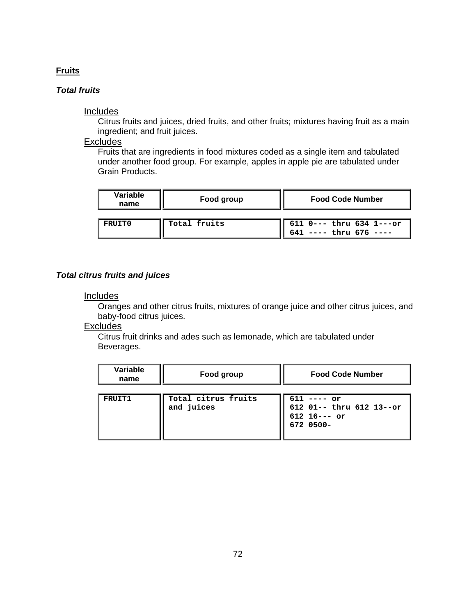### **Fruits**

## *Total fruits*

#### Includes

Citrus fruits and juices, dried fruits, and other fruits; mixtures having fruit as a main ingredient; and fruit juices.

### **Excludes**

Fruits that are ingredients in food mixtures coded a s a single item and tabulated under another food group. For example, apples in apple pie are tabulated under Grain Products.

| Variable<br>name | Food group   | <b>Food Code Number</b>                                |  |
|------------------|--------------|--------------------------------------------------------|--|
|                  |              |                                                        |  |
| FRUIT0           | Total fruits | 611 0--- thru 634 1---or<br>$641$ ---- thru $676$ ---- |  |

#### *Total citrus fruits and juices*

#### **Includes**

Oranges and other citrus fruits, mixtures of orange juice and other citrus juices, and baby-food citrus juices.

## **Excludes**

Citrus fruit drinks and ades such as lemonade, which are tabulated under Beverages.

| Variable<br>name | Food group                        | <b>Food Code Number</b>                                                  |  |
|------------------|-----------------------------------|--------------------------------------------------------------------------|--|
| FRUIT1           | Total citrus fruits<br>and juices | $611$ ---- or<br>612 01-- thru 612 13--or<br>$612$ 16--- or<br>672 0500- |  |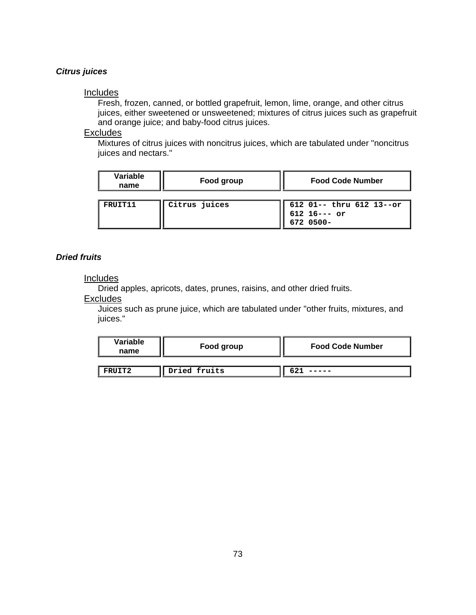## **Citrus juices**

## **Includes**

Fresh, frozen, canned, or bottled grapefruit, lemon, lime, orange, and other citrus juices, either sweetened or unsweetened; mixtures of citrus juices such as grapefruit and orange juice; and baby-food citrus juices.

#### Exc ludes

Mixtures of citrus juices with noncitrus juices, which are tabulated under "noncitrus juices and nectars."

| Variable<br>name | Food group    | <b>Food Code Number</b>                                 |
|------------------|---------------|---------------------------------------------------------|
| FRUIT11          | Citrus juices | 612 01-- thru 612 13--or<br>$612$ 16--- or<br>672 0500- |

## *Dried fruits*

#### **Includes**

Dried apples, apricot s, dates, prunes, raisins, and other dried fruits.

## **Excludes**

Juices such as prune juice, which are tabulated under "other fruits, mixtures, and juices."

| Variable<br>name | Food group   | <b>Food Code Number</b> |
|------------------|--------------|-------------------------|
| FRUIT2           | Dried fruits |                         |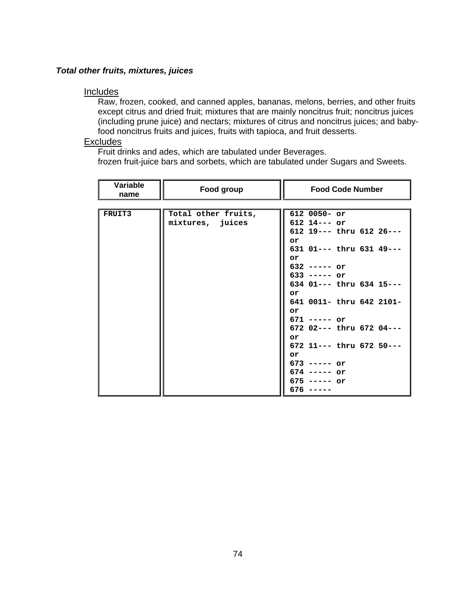## *Total other fruits, mixtures, juices*

## **Includes**

Raw, frozen, cooked, and canned apples, bananas, melons, berries, and other frui ts except citrus and dried fruit; mixtures that are mainly noncitrus fruit; noncitrus juices (including prune juice) and nectars; mixtures of citrus and noncitrus juices; and babyfood noncitrus fruits and juices, fruits with tapioca, and fruit desserts.

#### Exc ludes

Fruit drinks and ades, which are tabulated under Beverages.

frozen fruit-juice bars and sorbets, which are tabulated under Sugars and Sweets.

| <b>Variable</b><br>name | Food group          | <b>Food Code Number</b>        |
|-------------------------|---------------------|--------------------------------|
|                         |                     |                                |
| FRUIT3                  | Total other fruits, | 612 0050- or                   |
|                         | mixtures, juices    | $612$ 14--- or                 |
|                         |                     | $612$ 19 --- thru $612$ 26 --- |
|                         |                     | or                             |
|                         |                     | 631 01 --- thru 631 49 ---     |
|                         |                     | or                             |
|                         |                     | $632$ ----- or                 |
|                         |                     | $633$ ----- or                 |
|                         |                     | 634 01 --- thru 634 15 ---     |
|                         |                     | or<br>641 0011- thru 642 2101- |
|                         |                     | or                             |
|                         |                     | $671$ ----- or                 |
|                         |                     | $672$ 02--- thru 672 04---     |
|                         |                     | or                             |
|                         |                     | 672 11--- thru 672 50---       |
|                         |                     | or                             |
|                         |                     | $673$ ----- or                 |
|                         |                     | $674$ ----- or                 |
|                         |                     | $675$ ----- or                 |
|                         |                     | 676                            |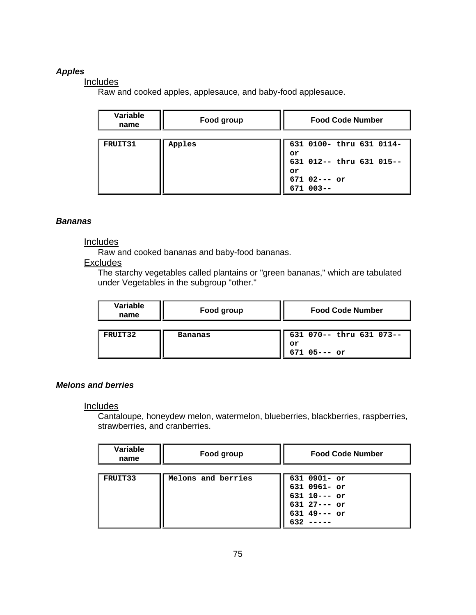## *Apples*

## **Includes**

Raw and cooked apples, applesauce, and baby-food applesauce.

| Variable<br>name | Food group | <b>Food Code Number</b>    |
|------------------|------------|----------------------------|
|                  |            |                            |
| FRUIT31          | Apples     | 631 0100- thru 631 0114-   |
|                  |            | or                         |
|                  |            | 631 012 -- thru 631 015 -- |
|                  |            | or                         |
|                  |            | $671$ 02--- or             |
|                  |            | $671003--$                 |

## *Bananas*

## **Includes**

Raw and cooked bananas and baby-food bananas .

## Excludes

The starchy vegetables called plantains or "green bananas," which are tabulated under Vegetables in the subgroup "other."

| Variable<br>name | Food group | <b>Food Code Number</b>                            |
|------------------|------------|----------------------------------------------------|
| FRUIT32          | Bananas    | 631 070-- thru 631 073--<br>or<br>$671$ $05---$ or |

## *Melons and berries*

## Includes

Cantaloupe, honeydew melon, watermelon, blueberries, blackberries, raspberries, strawberries, and cranberries.

| Variable<br>name | Food group         | <b>Food Code Number</b>                                                                      |
|------------------|--------------------|----------------------------------------------------------------------------------------------|
| FRUIT33          | Melons and berries | $631$ 0901- or<br>631 0961- or<br>$631$ 10--- or<br>$631$ 27--- or<br>$631$ 49 --- or<br>632 |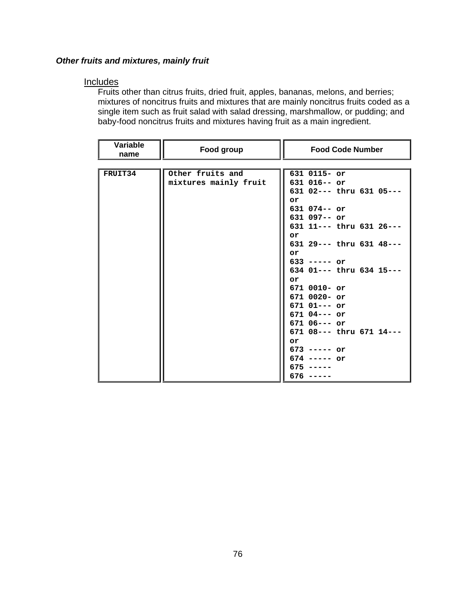## *Other fruits and mixtures, mainly fruit*

## **Includes**

Fruits other than citrus fruits, dried fruit, apples, bananas, melons, and berries; mixtures of noncitrus fruits and mixtures that are mainly noncitrus fruits coded as a single item such as fruit salad with salad dressing, marshmallow, or pudding; and baby-food noncitrus fruits and mixtures having fruit as a main ingredient.

| Variable<br>name | Food group            | <b>Food Code Number</b>                              |
|------------------|-----------------------|------------------------------------------------------|
|                  |                       |                                                      |
| FRUIT34          | Other fruits and      | 631 0115- or                                         |
|                  | mixtures mainly fruit | $631$ $016--$ or<br>$631$ $02---$ thru $631$ $05---$ |
|                  |                       | or                                                   |
|                  |                       | 631 074 -- or                                        |
|                  |                       | $631$ 097-- or                                       |
|                  |                       | 631 11 --- thru 631 26 ---                           |
|                  |                       | or                                                   |
|                  |                       | $631$ 29 --- thru $631$ 48 ---                       |
|                  |                       | or                                                   |
|                  |                       | $633$ ----- or                                       |
|                  |                       | 634 01 --- thru 634 15 ---                           |
|                  |                       | or<br>$6710010 - or$                                 |
|                  |                       | $6710020 - or$                                       |
|                  |                       | $671$ $01---$ or                                     |
|                  |                       | $671$ 04--- or                                       |
|                  |                       | $671$ 06--- or                                       |
|                  |                       | 671 08 --- thru 671 14 ---                           |
|                  |                       | or                                                   |
|                  |                       | $673$ ----- or                                       |
|                  |                       | $674$ ----- or                                       |
|                  |                       | 675                                                  |
|                  |                       | 676                                                  |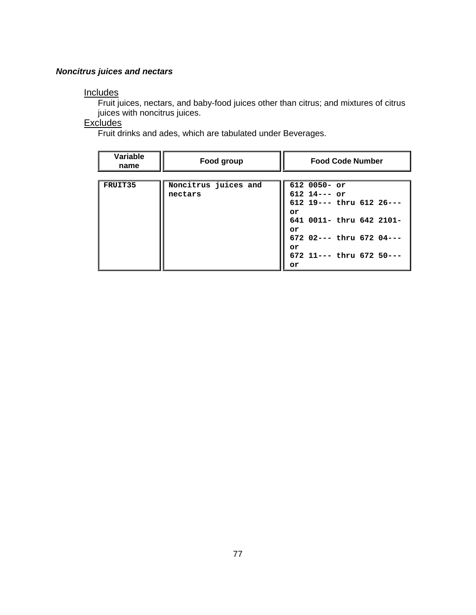## *Noncitrus juices and nectars*

## **Includes**

Fruit juices, nectars, and baby-food juices other than citrus; and mixtures of citrus juices with noncitrus juices.

## **Excludes**

Fruit drinks and ades, which are tabulated under Beverages.

| Variable<br>name | Food group           | <b>Food Code Number</b>        |
|------------------|----------------------|--------------------------------|
|                  |                      |                                |
| FRUIT35          | Noncitrus juices and | $6120050 - or$                 |
|                  | nectars              | $612$ 14--- or                 |
|                  |                      | $612$ 19--- thru $612$ 26---   |
|                  |                      | or                             |
|                  |                      | 641 0011- thru 642 2101-       |
|                  |                      | or                             |
|                  |                      | 672 02--- thru 672 04---       |
|                  |                      | or                             |
|                  |                      | $672$ 11 --- thru $672$ 50 --- |
|                  |                      | or                             |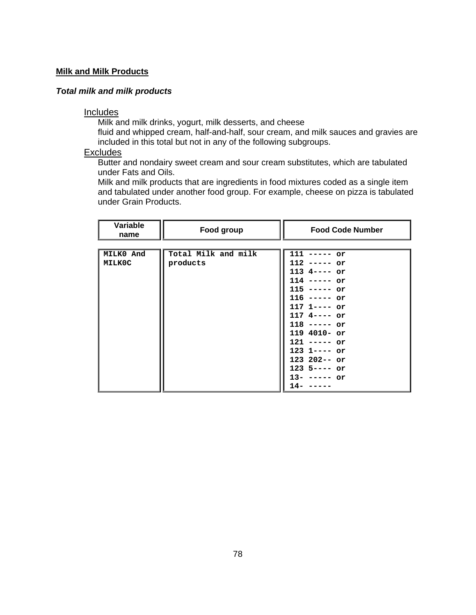## **Milk and Milk Products**

## *T***o***tal milk and milk products*

## Includes

Milk and milk drinks, yogurt, milk desserts, and cheese

fluid and whipped cream, half-and-half, sour cream, and milk sauces and gravies are included in this total but not in any of the following subgroups.

## Exclud es

under Fats and Oils. Butter and nondairy sweet cream and sour cream substitutes, which are tabulated

Milk and milk products that are ingredients in food mixtures coded as a single item and tabulated under another food group. For example, cheese on pizza is tabulated under Grain Products.

| Variable<br>name | Food group          | <b>Food Code Number</b> |
|------------------|---------------------|-------------------------|
|                  |                     |                         |
| MILK0 And        | Total Milk and milk | 111<br>or               |
| <b>MILK0C</b>    | products            | 112<br>or               |
|                  |                     | $113 - 4 -$<br>$--- or$ |
|                  |                     | 114<br>or               |
|                  |                     | 115<br>or               |
|                  |                     | $116$ ----- or          |
|                  |                     | 117 1---- or            |
|                  |                     | $117$ 4---- or          |
|                  |                     | $118$ ----- or          |
|                  |                     | $119$ 4010- or          |
|                  |                     | 121<br>or<br>$---$      |
|                  |                     | $123$ 1---- or          |
|                  |                     | $123$ 202-- or          |
|                  |                     | $123$ 5---- or          |
|                  |                     | $13-$<br>or             |
|                  |                     | 14-                     |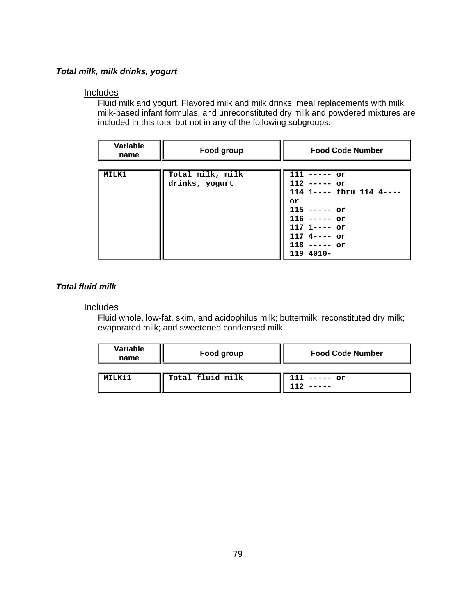## *Total milk, milk drinks, yogurt*

## Includes

Fluid milk and yogurt. Flavored milk and milk drinks, meal replacements with milk, milk-based infant formulas, and unreconstituted dry milk and powdered mixtures are included in this total but not in any of the following subgroups.

| Variable<br>name | Food group                         | <b>Food Code Number</b>                                                                                                         |
|------------------|------------------------------------|---------------------------------------------------------------------------------------------------------------------------------|
| MILK1            | Total milk, milk<br>drinks, yogurt | 111<br>or<br>112<br>or<br>114 1 ---- thru 114 4-<br>or<br>$115 - - - - -$<br>or<br>116<br>or<br>1171<br>or<br>1174-<br>$--- or$ |
|                  |                                    | 118<br>or<br>119 4010-                                                                                                          |

## *Total fluid milk*

## **Includes**

Fluid whole, low-fat, skim, and acidophilus milk; buttermilk; reconstituted dry milk; evaporated milk; and sweetened condensed milk.

| Variable<br>name | Food group       | <b>Food Code Number</b> |
|------------------|------------------|-------------------------|
|                  |                  |                         |
| <b>MTT.V11</b>   | Total fluid milk | $--- or$                |
|                  |                  |                         |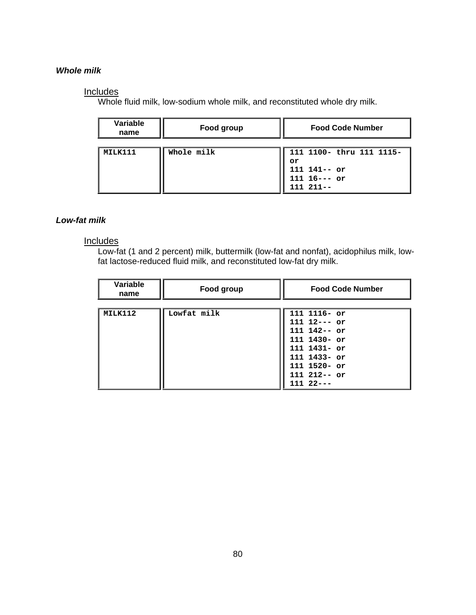## *Whole milk*

## **Includes**

Whole fluid milk, low-sodium whole milk, and reconstituted whole dry milk.

| Variable<br>name | Food group | <b>Food Code Number</b>                                                             |
|------------------|------------|-------------------------------------------------------------------------------------|
| MILK111          | Whole milk | 111 1100- thru 111 1115-<br>or<br>$111 141-- or$<br>$111 16--- or$<br>$111 211 - -$ |

## *Low-fat milk*

## **Includes**

Low-fat (1 and 2 percent) milk, buttermilk (low-fat a fat lactose-reduced fluid milk, and reconstituted low-fat dry milk. nd nonfat), acidophilus milk, low-

| Variable<br>name | Food group  | <b>Food Code Number</b> |
|------------------|-------------|-------------------------|
|                  |             |                         |
| MILK112          | Lowfat milk | 111 1116- or            |
|                  |             | $111 12--- or$          |
|                  |             | $111 142 - - or$        |
|                  |             | 111 1430- or            |
|                  |             | $11111431 - or$         |
|                  |             | 111 1433- or            |
|                  |             | $1111520 - or$          |
|                  |             | $111 212 - or$          |
|                  |             | $11122--$               |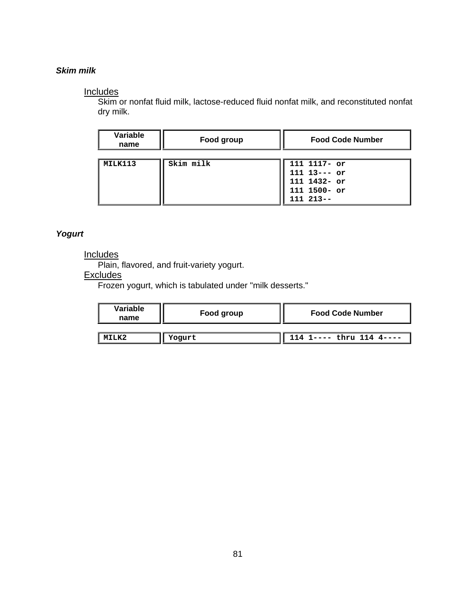## *Skim milk*

## Includes

Skim or nonfat fluid milk, lactose-reduced fluid nonfat milk, and reconstituted nonfat dry milk.

| Variable<br>name | Food group | <b>Food Code Number</b>                                                            |
|------------------|------------|------------------------------------------------------------------------------------|
| MILK113          | Skim milk  | 111 1117- or<br>$111 13--- or$<br>111 1432- or<br>$111 1500 - or$<br>$111 213 - -$ |

## *Yogurt*

## Inc ludes

Plain, flavored, and fruit-variety yogurt.

## **Excludes**

Frozen yogurt, which is tabulated under "milk desserts."

| Variable<br>name | Food group | <b>Food Code Number</b>    |
|------------------|------------|----------------------------|
|                  |            |                            |
|                  | Yogurt     | 114 1---- thru $114$ 4---- |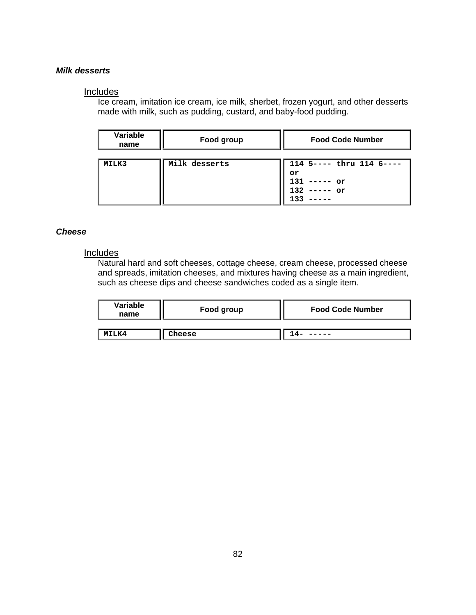## *Milk desserts*

#### Includes

Ice cream, imitation ice cream, ice milk, sherbet, frozen yogurt, and other desserts made with milk, such as pudding, custard, and baby-food pudding.

| Variable<br>name | Food group    | <b>Food Code Number</b>                                                |
|------------------|---------------|------------------------------------------------------------------------|
| MILK3            | Milk desserts | 114 5 ---- thru 114 6 ----<br>or<br>131<br>$---or$<br>132<br>or<br>133 |

## *Cheese*

## Includes

Natural hard and soft cheeses, cottage cheese, cream cheese, processed cheese and spreads, imitation cheeses, and mixtures having cheese as a main ingredient, such as cheese dips and cheese sandwiches coded as a single item.

| Variable<br>name | Food group | <b>Food Code Number</b> |
|------------------|------------|-------------------------|
| MILK4            | Cheese     |                         |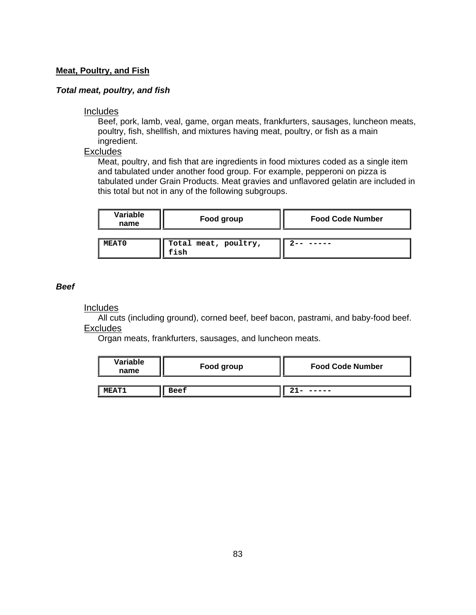## **Meat, Poultry, and Fish**

#### *Total meat, poultry, and fish*

#### Includes

Beef, pork, lamb, veal, game, organ meats, frankfurters, sausages, luncheon meats, poultry, fish, shellfish, and mixtures having meat, poultry, or fish as a main ingr edient.

## **Excludes**

Meat, poultry, and fish that are ingredients in food mixtures coded as a single item and tabulated under another food group. For example, pepperoni on pizza is tabulated under Grain Products. Meat gravies and unflavored gelatin are included in this total but not in any of the following subgroups.

| Variable<br>name | Food group                   | <b>Food Code Number</b> |
|------------------|------------------------------|-------------------------|
| <b>MEAT0</b>     | Total meat, poultry,<br>fish |                         |

#### *Beef*

### **Includes**

All cuts (including ground), corned beef, beef bacon, pastrami, and baby-food beef. **Excludes** 

Organ meats, frankfurters, sausages, and luncheon meats.

| Variable<br>name | Food group | <b>Food Code Number</b> |
|------------------|------------|-------------------------|
|                  |            |                         |
| <b>MEAT1</b>     | Beef       |                         |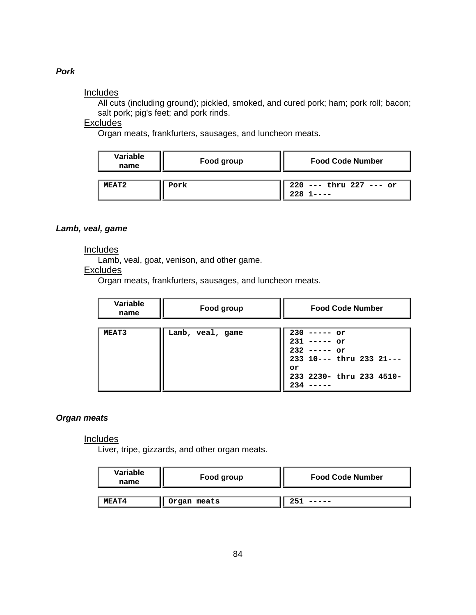## *Pork*

## Includes

All cuts (including ground); pickled, smoked, and cured pork; ham; pork roll; bacon; salt pork; pig's feet; and pork rinds.

## Exc ludes

Organ meats, frankfurters, sausages, and luncheon meats.

| Variable<br>name | Food group | <b>Food Code Number</b>            |
|------------------|------------|------------------------------------|
| MEAT2            | Pork       | $220$ --- thru $227$ --- or<br>228 |

#### Lamb, veal, game

#### Inclu des

Lamb, veal, goat, venison, and other game.

## Excludes

Organ meats, frankfurters, sausages, and luncheon meats.

| Variable<br>name | Food group       | <b>Food Code Number</b>                                                                                                 |
|------------------|------------------|-------------------------------------------------------------------------------------------------------------------------|
| <b>MEAT3</b>     | Lamb, veal, game | $230$ -----<br>or<br>231<br>or<br>$232$ ----- or<br>233 10 --- thru 233 21 ---<br>or<br>233 2230- thru 233 4510-<br>234 |

## *Organ meats*

#### Includes

Liver, tripe, gizzards, and other organ meats.

| Variable<br>name | Food group  | <b>Food Code Number</b> |
|------------------|-------------|-------------------------|
| MEAT4            | Organ meats |                         |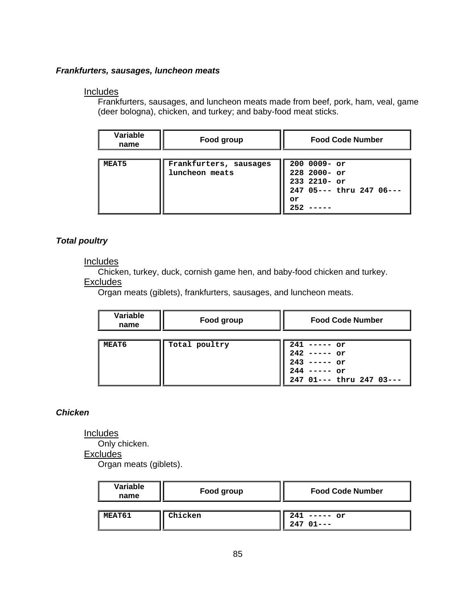### *Frankfurters, sausages, luncheon meats*

## Includes

Frankfurters, sausages, and luncheon meats made from beef, pork, ham, veal, game (deer bologna), chicken, and turkey; and baby-food meat sticks.

| Variable<br>name | Food group                               | <b>Food Code Number</b>                                                                     |
|------------------|------------------------------------------|---------------------------------------------------------------------------------------------|
| <b>MEAT5</b>     | Frankfurters, sausages<br>luncheon meats | $2000009 - or$<br>$228$ 2000- or<br>$233$ 2210- or<br>247 05--- thru 247 06---<br>or<br>252 |

## *Total poultry*

## **Includes**

Chicken, turkey, duck, cornish game hen, and baby-food chicken and turkey.

## **Excludes**

Organ meats (giblets), frankfurters, sausages, and luncheon meats.

| Variable<br>name | Food group    | <b>Food Code Number</b>                                                                            |
|------------------|---------------|----------------------------------------------------------------------------------------------------|
| MEAT6            | Total poultry | 241<br>$---or$<br>$242$ ----- or<br>$243$ ----- or<br>$244$ ----- or<br>247 01 --- thru 247 03 --- |

## *Chicken*

**Includes** 

Only chicken.

**Excludes** 

Organ meats (giblets).

| Variable<br>name | Food group | <b>Food Code Number</b>      |
|------------------|------------|------------------------------|
|                  |            |                              |
| MEAT61           | Chicken    | 241<br>$--- or$<br>$24701--$ |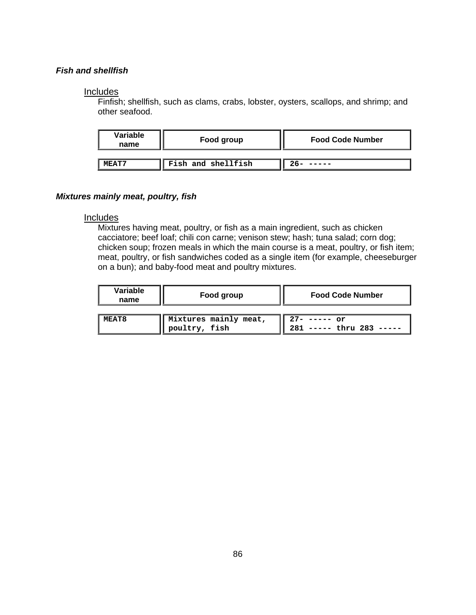## *Fish and shellfish*

#### **Includes**

Finfish; shellfish, such as clams, crabs, lobster, oysters, scallops, and shrimp; and other seafood.

| Variable<br>name | Food group         | <b>Food Code Number</b> |
|------------------|--------------------|-------------------------|
| MRAT7            | Fish and shellfish |                         |

#### *Mixtures mainly meat, poultry, fish*

#### **Includes**

Mixtures having meat, poultry, or fish as a main ingredient, such as chicken cacciatore; beef loaf; chili con carne; venison stew; hash; tuna salad; corn dog; chicken soup; frozen meals in which the main course is a meat, poultry, or fish item; meat, poultry, or fish sandwiches coded as a single item (for example, cheeseburger on a bun); and baby-food meat and poultry mixtures.

| Variable<br>name | Food group                             | <b>Food Code Number</b>                   |
|------------------|----------------------------------------|-------------------------------------------|
| MEAT8            | Mixtures mainly meat,<br>poultry, fish | $27 - - - - - or$<br>$---$ thru 283 ----- |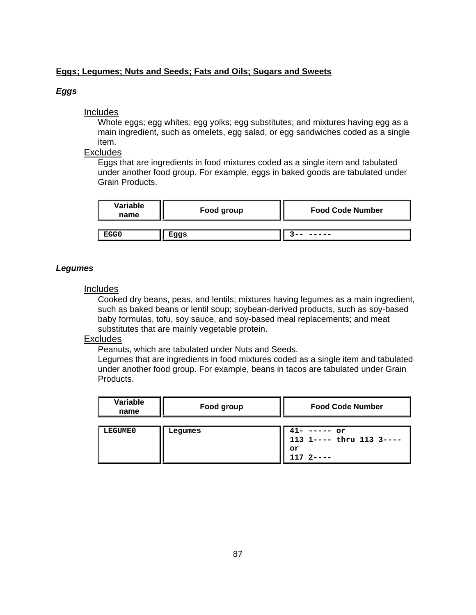## **Eggs; Legumes; Nuts and Seeds; Fats and Oils; Sugars and Sweets**

## *Eggs*

## **Includes**

Whole eggs; egg whites; egg yolks; egg substitutes; and mixtures having egg as a main ingredient, such as omelets, egg salad, or egg sandwiches coded as a single item .

## **Excludes**

Eggs that are ingredients in food mixtures coded as a single item and tabulated under another food group. For example, eggs in baked goods are tabulated under Grain Products.

| Variable<br>name | Food group | <b>Food Code Number</b> |
|------------------|------------|-------------------------|
| EGG0             | Eggs       |                         |

## *Legumes*

## **Includes**

Cooked dry beans, peas, and lentils; mixtures having legumes as a main ingredient, such as baked beans or lentil soup; soybean-derived products, such as soy-based baby formulas, tofu, soy sauce, and soy-based meal replacements; and meat substitutes that are mainly vegetable protein.

## Excludes

Peanuts, which are tabulated under Nuts and Seeds.

Legumes that are ingredients in food mixtures coded as a single item and tabulated under another food group. For example, beans in tacos are tabulated under Grain Products.

| Variable<br>name | Food group | <b>Food Code Number</b>                                            |
|------------------|------------|--------------------------------------------------------------------|
| LEGUME0          | Lequmes    | $41-$ ----- or<br>113 1 ---- thru 113 3 ----<br>or<br>$1172 - - -$ |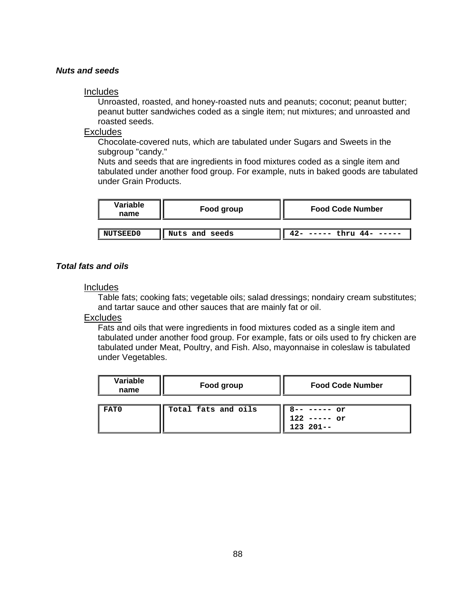## *Nuts and seeds*

#### Includes

Unroasted, roasted, and honey-roasted nuts and peanuts; coconut; peanut butter; peanut butter sandwiches coded as a single item; nut mixtures; and unroasted and roasted seeds.

## Exc ludes

Chocolate-covered nuts, which are tabulated under Sugars and Sweets in the subgroup "candy."

tabulated under another food group. For example, nuts in baked goods are tabulated under Grain Products. Nuts and seeds that are ingredients in food mixtures coded as a single item and

| Variable<br>name | Food group     | <b>Food Code Number</b>          |
|------------------|----------------|----------------------------------|
|                  |                |                                  |
| <b>NUTSEED0</b>  | Nuts and seeds | $--- -$ thru 44- -----<br>$42 -$ |

## *Total fats and oils*

## Includes

Table fats; cooking fats; vegetable oils; salad dressings; nondairy cream substitutes; and tartar sauce and other sauces that are mainly fat or oil.

## **Excludes**

Fats and oils that were ingredients in food mixtures coded as a single item and tabulated under another food group. For example, fats or oils used to fry chicken are tabulated under Meat, Poultry, and Fish. Also, mayonnaise in coleslaw is tabulated under Vegetables.

| <b>Variable</b><br>name | Food group          | <b>Food Code Number</b>                    |
|-------------------------|---------------------|--------------------------------------------|
| FAT0                    | Total fats and oils | $8-----or$<br>$122$ ----- or<br>$123201--$ |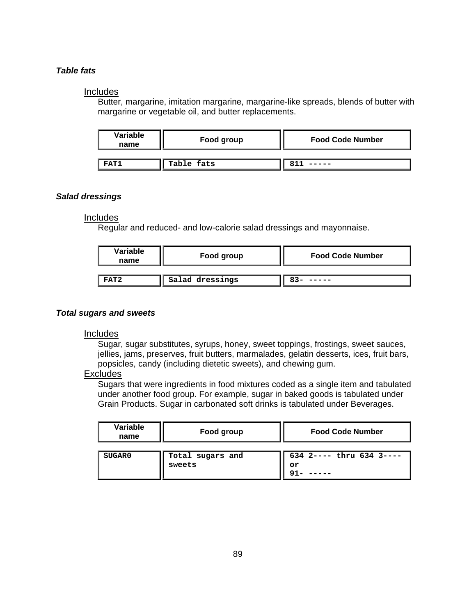## *Table fats*

#### **Includes**

Butter, margarine, imitation margarine, margarine-like spreads, blends of butter with margarine or vegetable oil, and butter replacements.

| Variable<br>name | Food group | <b>Food Code Number</b> |
|------------------|------------|-------------------------|
| FAT1             | Table fats |                         |

## *Salad dressings*

## **Includes**

Regular and reduced- and low-calorie salad dressings and mayonnaise.

| Variable<br>name | Food group      | <b>Food Code Number</b> |
|------------------|-----------------|-------------------------|
| FAT <sub>2</sub> | Salad dressings |                         |

#### *Total s ugars and sweets*

## Inc ludes

Sugar, sugar substitutes, syrups, honey, sweet toppings, frostings, sweet sauces, jellies, jams, preserves, fruit butters, marmalades, gelatin desserts, ices, fruit bars, popsicles, candy (including dietetic sweets), and chewing gum.

#### Excludes

Sugars that were ingredients in food mixtures coded as a single item and tabulated under another food group. For example, sugar in baked goods is tabulated under Grain Products. Sugar in carbonated soft drinks is tabulated under Beverages.

| Variable<br>name | Food group                 | <b>Food Code Number</b>        |
|------------------|----------------------------|--------------------------------|
| <b>SUGAR0</b>    | Total sugars and<br>sweets | 634 2---- thru 634 3----<br>or |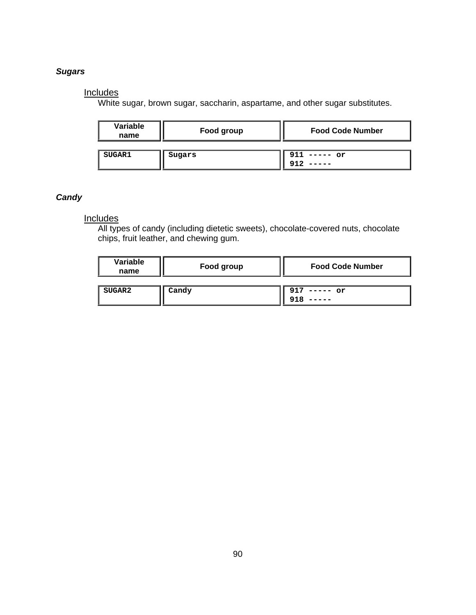## *Sugars*

## **Includes**

White sugar, brown sugar, saccharin, aspartame, and other sugar substitutes.

| Variable<br>name | Food group | <b>Food Code Number</b> |
|------------------|------------|-------------------------|
| <b>SUGAR1</b>    | Sugars     | $911$ ----- or          |

## *Candy*

## Includes

All types of candy (including dietetic sweets), chocolate-covered nuts, chocolate chips, fruit leather, and chewing gum.

| Variable<br>name | Food group | <b>Food Code Number</b> |
|------------------|------------|-------------------------|
| SUGAR2           | Candy      | 917<br>$---or$          |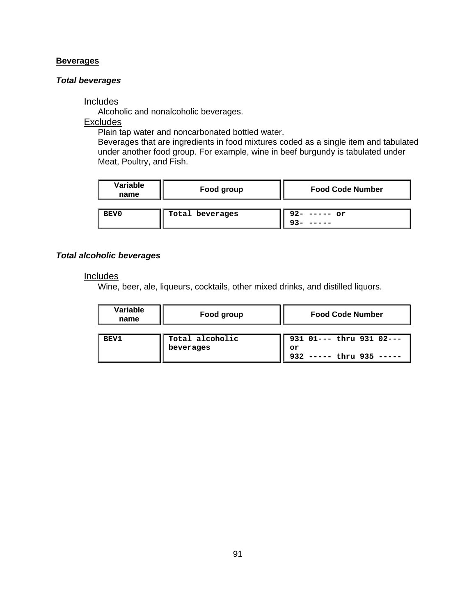### **Beverages**

#### *Total beverages*

## **Includes**

Alcoholic and nonalcoholic beverages.

**Excludes** 

Plain tap water and noncarbonated bottled water.

Beverages that are ingredients in food mixtures coded as a single item and tabulated under another food group. For example, wine in beef burgundy is tabulated under Meat, Poultry, and Fish.

| Variable<br>name | Food group      | <b>Food Code Number</b> |
|------------------|-----------------|-------------------------|
| BEV0             | Total beverages | $92 - - - - - or$       |

## *Total alcoholic beverages*

#### **Includes**

Wine, beer, ale, liqueurs, cocktails, other mixed drinks, and distilled liquors.

| Variable<br>name | Food group                   | <b>Food Code Number</b>                                      |
|------------------|------------------------------|--------------------------------------------------------------|
| <b>BEV1</b>      | Total alcoholic<br>beverages | 931 01 --- thru 931 02 ---<br>or<br>932 ----- thru 935 ----- |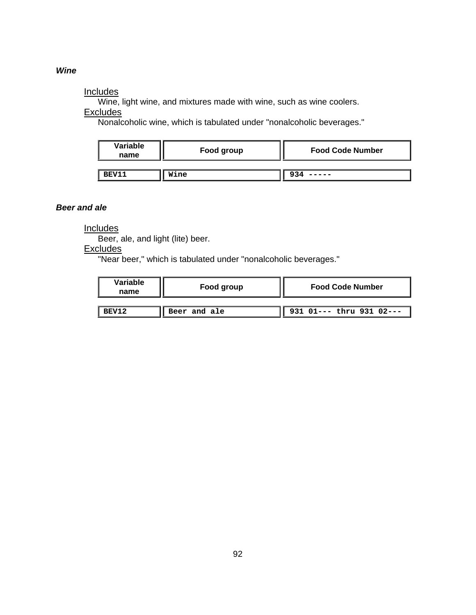#### *ine W*

#### **Includes**

Wine, light wine, and mixtures made with wine, such as wine coolers.

Exc ludes

Nonalcoholic wine, which is tabulated under "nonalcoholic beverages."

| Variable<br>name | Food group | <b>Food Code Number</b> |
|------------------|------------|-------------------------|
| <b>BEV11</b>     | Wine       |                         |

#### *Beer and ale*

**Includes** 

Beer, ale, and light (lite) beer.

**Excludes** 

"Near beer," which is tabulated under "nonalcoholic beverages."

| Variable<br>name | Food group   | <b>Food Code Number</b>       |
|------------------|--------------|-------------------------------|
|                  |              |                               |
| BEV12            | Beer and ale | $   931 01---$ thru 931 02--- |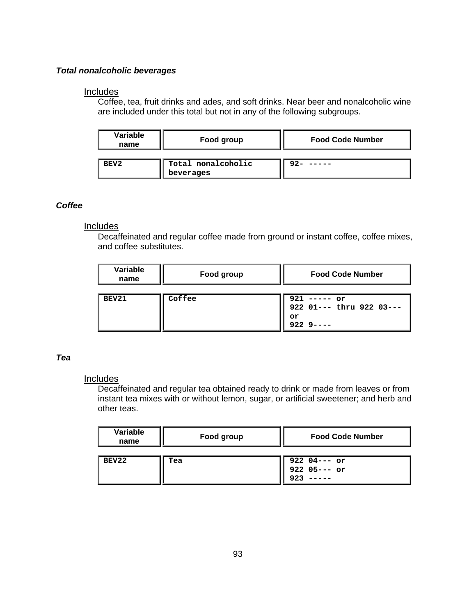## *Total nonalcoholic beverages*

## **Includes**

Coffee, tea, fruit drinks and ades, and soft drinks. Near beer and nonalcoholic wine are included under this total but not in any of the following subgroups.

| Variable<br>name | Food group                      | <b>Food Code Number</b> |
|------------------|---------------------------------|-------------------------|
| BEV2             | Total nonalcoholic<br>beverages |                         |

## *Coffee*

## Includes

Decaffeinated and regular coffee made from ground or instant coffee, coffee mixes, and coffee substitutes.

| Variable<br>name | Food group | <b>Food Code Number</b>                                    |
|------------------|------------|------------------------------------------------------------|
| BEV21            | Coffee     | $921$ ----- or<br>922 01 --- thru 922 03 ---<br>or<br>9229 |

## *Tea*

## **Includes**

Decaffeinated and regular tea obtained ready to drink or made from leaves or from instant tea mixes with or without lemon, sugar, or artificial sweetener; and herb and other teas.

| Variable<br>name | Food group | <b>Food Code Number</b>             |
|------------------|------------|-------------------------------------|
| BEV22            | Tea        | 922 04--- or<br>922 05--- or<br>923 |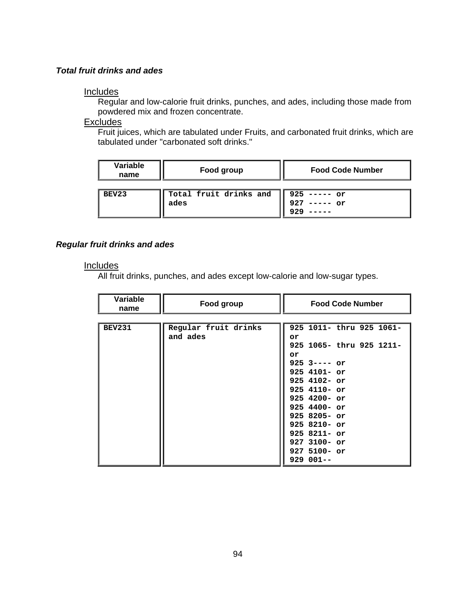## *Total fruit drinks and ades*

#### Includes

Regular and low-calorie fruit drinks, punches, and ades, including those made from powdered mix and frozen concentrate.

## **Excludes**

Fruit juices, which are tabulated under Fruits, and carbonated fruit drinks, which are tabulated un der "carbonated soft drinks."

| Variable<br>name | Food group                     | <b>Food Code Number</b>                  |
|------------------|--------------------------------|------------------------------------------|
| BEV23            | Total fruit drinks and<br>ades | $925$ ----- or<br>$--- or$<br>927<br>のつく |

#### *Regular fr uit drinks and ades*

#### **Includes**

All fruit drinks, punches, and ades except low-calorie and low-sugar types.

| Variable<br>name | Food group           | <b>Food Code Number</b>  |
|------------------|----------------------|--------------------------|
|                  |                      |                          |
| <b>BEV231</b>    | Regular fruit drinks | 925 1011- thru 925 1061- |
|                  | and ades             | or                       |
|                  |                      | 925 1065- thru 925 1211- |
|                  |                      | or                       |
|                  |                      | $925$ 3---- or           |
|                  |                      | $925$ 4101- or           |
|                  |                      | $925$ 4102- or           |
|                  |                      | $925$ 4110- or           |
|                  |                      | $925$ 4200- or           |
|                  |                      | $925$ 4400- or           |
|                  |                      | $925$ 8205- or           |
|                  |                      | $925$ 8210- or           |
|                  |                      | $925$ 8211- or           |
|                  |                      | $927$ 3100- or           |
|                  |                      | $927$ 5100- or           |
|                  |                      | $929001--$               |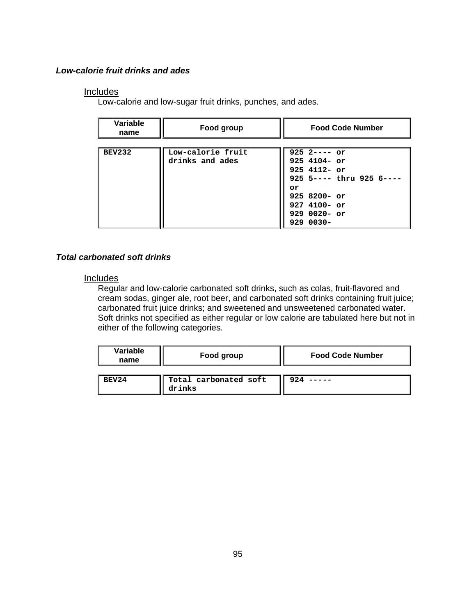## *Low-calorie fruit drinks and ades*

## **Includes**

Low-calorie and low-sugar fruit drinks, punches, and ades.

| Variable<br>name | Food group        | <b>Food Code Number</b>      |
|------------------|-------------------|------------------------------|
|                  |                   |                              |
| <b>BEV232</b>    | Low-calorie fruit | $925$ 2---- or               |
|                  | drinks and ades   | $925$ 4104- or               |
|                  |                   | $925$ 4112- or               |
|                  |                   | $925$ 5---- thru $925$ 6---- |
|                  |                   | or                           |
|                  |                   | $9258200 - or$               |
|                  |                   | $927$ 4100- or               |
|                  |                   | 929 0020- or                 |
|                  |                   | $9290030 -$                  |

## *Total carbonated soft drinks*

## **Includes**

Regular and low-calorie carbonated soft drinks, such as colas, fruit-flavored and cream sodas, ginger ale, root beer, and carbonated soft drinks containing fruit juice; carbonated fruit juice drinks; and sweetened and unsweetened carbonated water. Soft drinks not specified as either regular or low calorie are tabulated here but not in either of the following categories.

| Variable<br>name | Food group                      | <b>Food Code Number</b> |
|------------------|---------------------------------|-------------------------|
| BEV24            | Total carbonated soft<br>drinks |                         |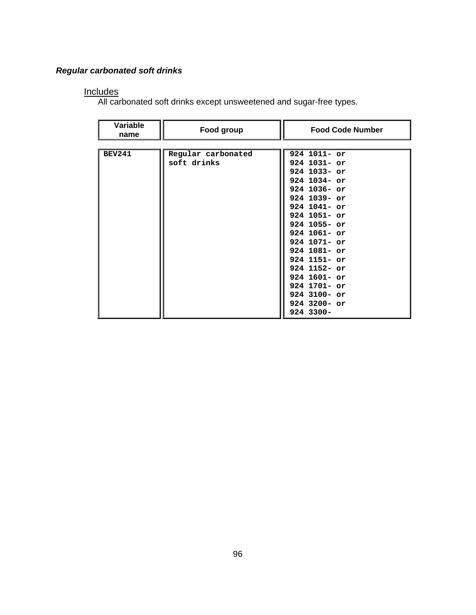## *Regular carbonated soft drinks*

#### **Includes**

All carbonated soft drinks except unsweetened and sugar-free types.

| Variable<br>name | Food group                        | <b>Food Code Number</b>                                                                                                                                                                                                                                                                                                        |
|------------------|-----------------------------------|--------------------------------------------------------------------------------------------------------------------------------------------------------------------------------------------------------------------------------------------------------------------------------------------------------------------------------|
|                  |                                   |                                                                                                                                                                                                                                                                                                                                |
| <b>BEV241</b>    | Regular carbonated<br>soft drinks | $924$ 1011- or<br>$924$ 1031- or<br>$924$ 1033- or<br>$924$ 1034- or<br>$924$ 1036- or<br>$924$ 1039- or<br>$924$ 1041- or<br>$924$ 1051- or<br>$924$ 1055- or<br>$924$ 1061- or<br>$924$ 1071- or<br>$924$ 1081- or<br>$924$ 1151- or<br>$924$ 1152- or<br>924 1601- or<br>$924$ 1701- or<br>$924$ 3100- or<br>$924$ 3200- or |
|                  |                                   | 924 3300-                                                                                                                                                                                                                                                                                                                      |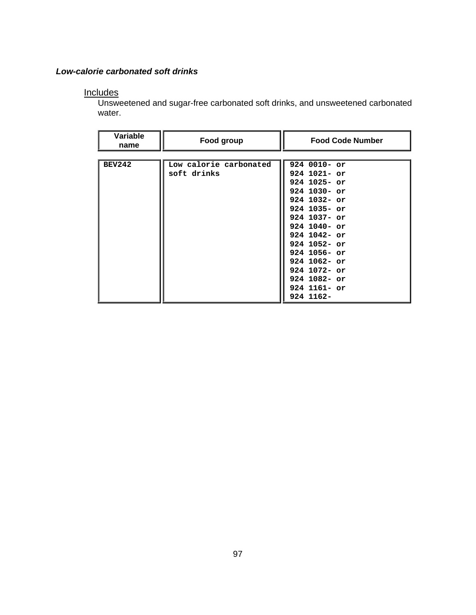## *Low-calorie carbonated soft drinks*

## **Includes**

Unsweetened and sugar-free carbonated soft drinks, and unsweetened carbonated water.

| Variable<br>name | Food group             | <b>Food Code Number</b> |
|------------------|------------------------|-------------------------|
|                  |                        |                         |
| <b>BEV242</b>    | Low calorie carbonated | $9240010 - or$          |
|                  | soft drinks            | $924$ 1021- or          |
|                  |                        | $924$ 1025- or          |
|                  |                        | $924$ 1030- or          |
|                  |                        | $924$ 1032- or          |
|                  |                        | $924$ 1035- or          |
|                  |                        | 924 1037- or            |
|                  |                        | $924$ 1040- or          |
|                  |                        | $924$ 1042- or          |
|                  |                        | $924$ 1052- or          |
|                  |                        | $924$ 1056- or          |
|                  |                        | $924$ 1062- or          |
|                  |                        | $924$ 1072- or          |
|                  |                        | $924$ 1082- or          |
|                  |                        | $924$ 1161- or          |
|                  |                        | 924 1162-               |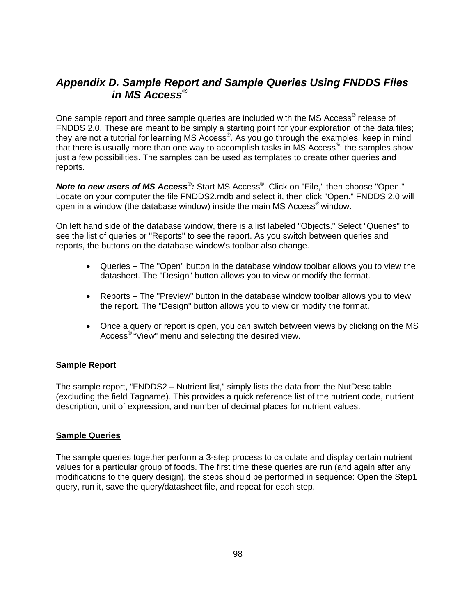## *Appendix D. Sample Report and Sample Queries Using FNDDS Files MS Access® in*

One sample report and three sample queries are included with the MS Access<sup>®</sup> release of FNDDS 2.0. These are meant to be simply a starting point for your exploration of the data files; they are not a tutorial for learning MS Access®. As you go through the examples, keep in mind that there is usually more than one way to accomplish tasks in MS Access ®; the samples show just a few possibilities. The samples can be used as templates to create other queries and reports.

**Note to new users of MS Access<sup>®</sup>:** Start MS Access<sup>®</sup>. Click on "File," then choose "Open." Locate on your computer the file FNDDS2.mdb and select it, t hen click "Open." FNDDS 2.0 will open in a window (the database window) inside the main MS Access® window.

On left hand side of the database window, there is a list labele d "Objects." Select "Queries" to see the list of queries or "Reports" to see the report. As you s witch between queries and reports, the buttons on the database window's toolbar also ch ange.

- Queries The "Open" button in the database window toolbar allows you to view the datasheet. The "Design" button allows you to view or modify the format.
- Reports The "Preview" button in the database window toolbar allows you to view the report. The "Design" button allows you to view or modify the format.
- Once a query or report is open, you can switch between views by clicking on the MS Access® "View" menu and selecting the desired view.

## **Sample Report**

The sample report, "FNDDS2 – Nutrient list," simply lists the data from the NutDesc table (excluding the field Tagname). This provides a quick reference list of the nutrient code, nutrient description, unit of expression, and number of decimal places for nutrient values.

## **Sample Queries**

The sample queries together perform a 3-step process to calculate and display certain nutrient values for a particular group of foods. The first time these queries are run (and again after any modifications to the query design), the steps should be performed in sequence: Open the Step1 query, run it, save the query/datasheet file, and repeat for each step.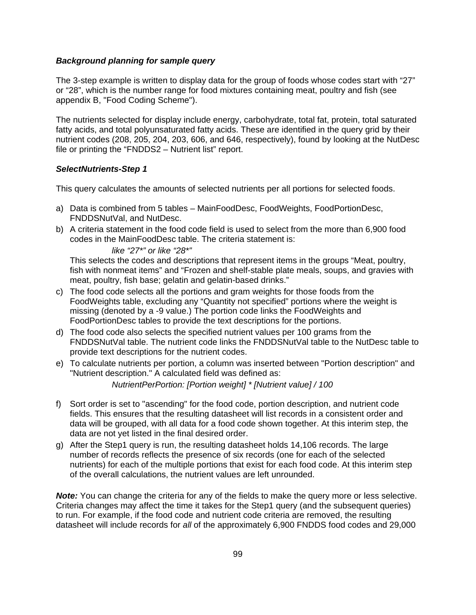#### *Background planning for sample query*

appendix B, "Food Coding Scheme"). The 3-step example is written to display data for the group of foods whose codes start with "27" or "28", which is the number range for food mixtures containing meat, poultry and fish (see

The nutrients selected for display include energy, carbohydrate, total fat, protein, total saturated nutrient codes (208, 205, 204, 203, 606, and 646, respectively), found by looking at the NutDesc fatty acids, and total polyunsaturated fatty acids. These are identified in the query grid by their file or printing the "FNDDS2 – Nutrient list" report.

#### **SelectNutrients-Step 1**

This query calculates the amounts of selected nutrients per all portions for selected foods.

- a) Data is combined from 5 tables MainFoodDesc, FoodWeights, FoodPortionDesc, FNDDSNutVal, and NutDesc.
- b) A criteria statement in the food code field is used to select from the more than 6,900 food codes in the MainFoodDesc table. The criteria statement is:

## *like "27\*" or like "28\*"*

This selects the codes and descriptions that represent items in the groups "Meat, poultry, fish with nonmeat items" and "Frozen and shelf-stable plate meals, soups, and gravies with meat, poultry, fish base; gelatin and gelatin-based drinks."

- c) The food code selects all the portions and gram weights for those foods from the Food Weights table, excluding any "Quantity not specified" portions where the weight is missing (denoted by a -9 value.) The portion code links the FoodWeights and FoodPortionDesc tables to provide the text descriptions for the portions.
- d) The food code also selects the specified nutrient values per 100 grams from the FNDDSNutVal table. The nutrient code links the FNDDSNutVal table to the NutDesc table to provide text descriptions for the nutrient codes.
- e) To calculate nutrients per portion, a column was inserted between "Portion description" and "Nutrient description." A calculated field was defined as:

*NutrientPerPortion: [Portion weight] \* [Nutrient value] / 100* 

- fields. This ensures that the resulting datasheet will list records in a consistent order and data will be grouped, with all data for a food code shown together. At this interim step, the data are not yet listed in the final desired order. f) Sort order is set to "ascending" for the food code, portion description, and nutrient code
- g) After the Step1 query is run, the resulting datasheet holds 14,106 records. The large number of records reflects the presence of six records (one for each of the selected nutrients) for each of the multiple portions that exist for each food code. At this interim step of the overall calculations, the nutrient values are left unrounded.

**Note:** You can change the criteria for any of the fields to make the query more or less selective. Criteria changes may affect the time it takes for the Step1 query (and the subsequent queries) to run. For example, if the food code and nutrient code criteria are removed, the resulting datasheet will include records for *all* of the approximately 6,900 FNDDS food codes and 29,000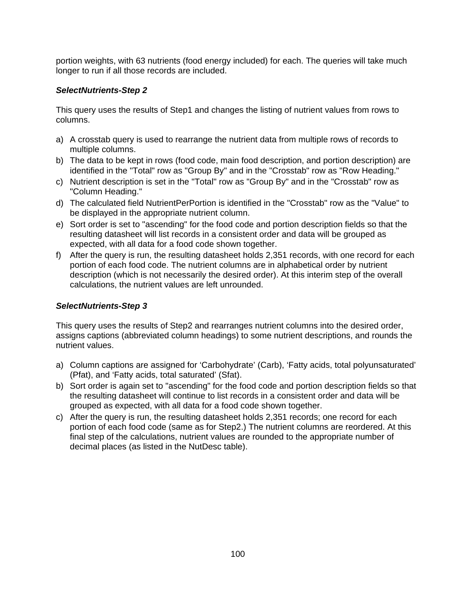portion weights, with 63 nutrients (food energy included) for each. The queries will take much longer to run if all those records are included.

## *SelectNutrients-Step 2*

This query uses the results of Step1 and changes the listing of nutrient values from rows to columns.

- a) A crosstab query is used to rearrange the nutrient data from multiple rows of records to multiple columns.
- b) The data to be kept in rows (food code, main food description, and portion description) are identified in the "Total" row as "Group By" and in the "Crosstab" row as "Row Heading."
- c) Nutrient description is set in the "Total" row as "Group By" and in the "Crosstab" row as "Column Heading."
- d) The calculated field NutrientPerPortion is identified in the "Crosstab" row as the "Value" to be displayed in the appropriate nutrient column.
- e) Sort order is set to "ascending" for the food code and portion description fields so that the resulting datasheet will list records in a consistent order and data will be grouped as expected, with all data for a food code shown together.
- f) After the query is run, the resulting datasheet holds 2,351 records, with one record for each portion of each food code. The nutrient columns are in alphabetical order by nutrient description (which is not necessarily the desired order). At this interim step of the overall calculations, the nutrient values are left unrounded.

## *Sel ectNutrients-Step 3*

This query uses the results of Step2 and rearranges nutrient columns into the desired order, nut rient values. assigns captions (abbreviated column headings) to some nutrient descriptions, and rounds the

- a) Column captions are assigned for 'Carbohydrate' (Carb), 'Fatty acids, total polyunsaturated' (Pfat), and 'Fatty acids, total saturated' (Sfat).
- b) Sort order is again set to "ascending" for the food code and portion description fields so that the resulting datasheet will continue to list records in a consistent order and data will be grouped as expected, with all data for a food code shown together.
- c) After the query is run, the resulting datasheet holds 2,351 records; one record for each final step of the calculations, nutrient values are rounded to the appropriate number of portion of each food code (same as for Step2.) The nutrient columns are reordered. At this decimal places (as listed in the NutDesc table).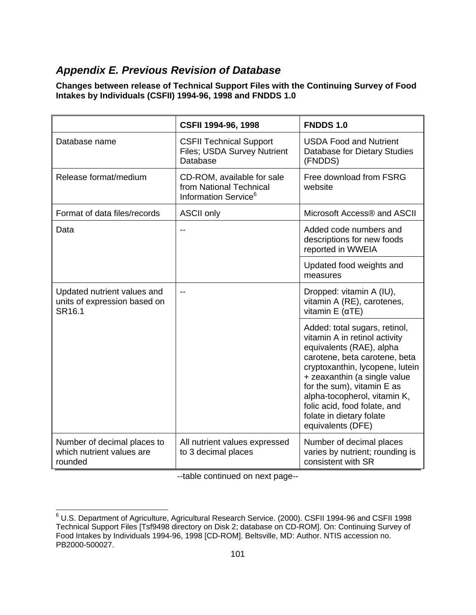## **Appendix E. Previous Revision of Database**

**Changes between release of Technical Support Files with the Continuing Survey of Food** Intakes by Individuals (CSFII) 1994-96, 1998 and FNDDS 1.0

|                                                                       | CSFII 1994-96, 1998                                                                       | <b>FNDDS 1.0</b>                                                                                                                                                                                                                                                                                                                              |
|-----------------------------------------------------------------------|-------------------------------------------------------------------------------------------|-----------------------------------------------------------------------------------------------------------------------------------------------------------------------------------------------------------------------------------------------------------------------------------------------------------------------------------------------|
| Database name                                                         | <b>CSFII Technical Support</b><br>Files; USDA Survey Nutrient<br>Database                 | <b>USDA Food and Nutrient</b><br>Database for Dietary Studies<br>(FNDDS)                                                                                                                                                                                                                                                                      |
| Release format/medium                                                 | CD-ROM, available for sale<br>from National Technical<br>Information Service <sup>6</sup> | Free download from FSRG<br>website                                                                                                                                                                                                                                                                                                            |
| Format of data files/records                                          | <b>ASCII only</b>                                                                         | Microsoft Access® and ASCII                                                                                                                                                                                                                                                                                                                   |
| Data                                                                  | --                                                                                        | Added code numbers and<br>descriptions for new foods<br>reported in WWEIA                                                                                                                                                                                                                                                                     |
|                                                                       |                                                                                           | Updated food weights and<br>measures                                                                                                                                                                                                                                                                                                          |
| Updated nutrient values and<br>units of expression based on<br>SR16.1 | $-$                                                                                       | Dropped: vitamin A (IU),<br>vitamin A (RE), carotenes,<br>vitamin $E(\alpha TE)$                                                                                                                                                                                                                                                              |
|                                                                       |                                                                                           | Added: total sugars, retinol,<br>vitamin A in retinol activity<br>equivalents (RAE), alpha<br>carotene, beta carotene, beta<br>cryptoxanthin, lycopene, lutein<br>+ zeaxanthin (a single value<br>for the sum), vitamin E as<br>alpha-tocopherol, vitamin K,<br>folic acid, food folate, and<br>folate in dietary folate<br>equivalents (DFE) |
| Number of decimal places to<br>which nutrient values are<br>rounded   | All nutrient values expressed<br>to 3 decimal places                                      | Number of decimal places<br>varies by nutrient; rounding is<br>consistent with SR                                                                                                                                                                                                                                                             |

--table continued on next page--

 6 U.S. Department of Agriculture, Agricultural Research Service. (2000). CSFII 1994-96 and CSFII 1998 Technical Support Files [Tsf9498 directory on Disk 2; database on CD-ROM]. On: Continuing Survey of Food Intakes by Individuals 1994-96, 1998 [CD-ROM]. Beltsville, MD: Author. NTIS accession no. PB2000-500027.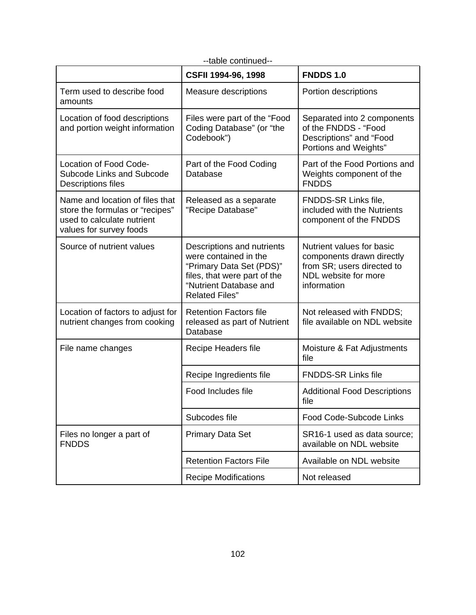| --table continued--                                                                                                         |                                                                                                                                                                    |                                                                                                                             |  |  |
|-----------------------------------------------------------------------------------------------------------------------------|--------------------------------------------------------------------------------------------------------------------------------------------------------------------|-----------------------------------------------------------------------------------------------------------------------------|--|--|
|                                                                                                                             | CSFII 1994-96, 1998                                                                                                                                                | <b>FNDDS 1.0</b>                                                                                                            |  |  |
| Term used to describe food<br>amounts                                                                                       | Measure descriptions                                                                                                                                               | Portion descriptions                                                                                                        |  |  |
| Location of food descriptions<br>and portion weight information                                                             | Files were part of the "Food<br>Coding Database" (or "the<br>Codebook")                                                                                            | Separated into 2 components<br>of the FNDDS - "Food<br>Descriptions" and "Food<br>Portions and Weights"                     |  |  |
| Location of Food Code-<br>Subcode Links and Subcode<br>Descriptions files                                                   | Part of the Food Coding<br>Database                                                                                                                                | Part of the Food Portions and<br>Weights component of the<br><b>FNDDS</b>                                                   |  |  |
| Name and location of files that<br>store the formulas or "recipes"<br>used to calculate nutrient<br>values for survey foods | Released as a separate<br>"Recipe Database"                                                                                                                        | FNDDS-SR Links file,<br>included with the Nutrients<br>component of the FNDDS                                               |  |  |
| Source of nutrient values                                                                                                   | Descriptions and nutrients<br>were contained in the<br>"Primary Data Set (PDS)"<br>files, that were part of the<br>"Nutrient Database and<br><b>Related Files"</b> | Nutrient values for basic<br>components drawn directly<br>from SR; users directed to<br>NDL website for more<br>information |  |  |
| Location of factors to adjust for<br>nutrient changes from cooking                                                          | <b>Retention Factors file</b><br>released as part of Nutrient<br>Database                                                                                          | Not released with FNDDS;<br>file available on NDL website                                                                   |  |  |
| File name changes                                                                                                           | Recipe Headers file                                                                                                                                                | Moisture & Fat Adjustments<br>file                                                                                          |  |  |
|                                                                                                                             | Recipe Ingredients file                                                                                                                                            | <b>FNDDS-SR Links file</b>                                                                                                  |  |  |
|                                                                                                                             | Food Includes file                                                                                                                                                 | <b>Additional Food Descriptions</b><br>file                                                                                 |  |  |
|                                                                                                                             | Subcodes file                                                                                                                                                      | Food Code-Subcode Links                                                                                                     |  |  |
| Files no longer a part of<br><b>FNDDS</b>                                                                                   | <b>Primary Data Set</b>                                                                                                                                            | SR16-1 used as data source;<br>available on NDL website                                                                     |  |  |
|                                                                                                                             | <b>Retention Factors File</b>                                                                                                                                      | Available on NDL website                                                                                                    |  |  |
|                                                                                                                             | <b>Recipe Modifications</b>                                                                                                                                        | Not released                                                                                                                |  |  |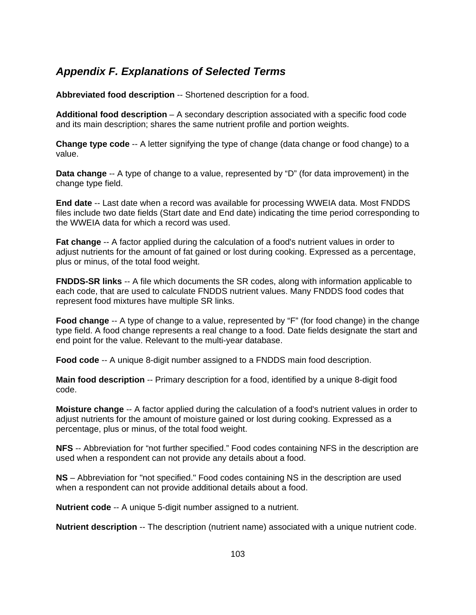## *Appendix F. Explanations of Selected Terms*

Abbreviated food description -- Shortened description for a food.

Additional food description – A secondary description associated with a specific food code and its main description; shares the same nutrient profile and portion weights.

**Change type code** -- A letter signifying the type of change (data change or food change) to a value.

**Data change** -- A type of change to a value, represented by "D" (for data improvement) in the c hange type field.

**End date** -- Last date when a record was available for processing WWEIA data. Most FNDDS files include two date fields (Start date and End date) indicating the time period corresponding to the WWEIA data for which a record was used.

Fat change -- A factor applied during the calculation of a food's nutrient values in order to adjust nutrients for the amount of fat gained or lost during cooking. Expressed as a percentage, plus or minus, of the total food we ight.

**FNDDS-SR links** -- A file which documents the SR codes, along with information applicable to each code, that are used to calculate FNDDS nutrient values. Many FNDDS food codes that represent food mixtures have mult iple SR links.

Food change -- A type of change to a value, represented by "F" (for food change) in the change type field. A food change represents a real change to a food. Date fields designate the start and end point for the value. Relevant to the multi-year database.

**Food code** -- A unique 8-digit number assigned to a FNDDS main food description.

**Main food description** -- Primary description for a food, identified by a unique 8-digit food code.

**Moisture change** -- A factor applied during the calculation of a food's nutrient values in order to adjust nutrients for the amount of moisture gained or lost during cooking. Expressed as a percentage, plus or minus, of the total food weight.

**NFS** -- Abbreviation for "not further specified." Food codes containing NFS in the description are used when a respondent can not provide any details about a food.

NS – Abbreviation for "not specified." Food codes containing NS in the description are used hen a respondent can not provide additional details about a food. w

**Nutrient code** -- A unique 5-digit number assigned to a nutrient.

**Nutrient description** -- The description (nutrient name) associated with a unique nutrient code.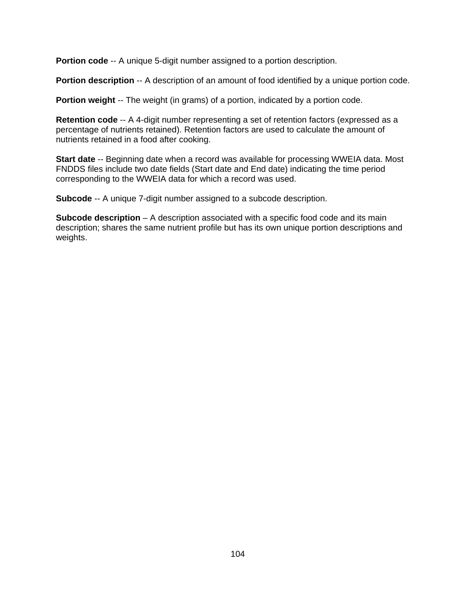**Portion code** -- A unique 5-digit number assigned to a portion description.

Portion description -- A description of an amount of food identified by a unique portion code.

**Portion weight** -- The weight (in grams) of a portion, indicated by a portion code.

percentage of nutrients retained). Retention factors are used to calculate the amount of **Retention code** -- A 4-digit number representing a set of retention factors (expressed as a nutrients retained in a food after cooking.

Start date -- Beginning date when a record was available for processing WWEIA data. Most FNDDS files include two date fields (Start date and End date) indicating the time period corresponding to the WWEIA data for which a record was used.

**Subcode** -- A unique 7-digit number assigned to a subcode description.

description; shares the same nutrient profile but has its own unique portion descriptions and **Subcode description** – A description associated with a specific food code and its main weights.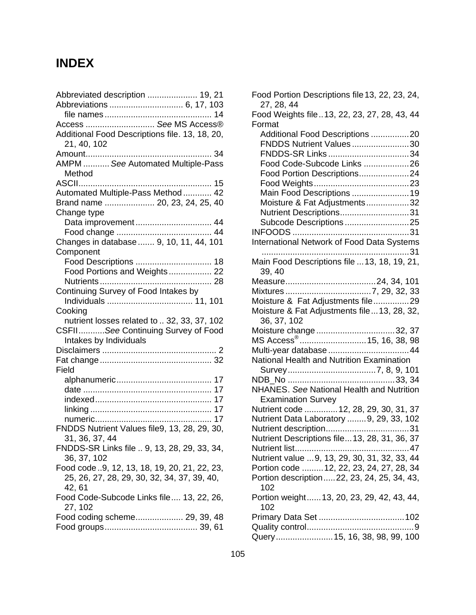# **INDEX**

| Abbreviated description  19, 21                               | <b>Food Portion Descript</b><br>27, 28, 44<br>Food Weights file13, |
|---------------------------------------------------------------|--------------------------------------------------------------------|
| Access  See MS Access®                                        | Format                                                             |
| Additional Food Descriptions file. 13, 18, 20,<br>21, 40, 102 | <b>Additional Food Des</b><br><b>FNDDS Nutrient Va</b>             |
|                                                               | FNDDS-SR Links                                                     |
| AMPM  See Automated Multiple-Pass<br>Method                   | Food Code-Subcod<br><b>Food Portion Descri</b>                     |
|                                                               | Food Weights                                                       |
| Automated Multiple-Pass Method  42                            | <b>Main Food Descript</b>                                          |
| Brand name  20, 23, 24, 25, 40                                | Moisture & Fat Adju                                                |
| Change type                                                   | <b>Nutrient Description</b>                                        |
|                                                               | Subcode Descriptio                                                 |
|                                                               | <b>INFOODS</b>                                                     |
|                                                               | International Network                                              |
| Changes in database  9, 10, 11, 44, 101                       |                                                                    |
| Component                                                     |                                                                    |
|                                                               | <b>Main Food Descriptior</b>                                       |
| Food Portions and Weights 22                                  | 39, 40                                                             |
|                                                               | Measure                                                            |
| Continuing Survey of Food Intakes by                          | Mixtures                                                           |
|                                                               | Moisture & Fat Adjust                                              |
| Cooking                                                       | Moisture & Fat Adjustr                                             |
| nutrient losses related to  32, 33, 37, 102                   | 36, 37, 102                                                        |
| CSFIISee Continuing Survey of Food                            | Moisture change                                                    |
| Intakes by Individuals                                        | MS Access <sup>®</sup>                                             |
|                                                               | Multi-year database                                                |
|                                                               | National Health and N                                              |
| Field                                                         | Survey                                                             |
|                                                               | NDB_No                                                             |
|                                                               | <b>NHANES. See Nation</b>                                          |
|                                                               | <b>Examination Survey</b>                                          |
|                                                               | Nutrient code                                                      |
|                                                               | <b>Nutrient Data Laborato</b>                                      |
| FNDDS Nutrient Values file9, 13, 28, 29, 30,                  | Nutrient description                                               |
| 31, 36, 37, 44                                                | <b>Nutrient Descriptions f</b>                                     |
| FNDDS-SR Links file  9, 13, 28, 29, 33, 34,                   | Nutrient list                                                      |
| 36, 37, 102                                                   | Nutrient value  9, 13,                                             |
| Food code 9, 12, 13, 18, 19, 20, 21, 22, 23,                  | Portion code  12,                                                  |
| 25, 26, 27, 28, 29, 30, 32, 34, 37, 39, 40,                   | Portion description                                                |
| 42, 61                                                        | 102                                                                |
| Food Code-Subcode Links file 13, 22, 26,                      | Portion weight13,                                                  |
| 27, 102                                                       | 102                                                                |
| Food coding scheme 29, 39, 48                                 | Primary Data Set                                                   |
|                                                               | Quality control                                                    |
|                                                               |                                                                    |

| Food Portion Descriptions file 13, 22, 23, 24,<br>27, 28, 44 |
|--------------------------------------------------------------|
| Food Weights file13, 22, 23, 27, 28, 43, 44                  |
| Format                                                       |
| Additional Food Descriptions 20                              |
| FNDDS Nutrient Values30                                      |
| FNDDS-SR Links 34                                            |
| Food Code-Subcode Links 26                                   |
|                                                              |
| Food Portion Descriptions24                                  |
|                                                              |
| Main Food Descriptions  19                                   |
| Moisture & Fat Adjustments32                                 |
| Nutrient Descriptions31                                      |
| Subcode Descriptions25                                       |
|                                                              |
| International Network of Food Data Systems                   |
| 31                                                           |
| Main Food Descriptions file  13, 18, 19, 21,<br>39, 40       |
|                                                              |
|                                                              |
| Moisture & Fat Adjustments file29                            |
| Moisture & Fat Adjustments file  13, 28, 32,                 |
| 36, 37, 102                                                  |
| Moisture change 32, 37                                       |
| MS Access <sup>®</sup> 15, 16, 38, 98                        |
| Multi-year database  44                                      |
| National Health and Nutrition Examination                    |
|                                                              |
|                                                              |
| NHANES. See National Health and Nutrition                    |
|                                                              |
| <b>Examination Survey</b>                                    |
| Nutrient code  12, 28, 29, 30, 31, 37                        |
| Nutrient Data Laboratory  9, 29, 33, 102                     |
|                                                              |
| Nutrient Descriptions file 13, 28, 31, 36, 37                |
|                                                              |
| Nutrient value  9, 13, 29, 30, 31, 32, 33, 44                |
| Portion code  12, 22, 23, 24, 27, 28, 34                     |
| Portion description22, 23, 24, 25, 34, 43,<br>102            |
| Portion weight 13, 20, 23, 29, 42, 43, 44,<br>102            |
|                                                              |
|                                                              |
| Query 15, 16, 38, 98, 99, 100                                |